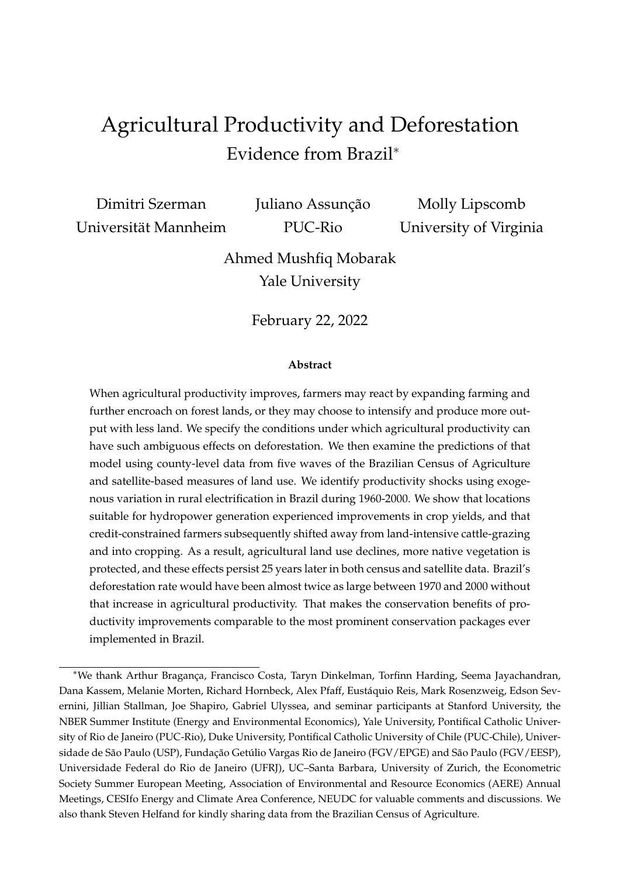# <span id="page-0-0"></span>Agricultural Productivity and Deforestation Evidence from Brazil<sup>∗</sup>

Dimitri Szerman Universität Mannheim Juliano Assunção PUC-Rio

Molly Lipscomb University of Virginia

Ahmed Mushfiq Mobarak Yale University

February 22, 2022

#### **Abstract**

When agricultural productivity improves, farmers may react by expanding farming and further encroach on forest lands, or they may choose to intensify and produce more output with less land. We specify the conditions under which agricultural productivity can have such ambiguous effects on deforestation. We then examine the predictions of that model using county-level data from five waves of the Brazilian Census of Agriculture and satellite-based measures of land use. We identify productivity shocks using exogenous variation in rural electrification in Brazil during 1960-2000. We show that locations suitable for hydropower generation experienced improvements in crop yields, and that credit-constrained farmers subsequently shifted away from land-intensive cattle-grazing and into cropping. As a result, agricultural land use declines, more native vegetation is protected, and these effects persist 25 years later in both census and satellite data. Brazil's deforestation rate would have been almost twice as large between 1970 and 2000 without that increase in agricultural productivity. That makes the conservation benefits of productivity improvements comparable to the most prominent conservation packages ever implemented in Brazil.

<sup>∗</sup>We thank Arthur Bragança, Francisco Costa, Taryn Dinkelman, Torfinn Harding, Seema Jayachandran, Dana Kassem, Melanie Morten, Richard Hornbeck, Alex Pfaff, Eustáquio Reis, Mark Rosenzweig, Edson Severnini, Jillian Stallman, Joe Shapiro, Gabriel Ulyssea, and seminar participants at Stanford University, the NBER Summer Institute (Energy and Environmental Economics), Yale University, Pontifical Catholic University of Rio de Janeiro (PUC-Rio), Duke University, Pontifical Catholic University of Chile (PUC-Chile), Universidade de São Paulo (USP), Fundação Getúlio Vargas Rio de Janeiro (FGV/EPGE) and São Paulo (FGV/EESP), Universidade Federal do Rio de Janeiro (UFRJ), UC–Santa Barbara, University of Zurich, the Econometric Society Summer European Meeting, Association of Environmental and Resource Economics (AERE) Annual Meetings, CESIfo Energy and Climate Area Conference, NEUDC for valuable comments and discussions. We also thank Steven Helfand for kindly sharing data from the Brazilian Census of Agriculture.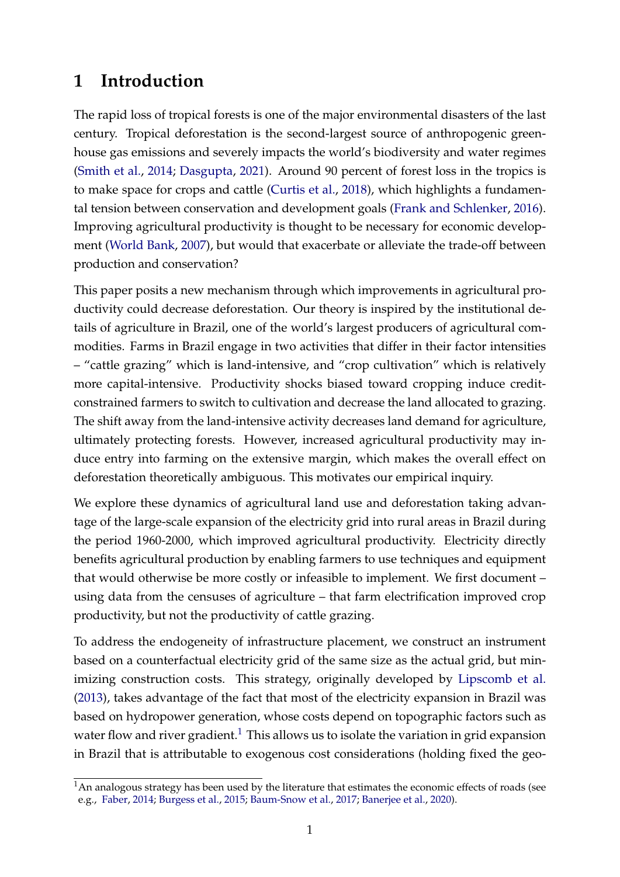# **1 Introduction**

The rapid loss of tropical forests is one of the major environmental disasters of the last century. Tropical deforestation is the second-largest source of anthropogenic greenhouse gas emissions and severely impacts the world's biodiversity and water regimes [\(Smith et al.,](#page-37-0) [2014;](#page-37-0) [Dasgupta,](#page-34-0) [2021\)](#page-34-0). Around 90 percent of forest loss in the tropics is to make space for crops and cattle [\(Curtis et al.,](#page-34-1) [2018\)](#page-34-1), which highlights a fundamental tension between conservation and development goals [\(Frank and Schlenker,](#page-35-0) [2016\)](#page-35-0). Improving agricultural productivity is thought to be necessary for economic development [\(World Bank,](#page-37-1) [2007\)](#page-37-1), but would that exacerbate or alleviate the trade-off between production and conservation?

This paper posits a new mechanism through which improvements in agricultural productivity could decrease deforestation. Our theory is inspired by the institutional details of agriculture in Brazil, one of the world's largest producers of agricultural commodities. Farms in Brazil engage in two activities that differ in their factor intensities – "cattle grazing" which is land-intensive, and "crop cultivation" which is relatively more capital-intensive. Productivity shocks biased toward cropping induce creditconstrained farmers to switch to cultivation and decrease the land allocated to grazing. The shift away from the land-intensive activity decreases land demand for agriculture, ultimately protecting forests. However, increased agricultural productivity may induce entry into farming on the extensive margin, which makes the overall effect on deforestation theoretically ambiguous. This motivates our empirical inquiry.

We explore these dynamics of agricultural land use and deforestation taking advantage of the large-scale expansion of the electricity grid into rural areas in Brazil during the period 1960-2000, which improved agricultural productivity. Electricity directly benefits agricultural production by enabling farmers to use techniques and equipment that would otherwise be more costly or infeasible to implement. We first document – using data from the censuses of agriculture – that farm electrification improved crop productivity, but not the productivity of cattle grazing.

To address the endogeneity of infrastructure placement, we construct an instrument based on a counterfactual electricity grid of the same size as the actual grid, but minimizing construction costs. This strategy, originally developed by [Lipscomb et al.](#page-36-0) [\(2013\)](#page-36-0), takes advantage of the fact that most of the electricity expansion in Brazil was based on hydropower generation, whose costs depend on topographic factors such as water flow and river gradient.<sup>[1](#page-0-0)</sup> This allows us to isolate the variation in grid expansion in Brazil that is attributable to exogenous cost considerations (holding fixed the geo-

<sup>&</sup>lt;sup>1</sup>An analogous strategy has been used by the literature that estimates the economic effects of roads (see e.g., [Faber,](#page-34-2) [2014;](#page-34-2) [Burgess et al.,](#page-33-0) [2015;](#page-33-0) [Baum-Snow et al.,](#page-33-1) [2017;](#page-33-1) [Banerjee et al.,](#page-33-2) [2020\)](#page-33-2).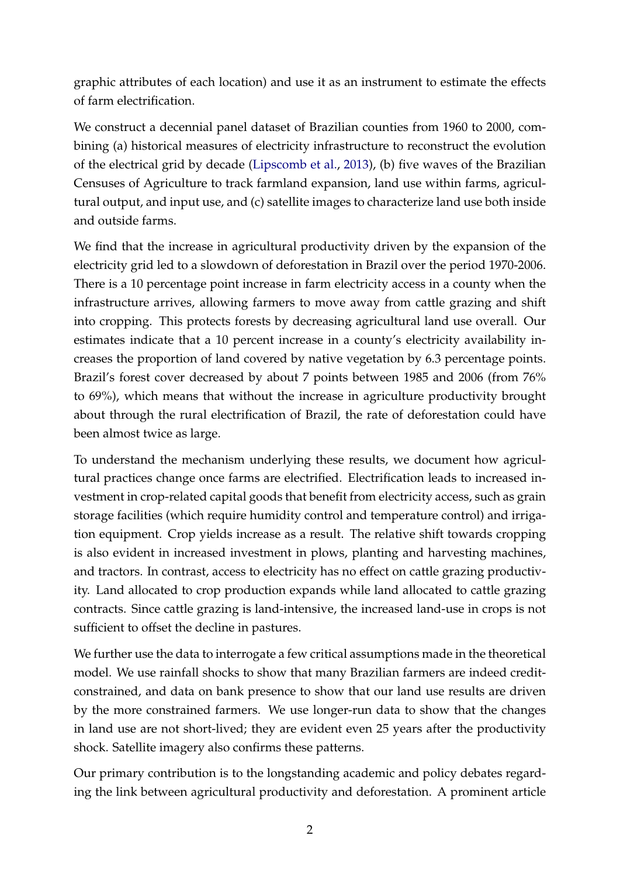graphic attributes of each location) and use it as an instrument to estimate the effects of farm electrification.

We construct a decennial panel dataset of Brazilian counties from 1960 to 2000, combining (a) historical measures of electricity infrastructure to reconstruct the evolution of the electrical grid by decade [\(Lipscomb et al.,](#page-36-0) [2013\)](#page-36-0), (b) five waves of the Brazilian Censuses of Agriculture to track farmland expansion, land use within farms, agricultural output, and input use, and (c) satellite images to characterize land use both inside and outside farms.

We find that the increase in agricultural productivity driven by the expansion of the electricity grid led to a slowdown of deforestation in Brazil over the period 1970-2006. There is a 10 percentage point increase in farm electricity access in a county when the infrastructure arrives, allowing farmers to move away from cattle grazing and shift into cropping. This protects forests by decreasing agricultural land use overall. Our estimates indicate that a 10 percent increase in a county's electricity availability increases the proportion of land covered by native vegetation by 6.3 percentage points. Brazil's forest cover decreased by about 7 points between 1985 and 2006 (from 76% to 69%), which means that without the increase in agriculture productivity brought about through the rural electrification of Brazil, the rate of deforestation could have been almost twice as large.

To understand the mechanism underlying these results, we document how agricultural practices change once farms are electrified. Electrification leads to increased investment in crop-related capital goods that benefit from electricity access, such as grain storage facilities (which require humidity control and temperature control) and irrigation equipment. Crop yields increase as a result. The relative shift towards cropping is also evident in increased investment in plows, planting and harvesting machines, and tractors. In contrast, access to electricity has no effect on cattle grazing productivity. Land allocated to crop production expands while land allocated to cattle grazing contracts. Since cattle grazing is land-intensive, the increased land-use in crops is not sufficient to offset the decline in pastures.

We further use the data to interrogate a few critical assumptions made in the theoretical model. We use rainfall shocks to show that many Brazilian farmers are indeed creditconstrained, and data on bank presence to show that our land use results are driven by the more constrained farmers. We use longer-run data to show that the changes in land use are not short-lived; they are evident even 25 years after the productivity shock. Satellite imagery also confirms these patterns.

Our primary contribution is to the longstanding academic and policy debates regarding the link between agricultural productivity and deforestation. A prominent article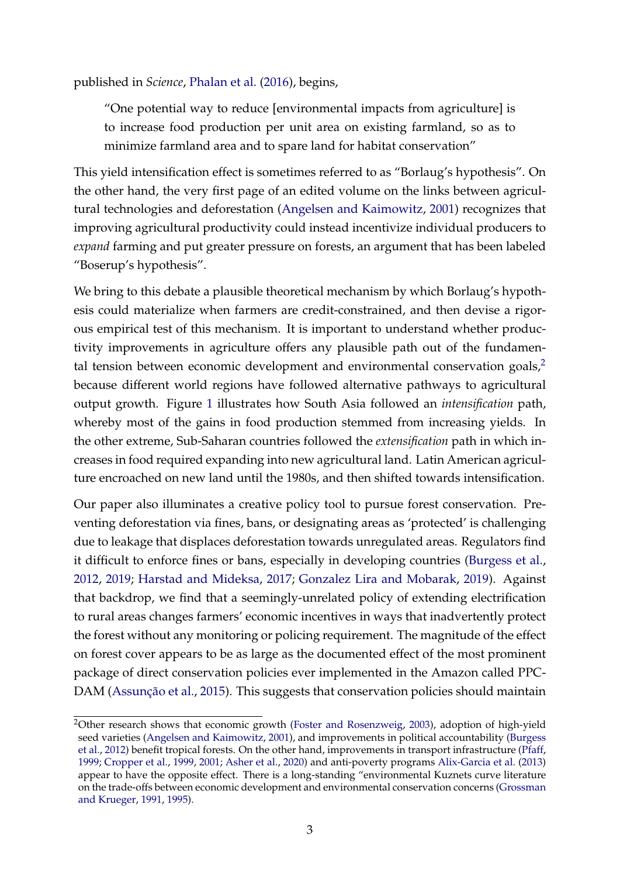published in *Science*, [Phalan et al.](#page-36-1) [\(2016\)](#page-36-1), begins,

"One potential way to reduce [environmental impacts from agriculture] is to increase food production per unit area on existing farmland, so as to minimize farmland area and to spare land for habitat conservation"

This yield intensification effect is sometimes referred to as "Borlaug's hypothesis". On the other hand, the very first page of an edited volume on the links between agricultural technologies and deforestation [\(Angelsen and Kaimowitz,](#page-33-3) [2001\)](#page-33-3) recognizes that improving agricultural productivity could instead incentivize individual producers to *expand* farming and put greater pressure on forests, an argument that has been labeled "Boserup's hypothesis".

We bring to this debate a plausible theoretical mechanism by which Borlaug's hypothesis could materialize when farmers are credit-constrained, and then devise a rigorous empirical test of this mechanism. It is important to understand whether productivity improvements in agriculture offers any plausible path out of the fundamental tension between economic development and environmental conservation goals, $2$ because different world regions have followed alternative pathways to agricultural output growth. Figure [1](#page-4-0) illustrates how South Asia followed an *intensification* path, whereby most of the gains in food production stemmed from increasing yields. In the other extreme, Sub-Saharan countries followed the *extensification* path in which increases in food required expanding into new agricultural land. Latin American agriculture encroached on new land until the 1980s, and then shifted towards intensification.

Our paper also illuminates a creative policy tool to pursue forest conservation. Preventing deforestation via fines, bans, or designating areas as 'protected' is challenging due to leakage that displaces deforestation towards unregulated areas. Regulators find it difficult to enforce fines or bans, especially in developing countries [\(Burgess et al.,](#page-33-4) [2012,](#page-33-4) [2019;](#page-33-5) [Harstad and Mideksa,](#page-35-1) [2017;](#page-35-1) [Gonzalez Lira and Mobarak,](#page-35-2) [2019\)](#page-35-2). Against that backdrop, we find that a seemingly-unrelated policy of extending electrification to rural areas changes farmers' economic incentives in ways that inadvertently protect the forest without any monitoring or policing requirement. The magnitude of the effect on forest cover appears to be as large as the documented effect of the most prominent package of direct conservation policies ever implemented in the Amazon called PPC-DAM [\(Assunção et al.,](#page-33-6) [2015\)](#page-33-6). This suggests that conservation policies should maintain

<sup>2</sup>Other research shows that economic growth [\(Foster and Rosenzweig,](#page-35-3) [2003\)](#page-35-3), adoption of high-yield seed varieties [\(Angelsen and Kaimowitz,](#page-33-3) [2001\)](#page-33-3), and improvements in political accountability [\(Burgess](#page-33-4) [et al.,](#page-33-4) [2012\)](#page-33-4) benefit tropical forests. On the other hand, improvements in transport infrastructure [\(Pfaff,](#page-36-2) [1999;](#page-36-2) [Cropper et al.,](#page-34-3) [1999,](#page-34-3) [2001;](#page-34-4) [Asher et al.,](#page-33-7) [2020\)](#page-33-7) and anti-poverty programs [Alix-Garcia et al.](#page-33-8) [\(2013\)](#page-33-8) appear to have the opposite effect. There is a long-standing "environmental Kuznets curve literature on the trade-offs between economic development and environmental conservation concerns [\(Grossman](#page-35-4) [and Krueger,](#page-35-4) [1991,](#page-35-4) [1995\)](#page-35-5).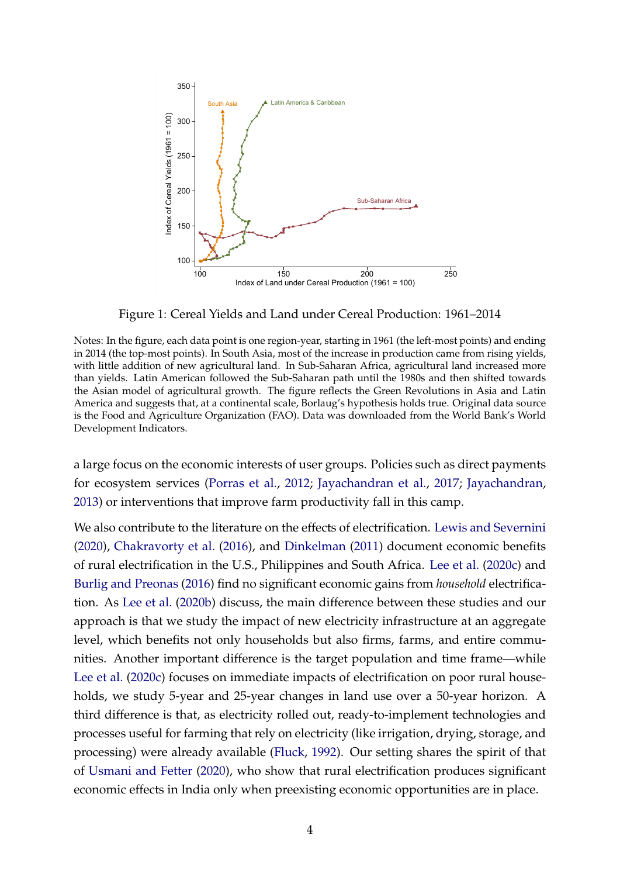<span id="page-4-0"></span>

Figure 1: Cereal Yields and Land under Cereal Production: 1961–2014

Notes: In the figure, each data point is one region-year, starting in 1961 (the left-most points) and ending in 2014 (the top-most points). In South Asia, most of the increase in production came from rising yields, with little addition of new agricultural land. In Sub-Saharan Africa, agricultural land increased more than yields. Latin American followed the Sub-Saharan path until the 1980s and then shifted towards the Asian model of agricultural growth. The figure reflects the Green Revolutions in Asia and Latin America and suggests that, at a continental scale, Borlaug's hypothesis holds true. Original data source is the Food and Agriculture Organization (FAO). Data was downloaded from the World Bank's World Development Indicators.

a large focus on the economic interests of user groups. Policies such as direct payments for ecosystem services [\(Porras et al.,](#page-36-3) [2012;](#page-36-3) [Jayachandran et al.,](#page-35-6) [2017;](#page-35-6) [Jayachandran,](#page-35-7) [2013\)](#page-35-7) or interventions that improve farm productivity fall in this camp.

We also contribute to the literature on the effects of electrification. [Lewis and Severnini](#page-36-4) [\(2020\)](#page-36-4), [Chakravorty et al.](#page-34-5) [\(2016\)](#page-34-5), and [Dinkelman](#page-34-6) [\(2011\)](#page-34-6) document economic benefits of rural electrification in the U.S., Philippines and South Africa. [Lee et al.](#page-36-5) [\(2020c\)](#page-36-5) and [Burlig and Preonas](#page-34-7) [\(2016\)](#page-34-7) find no significant economic gains from *household* electrification. As [Lee et al.](#page-35-8) [\(2020b\)](#page-35-8) discuss, the main difference between these studies and our approach is that we study the impact of new electricity infrastructure at an aggregate level, which benefits not only households but also firms, farms, and entire communities. Another important difference is the target population and time frame—while [Lee et al.](#page-36-5) [\(2020c\)](#page-36-5) focuses on immediate impacts of electrification on poor rural households, we study 5-year and 25-year changes in land use over a 50-year horizon. A third difference is that, as electricity rolled out, ready-to-implement technologies and processes useful for farming that rely on electricity (like irrigation, drying, storage, and processing) were already available [\(Fluck,](#page-35-9) [1992\)](#page-35-9). Our setting shares the spirit of that of [Usmani and Fetter](#page-37-2) [\(2020\)](#page-37-2), who show that rural electrification produces significant economic effects in India only when preexisting economic opportunities are in place.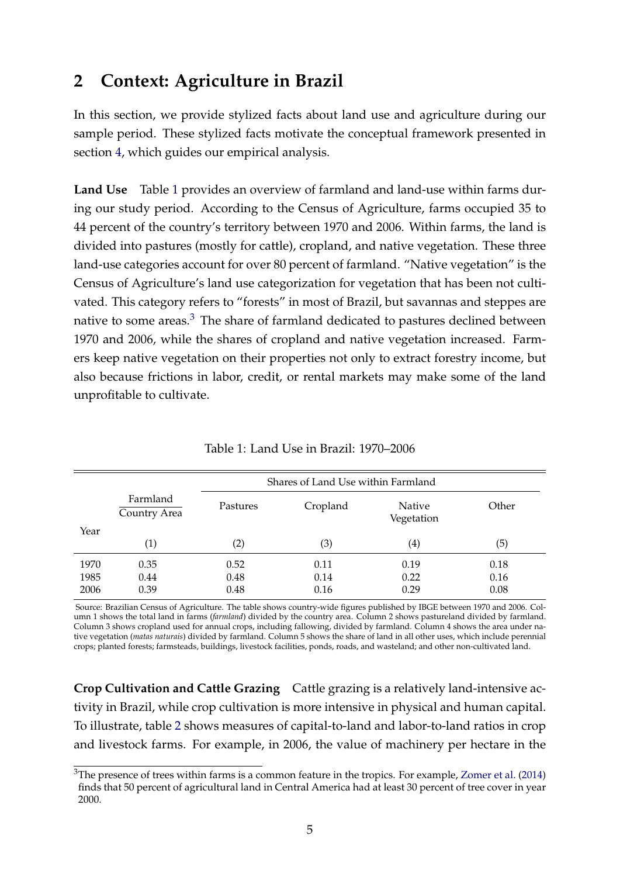# <span id="page-5-1"></span>**2 Context: Agriculture in Brazil**

In this section, we provide stylized facts about land use and agriculture during our sample period. These stylized facts motivate the conceptual framework presented in section [4,](#page-8-0) which guides our empirical analysis.

**Land Use** Table [1](#page-5-0) provides an overview of farmland and land-use within farms during our study period. According to the Census of Agriculture, farms occupied 35 to 44 percent of the country's territory between 1970 and 2006. Within farms, the land is divided into pastures (mostly for cattle), cropland, and native vegetation. These three land-use categories account for over 80 percent of farmland. "Native vegetation" is the Census of Agriculture's land use categorization for vegetation that has been not cultivated. This category refers to "forests" in most of Brazil, but savannas and steppes are native to some areas. $3$  The share of farmland dedicated to pastures declined between 1970 and 2006, while the shares of cropland and native vegetation increased. Farmers keep native vegetation on their properties not only to extract forestry income, but also because frictions in labor, credit, or rental markets may make some of the land unprofitable to cultivate.

<span id="page-5-0"></span>

|                      | Shares of Land Use within Farmland |                      |                      |                             |                      |
|----------------------|------------------------------------|----------------------|----------------------|-----------------------------|----------------------|
|                      | Farmland<br>Country Area           | Pastures             | Cropland             | <b>Native</b><br>Vegetation | Other                |
| Year                 | $\left( 1\right)$                  | (2)                  | (3)                  | $\left( 4\right)$           | (5)                  |
| 1970<br>1985<br>2006 | 0.35<br>0.44<br>0.39               | 0.52<br>0.48<br>0.48 | 0.11<br>0.14<br>0.16 | 0.19<br>0.22<br>0.29        | 0.18<br>0.16<br>0.08 |

Table 1: Land Use in Brazil: 1970–2006

Source: Brazilian Census of Agriculture. The table shows country-wide figures published by IBGE between 1970 and 2006. Column 1 shows the total land in farms (*farmland*) divided by the country area. Column 2 shows pastureland divided by farmland. Column 3 shows cropland used for annual crops, including fallowing, divided by farmland. Column 4 shows the area under native vegetation (*matas naturais*) divided by farmland. Column 5 shows the share of land in all other uses, which include perennial crops; planted forests; farmsteads, buildings, livestock facilities, ponds, roads, and wasteland; and other non-cultivated land.

**Crop Cultivation and Cattle Grazing** Cattle grazing is a relatively land-intensive activity in Brazil, while crop cultivation is more intensive in physical and human capital. To illustrate, table [2](#page-6-0) shows measures of capital-to-land and labor-to-land ratios in crop and livestock farms. For example, in 2006, the value of machinery per hectare in the

<sup>&</sup>lt;sup>3</sup>The presence of trees within farms is a common feature in the tropics. For example, [Zomer et al.](#page-37-3) [\(2014\)](#page-37-3) finds that 50 percent of agricultural land in Central America had at least 30 percent of tree cover in year 2000.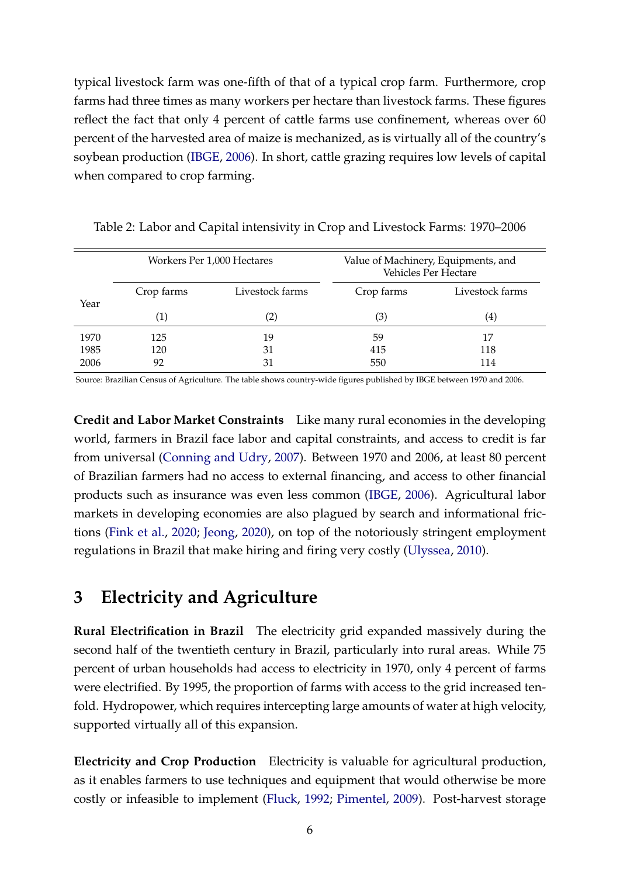typical livestock farm was one-fifth of that of a typical crop farm. Furthermore, crop farms had three times as many workers per hectare than livestock farms. These figures reflect the fact that only 4 percent of cattle farms use confinement, whereas over 60 percent of the harvested area of maize is mechanized, as is virtually all of the country's soybean production [\(IBGE,](#page-35-10) [2006\)](#page-35-10). In short, cattle grazing requires low levels of capital when compared to crop farming.

<span id="page-6-0"></span>

|      | Workers Per 1,000 Hectares |                   |            | Value of Machinery, Equipments, and<br>Vehicles Per Hectare |
|------|----------------------------|-------------------|------------|-------------------------------------------------------------|
|      | Crop farms                 | Livestock farms   | Crop farms | Livestock farms                                             |
| Year | $\left( 1\right)$          | $\left( 2\right)$ | (3)        | $\left( 4\right)$                                           |
| 1970 | 125                        | 19                | 59         | 17                                                          |
| 1985 | 120                        | 31                | 415        | 118                                                         |
| 2006 | 92                         | 31                | 550        | 114                                                         |

Table 2: Labor and Capital intensivity in Crop and Livestock Farms: 1970–2006

Source: Brazilian Census of Agriculture. The table shows country-wide figures published by IBGE between 1970 and 2006.

**Credit and Labor Market Constraints** Like many rural economies in the developing world, farmers in Brazil face labor and capital constraints, and access to credit is far from universal [\(Conning and Udry,](#page-34-8) [2007\)](#page-34-8). Between 1970 and 2006, at least 80 percent of Brazilian farmers had no access to external financing, and access to other financial products such as insurance was even less common [\(IBGE,](#page-35-10) [2006\)](#page-35-10). Agricultural labor markets in developing economies are also plagued by search and informational frictions [\(Fink et al.,](#page-34-9) [2020;](#page-34-9) [Jeong,](#page-35-11) [2020\)](#page-35-11), on top of the notoriously stringent employment regulations in Brazil that make hiring and firing very costly [\(Ulyssea,](#page-37-4) [2010\)](#page-37-4).

# <span id="page-6-1"></span>**3 Electricity and Agriculture**

**Rural Electrification in Brazil** The electricity grid expanded massively during the second half of the twentieth century in Brazil, particularly into rural areas. While 75 percent of urban households had access to electricity in 1970, only 4 percent of farms were electrified. By 1995, the proportion of farms with access to the grid increased tenfold. Hydropower, which requires intercepting large amounts of water at high velocity, supported virtually all of this expansion.

**Electricity and Crop Production** Electricity is valuable for agricultural production, as it enables farmers to use techniques and equipment that would otherwise be more costly or infeasible to implement [\(Fluck,](#page-35-9) [1992;](#page-35-9) [Pimentel,](#page-36-6) [2009\)](#page-36-6). Post-harvest storage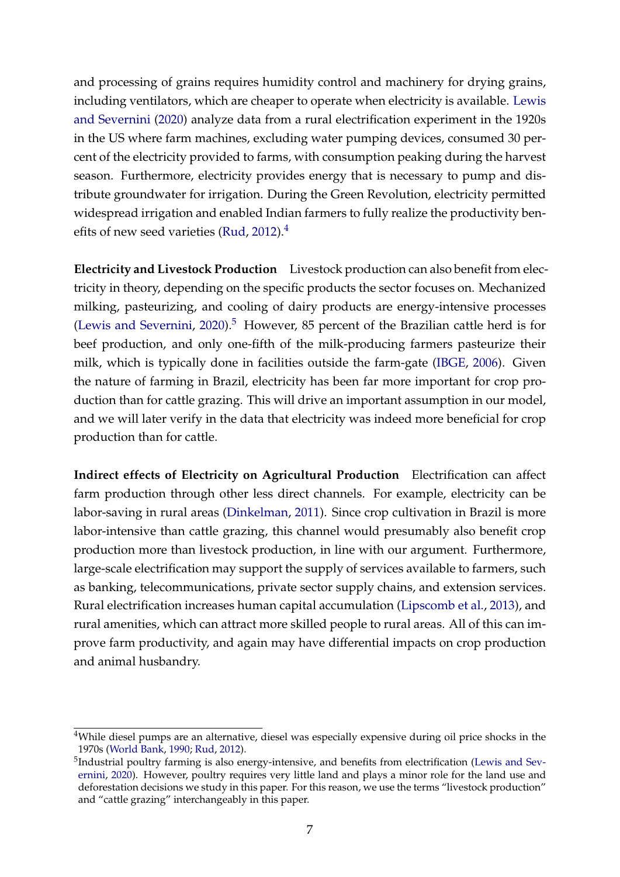and processing of grains requires humidity control and machinery for drying grains, including ventilators, which are cheaper to operate when electricity is available. [Lewis](#page-36-4) [and Severnini](#page-36-4) [\(2020\)](#page-36-4) analyze data from a rural electrification experiment in the 1920s in the US where farm machines, excluding water pumping devices, consumed 30 percent of the electricity provided to farms, with consumption peaking during the harvest season. Furthermore, electricity provides energy that is necessary to pump and distribute groundwater for irrigation. During the Green Revolution, electricity permitted widespread irrigation and enabled Indian farmers to fully realize the productivity ben-efits of new seed varieties [\(Rud,](#page-36-7) [2012\)](#page-36-7). $4$ 

**Electricity and Livestock Production** Livestock production can also benefit from electricity in theory, depending on the specific products the sector focuses on. Mechanized milking, pasteurizing, and cooling of dairy products are energy-intensive processes [\(Lewis and Severnini,](#page-36-4) [2020\)](#page-36-4).<sup>[5](#page-0-0)</sup> However, 85 percent of the Brazilian cattle herd is for beef production, and only one-fifth of the milk-producing farmers pasteurize their milk, which is typically done in facilities outside the farm-gate [\(IBGE,](#page-35-10) [2006\)](#page-35-10). Given the nature of farming in Brazil, electricity has been far more important for crop production than for cattle grazing. This will drive an important assumption in our model, and we will later verify in the data that electricity was indeed more beneficial for crop production than for cattle.

**Indirect effects of Electricity on Agricultural Production** Electrification can affect farm production through other less direct channels. For example, electricity can be labor-saving in rural areas [\(Dinkelman,](#page-34-6) [2011\)](#page-34-6). Since crop cultivation in Brazil is more labor-intensive than cattle grazing, this channel would presumably also benefit crop production more than livestock production, in line with our argument. Furthermore, large-scale electrification may support the supply of services available to farmers, such as banking, telecommunications, private sector supply chains, and extension services. Rural electrification increases human capital accumulation [\(Lipscomb et al.,](#page-36-0) [2013\)](#page-36-0), and rural amenities, which can attract more skilled people to rural areas. All of this can improve farm productivity, and again may have differential impacts on crop production and animal husbandry.

<sup>&</sup>lt;sup>4</sup>While diesel pumps are an alternative, diesel was especially expensive during oil price shocks in the 1970s [\(World Bank,](#page-37-5) [1990;](#page-37-5) [Rud,](#page-36-7) [2012\)](#page-36-7).

<sup>&</sup>lt;sup>5</sup>Industrial poultry farming is also energy-intensive, and benefits from electrification [\(Lewis and Sev](#page-36-4)[ernini,](#page-36-4) [2020\)](#page-36-4). However, poultry requires very little land and plays a minor role for the land use and deforestation decisions we study in this paper. For this reason, we use the terms "livestock production" and "cattle grazing" interchangeably in this paper.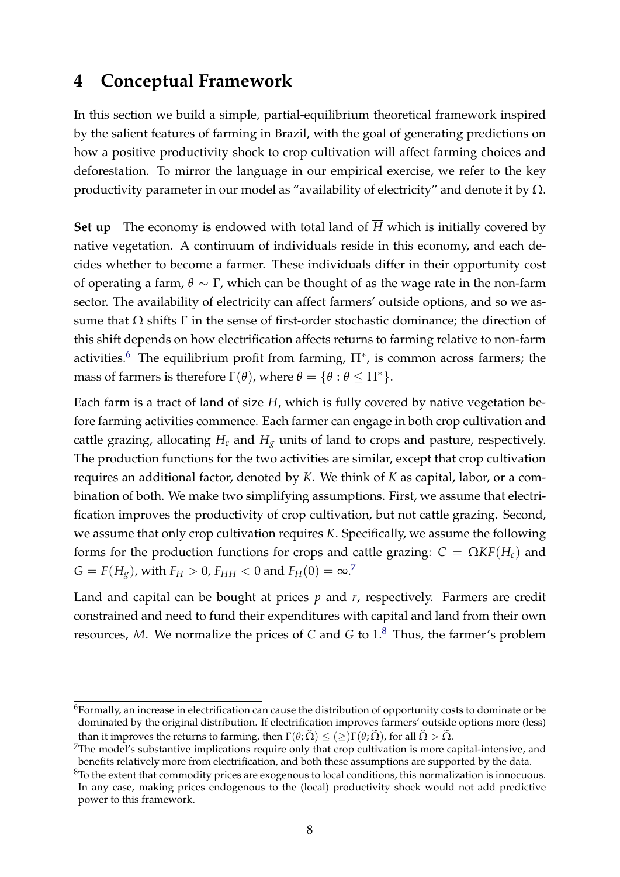## <span id="page-8-0"></span>**4 Conceptual Framework**

In this section we build a simple, partial-equilibrium theoretical framework inspired by the salient features of farming in Brazil, with the goal of generating predictions on how a positive productivity shock to crop cultivation will affect farming choices and deforestation. To mirror the language in our empirical exercise, we refer to the key productivity parameter in our model as "availability of electricity" and denote it by  $\Omega$ .

**Set up** The economy is endowed with total land of  $\overline{H}$  which is initially covered by native vegetation. A continuum of individuals reside in this economy, and each decides whether to become a farmer. These individuals differ in their opportunity cost of operating a farm, *θ* ∼ Γ, which can be thought of as the wage rate in the non-farm sector. The availability of electricity can affect farmers' outside options, and so we assume that  $\Omega$  shifts  $\Gamma$  in the sense of first-order stochastic dominance; the direction of this shift depends on how electrification affects returns to farming relative to non-farm activities.<sup>[6](#page-0-0)</sup> The equilibrium profit from farming,  $\Pi^*$ , is common across farmers; the mass of farmers is therefore  $\Gamma(\overline{\theta})$ , where  $\overline{\theta} = {\theta : \theta \leq \Pi^*}.$ 

Each farm is a tract of land of size *H*, which is fully covered by native vegetation before farming activities commence. Each farmer can engage in both crop cultivation and cattle grazing, allocating  $H_c$  and  $H_g$  units of land to crops and pasture, respectively. The production functions for the two activities are similar, except that crop cultivation requires an additional factor, denoted by *K*. We think of *K* as capital, labor, or a combination of both. We make two simplifying assumptions. First, we assume that electrification improves the productivity of crop cultivation, but not cattle grazing. Second, we assume that only crop cultivation requires *K*. Specifically, we assume the following forms for the production functions for crops and cattle grazing:  $C = \Omega K F(H_c)$  and  $G = F(H_g)$ , with  $F_H > 0$ ,  $F_{HH} < 0$  and  $F_H(0) = \infty$ .<sup>[7](#page-0-0)</sup>

Land and capital can be bought at prices *p* and *r*, respectively. Farmers are credit constrained and need to fund their expenditures with capital and land from their own resources, *M*. We normalize the prices of *C* and *G* to 1.[8](#page-0-0) Thus, the farmer's problem

<sup>6</sup>Formally, an increase in electrification can cause the distribution of opportunity costs to dominate or be dominated by the original distribution. If electrification improves farmers' outside options more (less) than it improves the returns to farming, then  $\Gamma(\theta; \hat{\Omega}) \leq (\geq) \Gamma(\theta; \tilde{\Omega})$ , for all  $\hat{\Omega} > \tilde{\Omega}$ .

 $7$ The model's substantive implications require only that crop cultivation is more capital-intensive, and benefits relatively more from electrification, and both these assumptions are supported by the data.

<sup>&</sup>lt;sup>8</sup>To the extent that commodity prices are exogenous to local conditions, this normalization is innocuous. In any case, making prices endogenous to the (local) productivity shock would not add predictive power to this framework.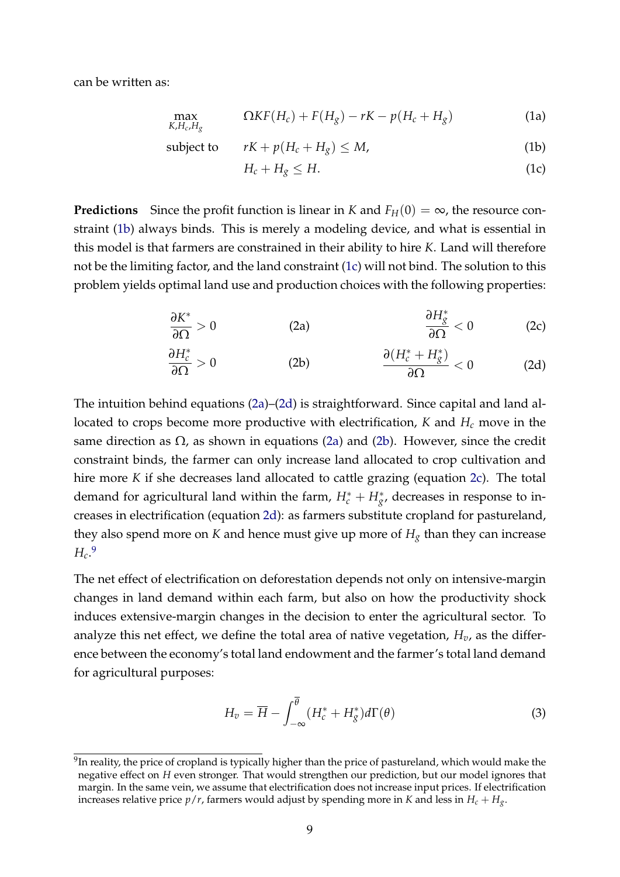can be written as:

$$
\max_{K,H_c,H_g} \qquad \Omega K F(H_c) + F(H_g) - rK - p(H_c + H_g) \tag{1a}
$$

subject to 
$$
rK + p(H_c + H_g) \leq M,
$$
 (1b)

<span id="page-9-5"></span><span id="page-9-3"></span><span id="page-9-1"></span><span id="page-9-0"></span>
$$
H_c + H_g \le H. \tag{1c}
$$

**Predictions** Since the profit function is linear in *K* and  $F_H(0) = \infty$ , the resource constraint [\(1b\)](#page-9-0) always binds. This is merely a modeling device, and what is essential in this model is that farmers are constrained in their ability to hire *K*. Land will therefore not be the limiting factor, and the land constraint [\(1c\)](#page-9-1) will not bind. The solution to this problem yields optimal land use and production choices with the following properties:

<span id="page-9-2"></span>
$$
\frac{\partial K^*}{\partial \Omega} > 0
$$
 (2a) 
$$
\frac{\partial H^*_{g}}{\partial \Omega} < 0
$$
 (2c)

<span id="page-9-4"></span>
$$
\frac{\partial H_c^*}{\partial \Omega} > 0
$$
 (2b) 
$$
\frac{\partial (H_c^* + H_g^*)}{\partial \Omega} < 0
$$
 (2d)

The intuition behind equations [\(2a\)](#page-9-2)–[\(2d\)](#page-9-3) is straightforward. Since capital and land allocated to crops become more productive with electrification, *K* and *H<sup>c</sup>* move in the same direction as  $\Omega$ , as shown in equations [\(2a\)](#page-9-2) and [\(2b\)](#page-9-4). However, since the credit constraint binds, the farmer can only increase land allocated to crop cultivation and hire more *K* if she decreases land allocated to cattle grazing (equation [2c\)](#page-9-5). The total demand for agricultural land within the farm,  $H_c^* + H_g^*$ , decreases in response to increases in electrification (equation [2d\)](#page-9-3): as farmers substitute cropland for pastureland, they also spend more on *K* and hence must give up more of  $H_g$  than they can increase *Hc*. [9](#page-0-0)

The net effect of electrification on deforestation depends not only on intensive-margin changes in land demand within each farm, but also on how the productivity shock induces extensive-margin changes in the decision to enter the agricultural sector. To analyze this net effect, we define the total area of native vegetation, *Hv*, as the difference between the economy's total land endowment and the farmer's total land demand for agricultural purposes:

$$
H_v = \overline{H} - \int_{-\infty}^{\overline{\theta}} (H_c^* + H_g^*) d\Gamma(\theta)
$$
\n(3)

 $^{9}$ In reality, the price of cropland is typically higher than the price of pastureland, which would make the negative effect on *H* even stronger. That would strengthen our prediction, but our model ignores that margin. In the same vein, we assume that electrification does not increase input prices. If electrification increases relative price  $p/r$ , farmers would adjust by spending more in *K* and less in  $H_c + H_g$ .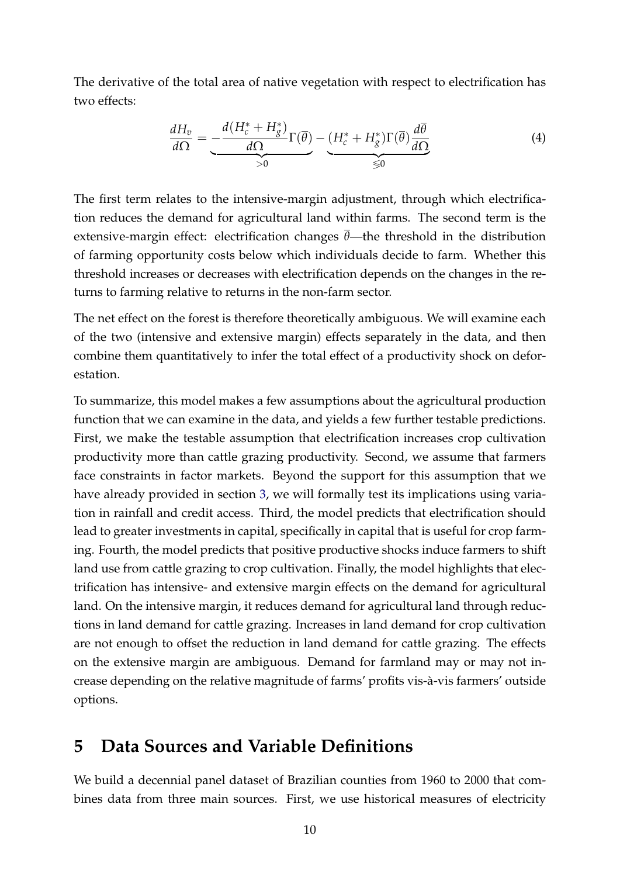The derivative of the total area of native vegetation with respect to electrification has two effects:

$$
\frac{dH_v}{d\Omega} = \underbrace{-\frac{d(H_c^* + H_g^*)}{d\Omega} \Gamma(\overline{\theta})}_{>0} - \underbrace{(H_c^* + H_g^*) \Gamma(\overline{\theta}) \frac{d\overline{\theta}}{d\Omega}}_{\leq 0}
$$
\n(4)

The first term relates to the intensive-margin adjustment, through which electrification reduces the demand for agricultural land within farms. The second term is the extensive-margin effect: electrification changes *θ*—the threshold in the distribution of farming opportunity costs below which individuals decide to farm. Whether this threshold increases or decreases with electrification depends on the changes in the returns to farming relative to returns in the non-farm sector.

The net effect on the forest is therefore theoretically ambiguous. We will examine each of the two (intensive and extensive margin) effects separately in the data, and then combine them quantitatively to infer the total effect of a productivity shock on deforestation.

To summarize, this model makes a few assumptions about the agricultural production function that we can examine in the data, and yields a few further testable predictions. First, we make the testable assumption that electrification increases crop cultivation productivity more than cattle grazing productivity. Second, we assume that farmers face constraints in factor markets. Beyond the support for this assumption that we have already provided in section [3,](#page-6-1) we will formally test its implications using variation in rainfall and credit access. Third, the model predicts that electrification should lead to greater investments in capital, specifically in capital that is useful for crop farming. Fourth, the model predicts that positive productive shocks induce farmers to shift land use from cattle grazing to crop cultivation. Finally, the model highlights that electrification has intensive- and extensive margin effects on the demand for agricultural land. On the intensive margin, it reduces demand for agricultural land through reductions in land demand for cattle grazing. Increases in land demand for crop cultivation are not enough to offset the reduction in land demand for cattle grazing. The effects on the extensive margin are ambiguous. Demand for farmland may or may not increase depending on the relative magnitude of farms' profits vis-à-vis farmers' outside options.

# <span id="page-10-0"></span>**5 Data Sources and Variable Definitions**

We build a decennial panel dataset of Brazilian counties from 1960 to 2000 that combines data from three main sources. First, we use historical measures of electricity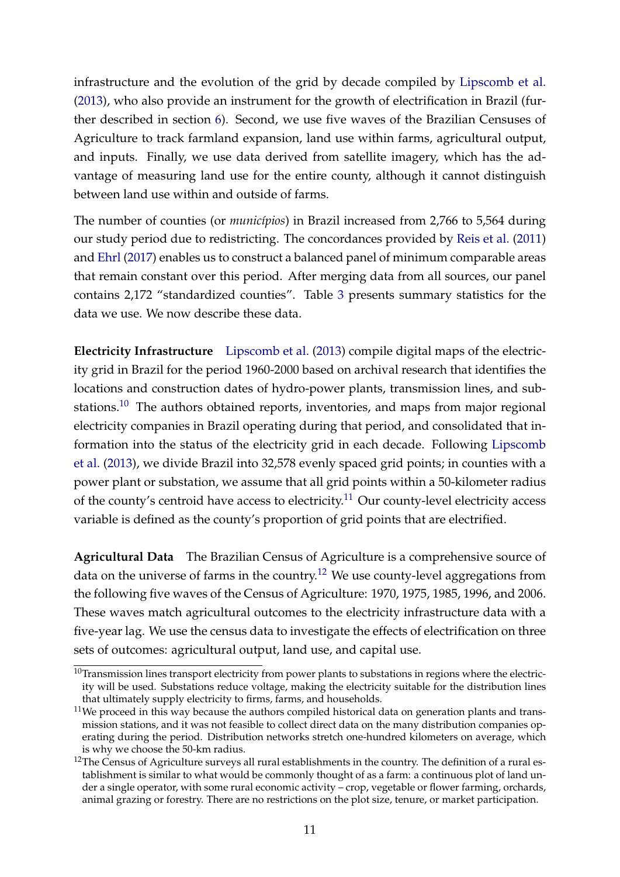infrastructure and the evolution of the grid by decade compiled by [Lipscomb et al.](#page-36-0) [\(2013\)](#page-36-0), who also provide an instrument for the growth of electrification in Brazil (further described in section [6\)](#page-14-0). Second, we use five waves of the Brazilian Censuses of Agriculture to track farmland expansion, land use within farms, agricultural output, and inputs. Finally, we use data derived from satellite imagery, which has the advantage of measuring land use for the entire county, although it cannot distinguish between land use within and outside of farms.

The number of counties (or *municípios*) in Brazil increased from 2,766 to 5,564 during our study period due to redistricting. The concordances provided by [Reis et al.](#page-36-8) [\(2011\)](#page-36-8) and [Ehrl](#page-34-10) [\(2017\)](#page-34-10) enables us to construct a balanced panel of minimum comparable areas that remain constant over this period. After merging data from all sources, our panel contains 2,172 "standardized counties". Table [3](#page-13-0) presents summary statistics for the data we use. We now describe these data.

**Electricity Infrastructure** [Lipscomb et al.](#page-36-0) [\(2013\)](#page-36-0) compile digital maps of the electricity grid in Brazil for the period 1960-2000 based on archival research that identifies the locations and construction dates of hydro-power plants, transmission lines, and substations.[10](#page-0-0) The authors obtained reports, inventories, and maps from major regional electricity companies in Brazil operating during that period, and consolidated that information into the status of the electricity grid in each decade. Following [Lipscomb](#page-36-0) [et al.](#page-36-0) [\(2013\)](#page-36-0), we divide Brazil into 32,578 evenly spaced grid points; in counties with a power plant or substation, we assume that all grid points within a 50-kilometer radius of the county's centroid have access to electricity.<sup>[11](#page-0-0)</sup> Our county-level electricity access variable is defined as the county's proportion of grid points that are electrified.

**Agricultural Data** The Brazilian Census of Agriculture is a comprehensive source of data on the universe of farms in the country.<sup>[12](#page-0-0)</sup> We use county-level aggregations from the following five waves of the Census of Agriculture: 1970, 1975, 1985, 1996, and 2006. These waves match agricultural outcomes to the electricity infrastructure data with a five-year lag. We use the census data to investigate the effects of electrification on three sets of outcomes: agricultural output, land use, and capital use.

 $10$ Transmission lines transport electricity from power plants to substations in regions where the electricity will be used. Substations reduce voltage, making the electricity suitable for the distribution lines that ultimately supply electricity to firms, farms, and households.

 $11$ We proceed in this way because the authors compiled historical data on generation plants and transmission stations, and it was not feasible to collect direct data on the many distribution companies operating during the period. Distribution networks stretch one-hundred kilometers on average, which is why we choose the 50-km radius.

 $12$ The Census of Agriculture surveys all rural establishments in the country. The definition of a rural establishment is similar to what would be commonly thought of as a farm: a continuous plot of land under a single operator, with some rural economic activity – crop, vegetable or flower farming, orchards, animal grazing or forestry. There are no restrictions on the plot size, tenure, or market participation.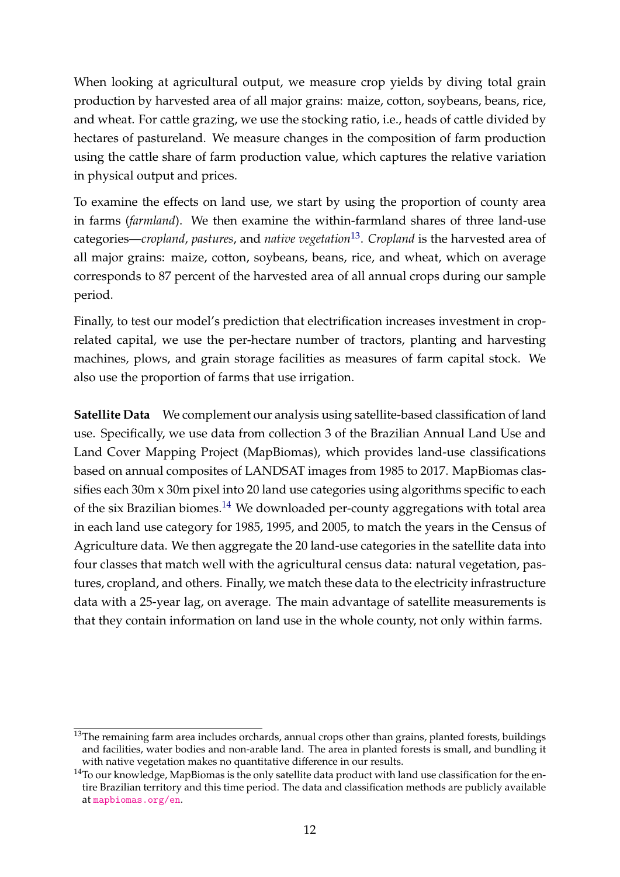When looking at agricultural output, we measure crop yields by diving total grain production by harvested area of all major grains: maize, cotton, soybeans, beans, rice, and wheat. For cattle grazing, we use the stocking ratio, i.e., heads of cattle divided by hectares of pastureland. We measure changes in the composition of farm production using the cattle share of farm production value, which captures the relative variation in physical output and prices.

To examine the effects on land use, we start by using the proportion of county area in farms (*farmland*). We then examine the within-farmland shares of three land-use categories—*cropland*, *pastures*, and *native vegetation*[13](#page-0-0) . *Cropland* is the harvested area of all major grains: maize, cotton, soybeans, beans, rice, and wheat, which on average corresponds to 87 percent of the harvested area of all annual crops during our sample period.

Finally, to test our model's prediction that electrification increases investment in croprelated capital, we use the per-hectare number of tractors, planting and harvesting machines, plows, and grain storage facilities as measures of farm capital stock. We also use the proportion of farms that use irrigation.

**Satellite Data** We complement our analysis using satellite-based classification of land use. Specifically, we use data from collection 3 of the Brazilian Annual Land Use and Land Cover Mapping Project (MapBiomas), which provides land-use classifications based on annual composites of LANDSAT images from 1985 to 2017. MapBiomas classifies each 30m x 30m pixel into 20 land use categories using algorithms specific to each of the six Brazilian biomes.<sup>[14](#page-0-0)</sup> We downloaded per-county aggregations with total area in each land use category for 1985, 1995, and 2005, to match the years in the Census of Agriculture data. We then aggregate the 20 land-use categories in the satellite data into four classes that match well with the agricultural census data: natural vegetation, pastures, cropland, and others. Finally, we match these data to the electricity infrastructure data with a 25-year lag, on average. The main advantage of satellite measurements is that they contain information on land use in the whole county, not only within farms.

<sup>&</sup>lt;sup>13</sup>The remaining farm area includes orchards, annual crops other than grains, planted forests, buildings and facilities, water bodies and non-arable land. The area in planted forests is small, and bundling it with native vegetation makes no quantitative difference in our results.

<sup>&</sup>lt;sup>14</sup>To our knowledge, MapBiomas is the only satellite data product with land use classification for the entire Brazilian territory and this time period. The data and classification methods are publicly available at <mapbiomas.org/en>.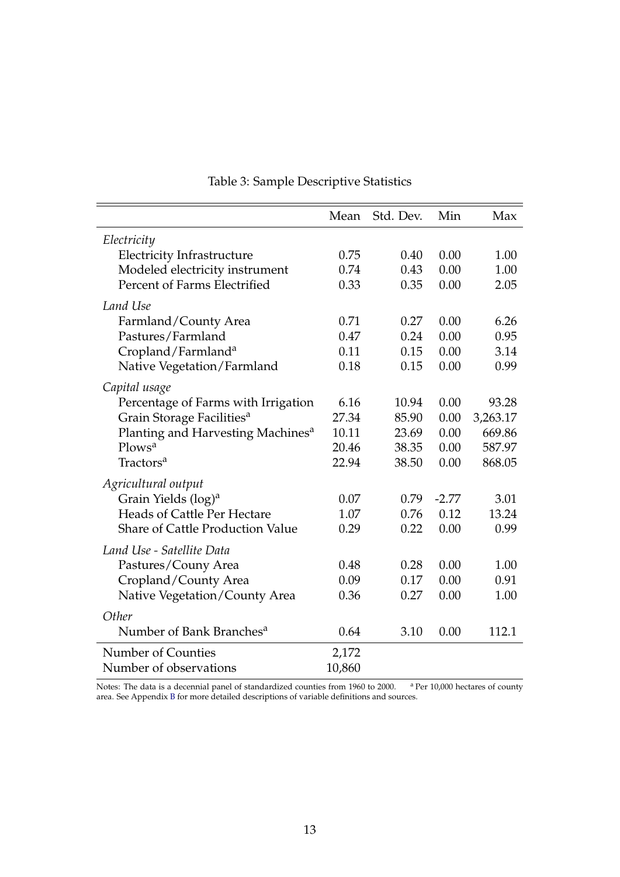<span id="page-13-0"></span>

|                                               | Mean   | Std. Dev. | Min     | Max      |
|-----------------------------------------------|--------|-----------|---------|----------|
| Electricity                                   |        |           |         |          |
| <b>Electricity Infrastructure</b>             | 0.75   | 0.40      | 0.00    | 1.00     |
| Modeled electricity instrument                | 0.74   | 0.43      | 0.00    | 1.00     |
| Percent of Farms Electrified                  | 0.33   | 0.35      | 0.00    | 2.05     |
| Land Use                                      |        |           |         |          |
| Farmland/County Area                          | 0.71   | 0.27      | 0.00    | 6.26     |
| Pastures/Farmland                             | 0.47   | 0.24      | 0.00    | 0.95     |
| Cropland/Farmland <sup>a</sup>                | 0.11   | 0.15      | 0.00    | 3.14     |
| Native Vegetation/Farmland                    | 0.18   | 0.15      | 0.00    | 0.99     |
| Capital usage                                 |        |           |         |          |
| Percentage of Farms with Irrigation           | 6.16   | 10.94     | 0.00    | 93.28    |
| Grain Storage Facilities <sup>a</sup>         | 27.34  | 85.90     | 0.00    | 3,263.17 |
| Planting and Harvesting Machines <sup>a</sup> | 10.11  | 23.69     | 0.00    | 669.86   |
| Plows <sup>a</sup>                            | 20.46  | 38.35     | 0.00    | 587.97   |
| Tractors <sup>a</sup>                         | 22.94  | 38.50     | 0.00    | 868.05   |
| Agricultural output                           |        |           |         |          |
| Grain Yields (log) <sup>a</sup>               | 0.07   | 0.79      | $-2.77$ | 3.01     |
| <b>Heads of Cattle Per Hectare</b>            | 1.07   | 0.76      | 0.12    | 13.24    |
| <b>Share of Cattle Production Value</b>       | 0.29   | 0.22      | 0.00    | 0.99     |
| Land Use - Satellite Data                     |        |           |         |          |
| Pastures/Couny Area                           | 0.48   | 0.28      | 0.00    | 1.00     |
| Cropland/County Area                          | 0.09   | 0.17      | 0.00    | 0.91     |
| Native Vegetation/County Area                 | 0.36   | 0.27      | 0.00    | 1.00     |
| Other                                         |        |           |         |          |
| Number of Bank Branches <sup>a</sup>          | 0.64   | 3.10      | 0.00    | 112.1    |
| Number of Counties                            | 2,172  |           |         |          |
| Number of observations                        | 10,860 |           |         |          |

# Table 3: Sample Descriptive Statistics

Notes: The data is a decennial panel of standardized counties from 1960 to 2000. <sup>a</sup> Per 10,000 hectares of county area. See Appendix [B](#page-40-0) for more detailed descriptions of variable definitions and sources.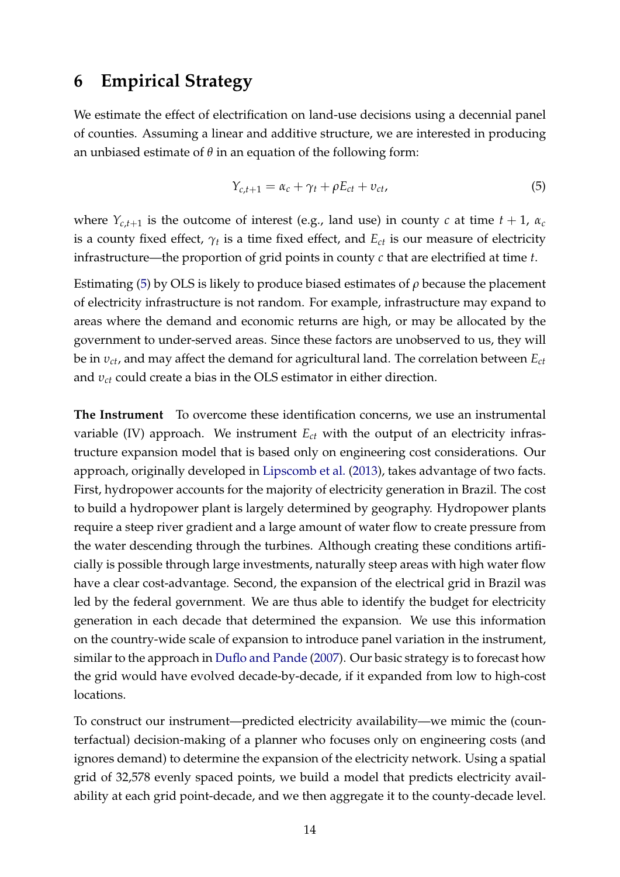## <span id="page-14-0"></span>**6 Empirical Strategy**

We estimate the effect of electrification on land-use decisions using a decennial panel of counties. Assuming a linear and additive structure, we are interested in producing an unbiased estimate of  $\theta$  in an equation of the following form:

<span id="page-14-1"></span>
$$
Y_{c,t+1} = \alpha_c + \gamma_t + \rho E_{ct} + v_{ct}, \qquad (5)
$$

where  $Y_{c,t+1}$  is the outcome of interest (e.g., land use) in county *c* at time  $t + 1$ ,  $\alpha_c$ is a county fixed effect,  $\gamma_t$  is a time fixed effect, and  $E_{ct}$  is our measure of electricity infrastructure—the proportion of grid points in county *c* that are electrified at time *t*.

Estimating [\(5\)](#page-14-1) by OLS is likely to produce biased estimates of *ρ* because the placement of electricity infrastructure is not random. For example, infrastructure may expand to areas where the demand and economic returns are high, or may be allocated by the government to under-served areas. Since these factors are unobserved to us, they will be in *υct*, and may affect the demand for agricultural land. The correlation between *Ect* and *υct* could create a bias in the OLS estimator in either direction.

**The Instrument** To overcome these identification concerns, we use an instrumental variable (IV) approach. We instrument *Ect* with the output of an electricity infrastructure expansion model that is based only on engineering cost considerations. Our approach, originally developed in [Lipscomb et al.](#page-36-0) [\(2013\)](#page-36-0), takes advantage of two facts. First, hydropower accounts for the majority of electricity generation in Brazil. The cost to build a hydropower plant is largely determined by geography. Hydropower plants require a steep river gradient and a large amount of water flow to create pressure from the water descending through the turbines. Although creating these conditions artificially is possible through large investments, naturally steep areas with high water flow have a clear cost-advantage. Second, the expansion of the electrical grid in Brazil was led by the federal government. We are thus able to identify the budget for electricity generation in each decade that determined the expansion. We use this information on the country-wide scale of expansion to introduce panel variation in the instrument, similar to the approach in [Duflo and Pande](#page-34-11) [\(2007\)](#page-34-11). Our basic strategy is to forecast how the grid would have evolved decade-by-decade, if it expanded from low to high-cost locations.

To construct our instrument—predicted electricity availability—we mimic the (counterfactual) decision-making of a planner who focuses only on engineering costs (and ignores demand) to determine the expansion of the electricity network. Using a spatial grid of 32,578 evenly spaced points, we build a model that predicts electricity availability at each grid point-decade, and we then aggregate it to the county-decade level.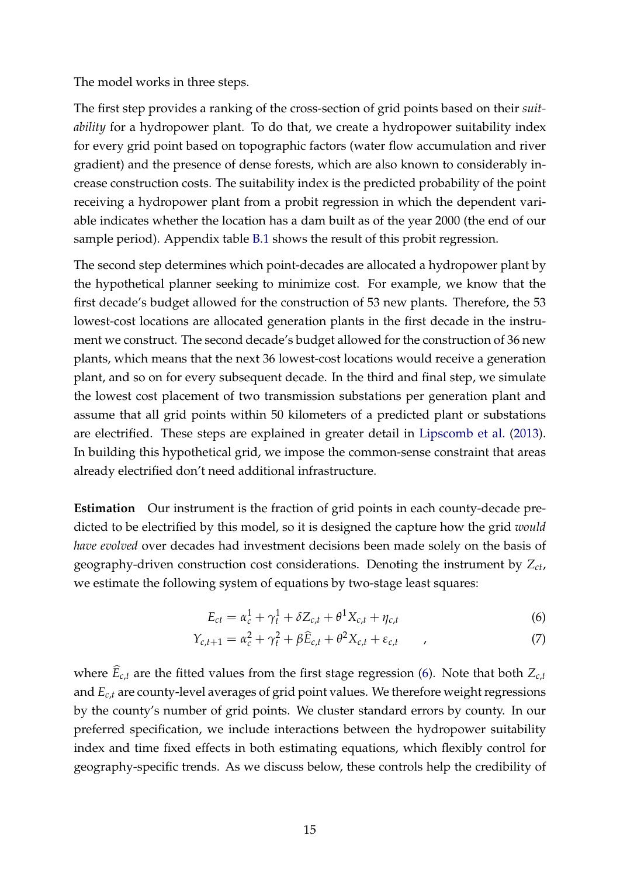The model works in three steps.

The first step provides a ranking of the cross-section of grid points based on their *suitability* for a hydropower plant. To do that, we create a hydropower suitability index for every grid point based on topographic factors (water flow accumulation and river gradient) and the presence of dense forests, which are also known to considerably increase construction costs. The suitability index is the predicted probability of the point receiving a hydropower plant from a probit regression in which the dependent variable indicates whether the location has a dam built as of the year 2000 (the end of our sample period). Appendix table [B.1](#page-40-1) shows the result of this probit regression.

The second step determines which point-decades are allocated a hydropower plant by the hypothetical planner seeking to minimize cost. For example, we know that the first decade's budget allowed for the construction of 53 new plants. Therefore, the 53 lowest-cost locations are allocated generation plants in the first decade in the instrument we construct. The second decade's budget allowed for the construction of 36 new plants, which means that the next 36 lowest-cost locations would receive a generation plant, and so on for every subsequent decade. In the third and final step, we simulate the lowest cost placement of two transmission substations per generation plant and assume that all grid points within 50 kilometers of a predicted plant or substations are electrified. These steps are explained in greater detail in [Lipscomb et al.](#page-36-0) [\(2013\)](#page-36-0). In building this hypothetical grid, we impose the common-sense constraint that areas already electrified don't need additional infrastructure.

**Estimation** Our instrument is the fraction of grid points in each county-decade predicted to be electrified by this model, so it is designed the capture how the grid *would have evolved* over decades had investment decisions been made solely on the basis of geography-driven construction cost considerations. Denoting the instrument by *Zct*, we estimate the following system of equations by two-stage least squares:

<span id="page-15-1"></span><span id="page-15-0"></span>
$$
E_{ct} = \alpha_c^1 + \gamma_t^1 + \delta Z_{c,t} + \theta^1 X_{c,t} + \eta_{c,t}
$$
 (6)

$$
Y_{c,t+1} = \alpha_c^2 + \gamma_t^2 + \beta \widehat{E}_{c,t} + \theta^2 X_{c,t} + \varepsilon_{c,t} \tag{7}
$$

where  $\widehat{E}_{c,t}$  are the fitted values from the first stage regression [\(6\)](#page-15-0). Note that both  $Z_{c,t}$ and *Ec*,*<sup>t</sup>* are county-level averages of grid point values. We therefore weight regressions by the county's number of grid points. We cluster standard errors by county. In our preferred specification, we include interactions between the hydropower suitability index and time fixed effects in both estimating equations, which flexibly control for geography-specific trends. As we discuss below, these controls help the credibility of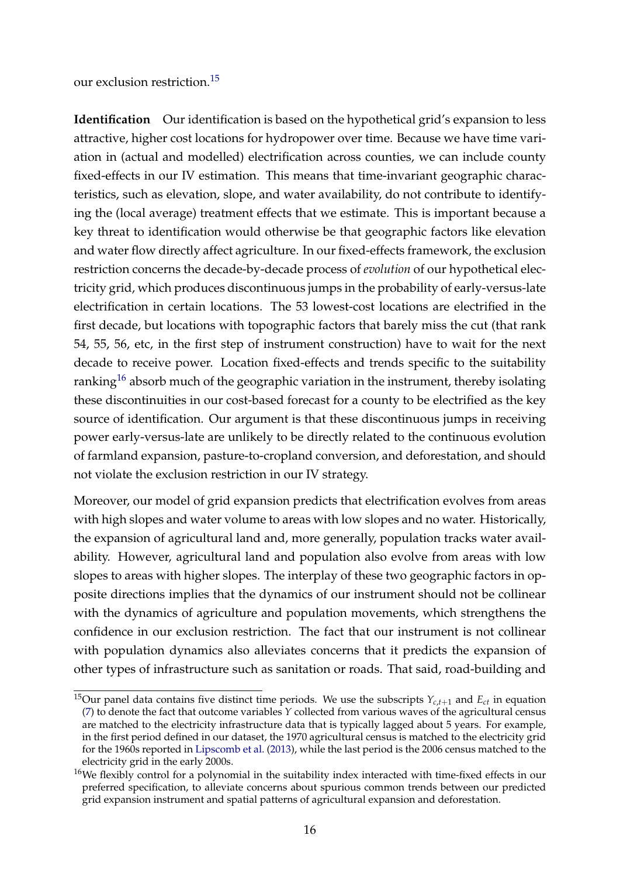our exclusion restriction.[15](#page-0-0)

**Identification** Our identification is based on the hypothetical grid's expansion to less attractive, higher cost locations for hydropower over time. Because we have time variation in (actual and modelled) electrification across counties, we can include county fixed-effects in our IV estimation. This means that time-invariant geographic characteristics, such as elevation, slope, and water availability, do not contribute to identifying the (local average) treatment effects that we estimate. This is important because a key threat to identification would otherwise be that geographic factors like elevation and water flow directly affect agriculture. In our fixed-effects framework, the exclusion restriction concerns the decade-by-decade process of *evolution* of our hypothetical electricity grid, which produces discontinuous jumps in the probability of early-versus-late electrification in certain locations. The 53 lowest-cost locations are electrified in the first decade, but locations with topographic factors that barely miss the cut (that rank 54, 55, 56, etc, in the first step of instrument construction) have to wait for the next decade to receive power. Location fixed-effects and trends specific to the suitability ranking<sup>[16](#page-0-0)</sup> absorb much of the geographic variation in the instrument, thereby isolating these discontinuities in our cost-based forecast for a county to be electrified as the key source of identification. Our argument is that these discontinuous jumps in receiving power early-versus-late are unlikely to be directly related to the continuous evolution of farmland expansion, pasture-to-cropland conversion, and deforestation, and should not violate the exclusion restriction in our IV strategy.

Moreover, our model of grid expansion predicts that electrification evolves from areas with high slopes and water volume to areas with low slopes and no water. Historically, the expansion of agricultural land and, more generally, population tracks water availability. However, agricultural land and population also evolve from areas with low slopes to areas with higher slopes. The interplay of these two geographic factors in opposite directions implies that the dynamics of our instrument should not be collinear with the dynamics of agriculture and population movements, which strengthens the confidence in our exclusion restriction. The fact that our instrument is not collinear with population dynamics also alleviates concerns that it predicts the expansion of other types of infrastructure such as sanitation or roads. That said, road-building and

<sup>&</sup>lt;sup>15</sup>Our panel data contains five distinct time periods. We use the subscripts  $Y_{c,t+1}$  and  $E_{ct}$  in equation [\(7\)](#page-15-1) to denote the fact that outcome variables *Y* collected from various waves of the agricultural census are matched to the electricity infrastructure data that is typically lagged about 5 years. For example, in the first period defined in our dataset, the 1970 agricultural census is matched to the electricity grid for the 1960s reported in [Lipscomb et al.](#page-36-0) [\(2013\)](#page-36-0), while the last period is the 2006 census matched to the electricity grid in the early 2000s.

<sup>&</sup>lt;sup>16</sup>We flexibly control for a polynomial in the suitability index interacted with time-fixed effects in our preferred specification, to alleviate concerns about spurious common trends between our predicted grid expansion instrument and spatial patterns of agricultural expansion and deforestation.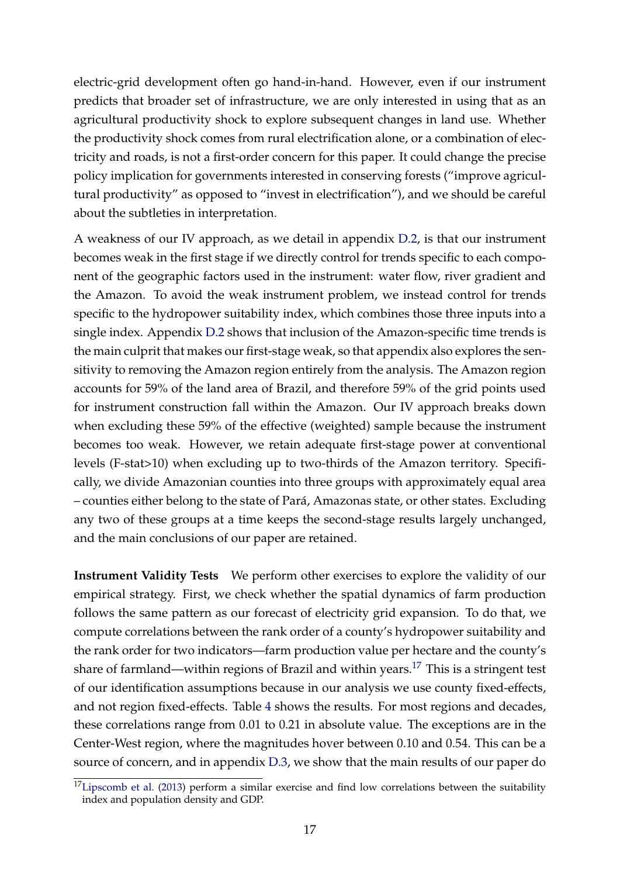electric-grid development often go hand-in-hand. However, even if our instrument predicts that broader set of infrastructure, we are only interested in using that as an agricultural productivity shock to explore subsequent changes in land use. Whether the productivity shock comes from rural electrification alone, or a combination of electricity and roads, is not a first-order concern for this paper. It could change the precise policy implication for governments interested in conserving forests ("improve agricultural productivity" as opposed to "invest in electrification"), and we should be careful about the subtleties in interpretation.

A weakness of our IV approach, as we detail in appendix [D.2,](#page-42-0) is that our instrument becomes weak in the first stage if we directly control for trends specific to each component of the geographic factors used in the instrument: water flow, river gradient and the Amazon. To avoid the weak instrument problem, we instead control for trends specific to the hydropower suitability index, which combines those three inputs into a single index. Appendix [D.2](#page-42-0) shows that inclusion of the Amazon-specific time trends is the main culprit that makes our first-stage weak, so that appendix also explores the sensitivity to removing the Amazon region entirely from the analysis. The Amazon region accounts for 59% of the land area of Brazil, and therefore 59% of the grid points used for instrument construction fall within the Amazon. Our IV approach breaks down when excluding these 59% of the effective (weighted) sample because the instrument becomes too weak. However, we retain adequate first-stage power at conventional levels (F-stat>10) when excluding up to two-thirds of the Amazon territory. Specifically, we divide Amazonian counties into three groups with approximately equal area – counties either belong to the state of Pará, Amazonas state, or other states. Excluding any two of these groups at a time keeps the second-stage results largely unchanged, and the main conclusions of our paper are retained.

**Instrument Validity Tests** We perform other exercises to explore the validity of our empirical strategy. First, we check whether the spatial dynamics of farm production follows the same pattern as our forecast of electricity grid expansion. To do that, we compute correlations between the rank order of a county's hydropower suitability and the rank order for two indicators—farm production value per hectare and the county's share of farmland—within regions of Brazil and within years.<sup>[17](#page-0-0)</sup> This is a stringent test of our identification assumptions because in our analysis we use county fixed-effects, and not region fixed-effects. Table [4](#page-18-0) shows the results. For most regions and decades, these correlations range from 0.01 to 0.21 in absolute value. The exceptions are in the Center-West region, where the magnitudes hover between 0.10 and 0.54. This can be a source of concern, and in appendix [D.3,](#page-47-0) we show that the main results of our paper do

 $17$ [Lipscomb et al.](#page-36-0) [\(2013\)](#page-36-0) perform a similar exercise and find low correlations between the suitability index and population density and GDP.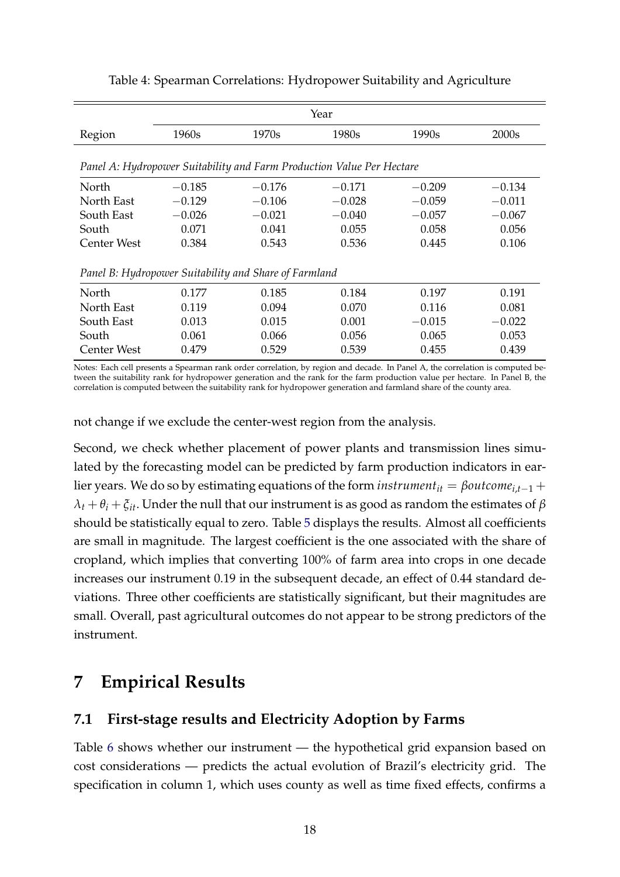<span id="page-18-0"></span>

|                                                                       | Year     |          |          |          |                   |  |
|-----------------------------------------------------------------------|----------|----------|----------|----------|-------------------|--|
| Region                                                                | 1960s    | 1970s    | 1980s    | 1990s    | 2000 <sub>s</sub> |  |
| Panel A: Hydropower Suitability and Farm Production Value Per Hectare |          |          |          |          |                   |  |
| North                                                                 | $-0.185$ | $-0.176$ | $-0.171$ | $-0.209$ | $-0.134$          |  |
| North East                                                            | $-0.129$ | $-0.106$ | $-0.028$ | $-0.059$ | $-0.011$          |  |
| South East                                                            | $-0.026$ | $-0.021$ | $-0.040$ | $-0.057$ | $-0.067$          |  |
| South                                                                 | 0.071    | 0.041    | 0.055    | 0.058    | 0.056             |  |
| Center West                                                           | 0.384    | 0.543    | 0.536    | 0.445    | 0.106             |  |
| Panel B: Hydropower Suitability and Share of Farmland                 |          |          |          |          |                   |  |
| North                                                                 | 0.177    | 0.185    | 0.184    | 0.197    | 0.191             |  |
| North East                                                            | 0.119    | 0.094    | 0.070    | 0.116    | 0.081             |  |
| South East                                                            | 0.013    | 0.015    | 0.001    | $-0.015$ | $-0.022$          |  |
| South                                                                 | 0.061    | 0.066    | 0.056    | 0.065    | 0.053             |  |
| Center West                                                           | 0.479    | 0.529    | 0.539    | 0.455    | 0.439             |  |

#### Table 4: Spearman Correlations: Hydropower Suitability and Agriculture

Notes: Each cell presents a Spearman rank order correlation, by region and decade. In Panel A, the correlation is computed between the suitability rank for hydropower generation and the rank for the farm production value per hectare. In Panel B, the correlation is computed between the suitability rank for hydropower generation and farmland share of the county area.

not change if we exclude the center-west region from the analysis.

Second, we check whether placement of power plants and transmission lines simulated by the forecasting model can be predicted by farm production indicators in earlier years. We do so by estimating equations of the form *instrument*<sub>*it*</sub> =  $\beta$ *outcome*<sub>*it*-1</sub> +  $\lambda_t + \theta_i + \xi_{it}$ . Under the null that our instrument is as good as random the estimates of  $\beta$ should be statistically equal to zero. Table [5](#page-19-0) displays the results. Almost all coefficients are small in magnitude. The largest coefficient is the one associated with the share of cropland, which implies that converting 100% of farm area into crops in one decade increases our instrument 0.19 in the subsequent decade, an effect of 0.44 standard deviations. Three other coefficients are statistically significant, but their magnitudes are small. Overall, past agricultural outcomes do not appear to be strong predictors of the instrument.

# **7 Empirical Results**

### **7.1 First-stage results and Electricity Adoption by Farms**

Table [6](#page-21-0) shows whether our instrument — the hypothetical grid expansion based on cost considerations — predicts the actual evolution of Brazil's electricity grid. The specification in column 1, which uses county as well as time fixed effects, confirms a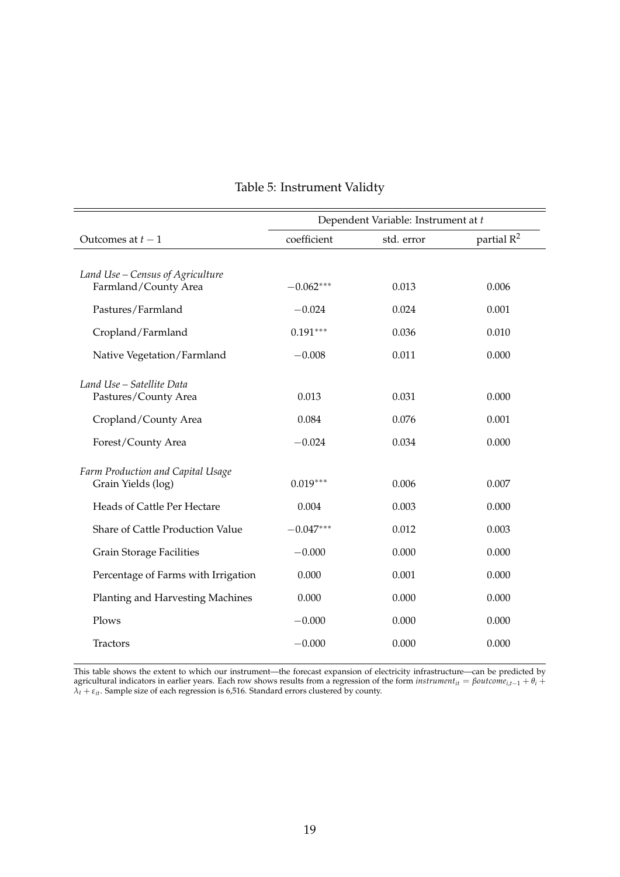<span id="page-19-0"></span>

|                                                          |             | Dependent Variable: Instrument at t |                        |
|----------------------------------------------------------|-------------|-------------------------------------|------------------------|
| Outcomes at $t-1$                                        | coefficient | std. error                          | partial R <sup>2</sup> |
|                                                          |             |                                     |                        |
| Land Use - Census of Agriculture<br>Farmland/County Area | $-0.062***$ | 0.013                               | 0.006                  |
| Pastures/Farmland                                        | $-0.024$    | 0.024                               | 0.001                  |
| Cropland/Farmland                                        | $0.191***$  | 0.036                               | 0.010                  |
| Native Vegetation/Farmland                               | $-0.008$    | 0.011                               | 0.000                  |
| Land Use – Satellite Data                                |             |                                     |                        |
| Pastures/County Area                                     | 0.013       | 0.031                               | 0.000                  |
| Cropland/County Area                                     | 0.084       | 0.076                               | 0.001                  |
| Forest/County Area                                       | $-0.024$    | 0.034                               | 0.000                  |
| Farm Production and Capital Usage                        |             |                                     |                        |
| Grain Yields (log)                                       | $0.019***$  | 0.006                               | 0.007                  |
| Heads of Cattle Per Hectare                              | 0.004       | 0.003                               | 0.000                  |
| Share of Cattle Production Value                         | $-0.047***$ | 0.012                               | 0.003                  |
| <b>Grain Storage Facilities</b>                          | $-0.000$    | 0.000                               | 0.000                  |
| Percentage of Farms with Irrigation                      | 0.000       | 0.001                               | 0.000                  |
| Planting and Harvesting Machines                         | 0.000       | 0.000                               | 0.000                  |
| Plows                                                    | $-0.000$    | 0.000                               | 0.000                  |
| <b>Tractors</b>                                          | $-0.000$    | 0.000                               | 0.000                  |

## Table 5: Instrument Validty

This table shows the extent to which our instrument—the forecast expansion of electricity infrastructure—can be predicted by agricultural indicators in earlier years. Each row shows results from a regression of the form *instrumentit* = *βoutcomei*,*t*−<sup>1</sup> + *θ<sup>i</sup>* +  $\lambda_t + \varepsilon_{it}$ . Sample size of each regression is 6,516. Standard errors clustered by county.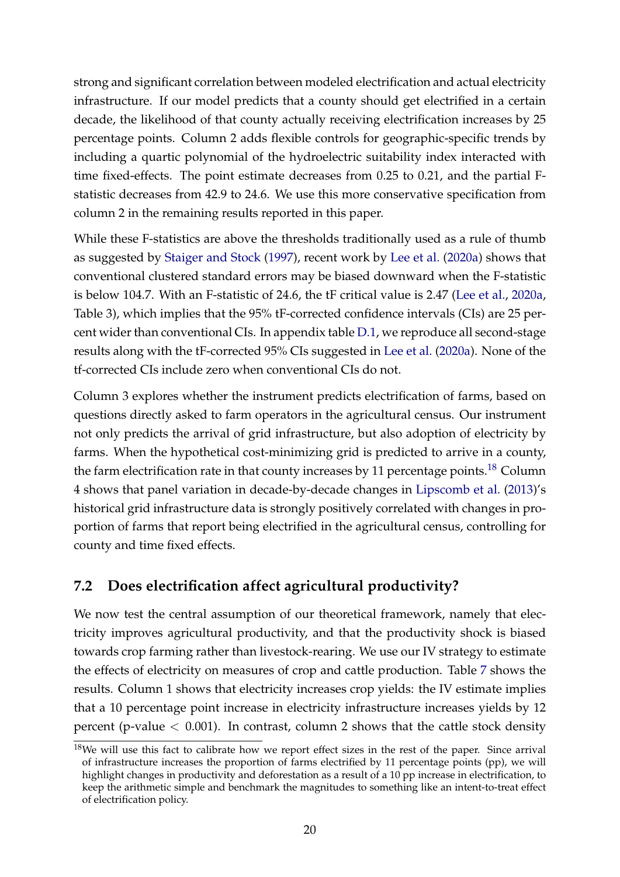strong and significant correlation between modeled electrification and actual electricity infrastructure. If our model predicts that a county should get electrified in a certain decade, the likelihood of that county actually receiving electrification increases by 25 percentage points. Column 2 adds flexible controls for geographic-specific trends by including a quartic polynomial of the hydroelectric suitability index interacted with time fixed-effects. The point estimate decreases from 0.25 to 0.21, and the partial Fstatistic decreases from 42.9 to 24.6. We use this more conservative specification from column 2 in the remaining results reported in this paper.

While these F-statistics are above the thresholds traditionally used as a rule of thumb as suggested by [Staiger and Stock](#page-37-6) [\(1997\)](#page-37-6), recent work by [Lee et al.](#page-35-12) [\(2020a\)](#page-35-12) shows that conventional clustered standard errors may be biased downward when the F-statistic is below 104.7. With an F-statistic of 24.6, the tF critical value is 2.47 [\(Lee et al.,](#page-35-12) [2020a,](#page-35-12) Table 3), which implies that the 95% tF-corrected confidence intervals (CIs) are 25 percent wider than conventional CIs. In appendix table [D.1,](#page-41-0) we reproduce all second-stage results along with the tF-corrected 95% CIs suggested in [Lee et al.](#page-35-12) [\(2020a\)](#page-35-12). None of the tf-corrected CIs include zero when conventional CIs do not.

Column 3 explores whether the instrument predicts electrification of farms, based on questions directly asked to farm operators in the agricultural census. Our instrument not only predicts the arrival of grid infrastructure, but also adoption of electricity by farms. When the hypothetical cost-minimizing grid is predicted to arrive in a county, the farm electrification rate in that county increases by 11 percentage points.<sup>[18](#page-0-0)</sup> Column 4 shows that panel variation in decade-by-decade changes in [Lipscomb et al.](#page-36-0) [\(2013\)](#page-36-0)'s historical grid infrastructure data is strongly positively correlated with changes in proportion of farms that report being electrified in the agricultural census, controlling for county and time fixed effects.

# **7.2 Does electrification affect agricultural productivity?**

We now test the central assumption of our theoretical framework, namely that electricity improves agricultural productivity, and that the productivity shock is biased towards crop farming rather than livestock-rearing. We use our IV strategy to estimate the effects of electricity on measures of crop and cattle production. Table [7](#page-22-0) shows the results. Column 1 shows that electricity increases crop yields: the IV estimate implies that a 10 percentage point increase in electricity infrastructure increases yields by 12 percent (p-value  $<$  0.001). In contrast, column 2 shows that the cattle stock density

 $18$ We will use this fact to calibrate how we report effect sizes in the rest of the paper. Since arrival of infrastructure increases the proportion of farms electrified by 11 percentage points (pp), we will highlight changes in productivity and deforestation as a result of a 10 pp increase in electrification, to keep the arithmetic simple and benchmark the magnitudes to something like an intent-to-treat effect of electrification policy.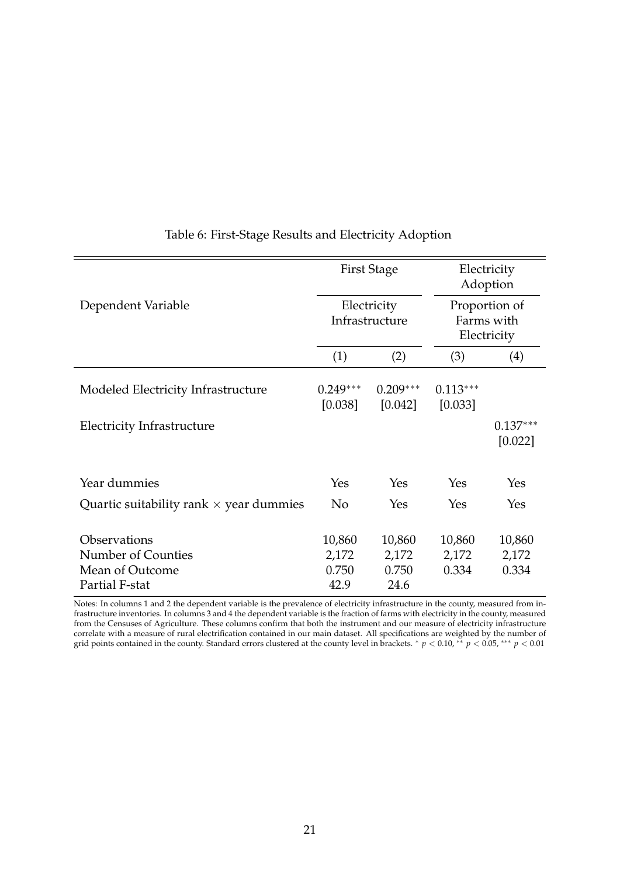<span id="page-21-0"></span>

|                                                | <b>First Stage</b><br>Electricity<br>Infrastructure |                       | Electricity<br>Adoption<br>Proportion of<br>Farms with<br>Electricity |                       |
|------------------------------------------------|-----------------------------------------------------|-----------------------|-----------------------------------------------------------------------|-----------------------|
| Dependent Variable                             |                                                     |                       |                                                                       |                       |
|                                                | (1)                                                 | (2)                   | (3)                                                                   | (4)                   |
| Modeled Electricity Infrastructure             | $0.249***$<br>[0.038]                               | $0.209***$<br>[0.042] | $0.113***$<br>[0.033]                                                 |                       |
| Electricity Infrastructure                     |                                                     |                       |                                                                       | $0.137***$<br>[0.022] |
| Year dummies                                   | Yes                                                 | Yes                   | Yes                                                                   | Yes                   |
| Quartic suitability rank $\times$ year dummies | N <sub>o</sub>                                      | Yes                   | Yes                                                                   | Yes                   |
| Observations<br>Number of Counties             | 10,860<br>2,172                                     | 10,860<br>2,172       | 10,860<br>2,172                                                       | 10,860<br>2,172       |
| Mean of Outcome<br>Partial F-stat              | 0.750<br>42.9                                       | 0.750<br>24.6         | 0.334                                                                 | 0.334                 |

#### <span id="page-21-1"></span>Table 6: First-Stage Results and Electricity Adoption

Notes: In columns 1 and 2 the dependent variable is the prevalence of electricity infrastructure in the county, measured from infrastructure inventories. In columns 3 and 4 the dependent variable is the fraction of farms with electricity in the county, measured from the Censuses of Agriculture. These columns confirm that both the instrument and our measure of electricity infrastructure correlate with a measure of rural electrification contained in our main dataset. All specifications are weighted by the number of grid points contained in the county. Standard errors clustered at the county level in brackets. \*  $p < 0.10$ , \*\*  $p < 0.05$ , \*\*\*  $p < 0.01$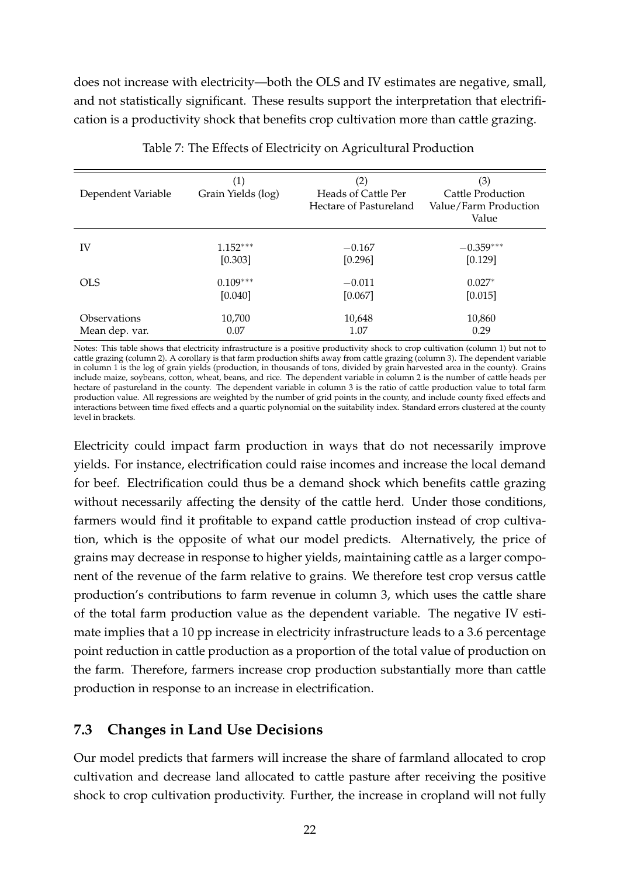does not increase with electricity—both the OLS and IV estimates are negative, small, and not statistically significant. These results support the interpretation that electrification is a productivity shock that benefits crop cultivation more than cattle grazing.

<span id="page-22-0"></span>

| Dependent Variable | (1)<br>Grain Yields (log) | (2)<br>Heads of Cattle Per<br>Hectare of Pastureland | (3)<br>Cattle Production<br>Value/Farm Production<br>Value |
|--------------------|---------------------------|------------------------------------------------------|------------------------------------------------------------|
| IV                 | $1.152***$                | $-0.167$                                             | $-0.359***$                                                |
|                    | [0.303]                   | [0.296]                                              | [0.129]                                                    |
| <b>OLS</b>         | $0.109***$                | $-0.011$                                             | $0.027*$                                                   |
|                    | [0.040]                   | [0.067]                                              | [0.015]                                                    |
| Observations       | 10,700                    | 10,648                                               | 10,860                                                     |
| Mean dep. var.     | 0.07                      | 1.07                                                 | 0.29                                                       |

Table 7: The Effects of Electricity on Agricultural Production

Notes: This table shows that electricity infrastructure is a positive productivity shock to crop cultivation (column 1) but not to cattle grazing (column 2). A corollary is that farm production shifts away from cattle grazing (column 3). The dependent variable in column 1 is the log of grain yields (production, in thousands of tons, divided by grain harvested area in the county). Grains include maize, soybeans, cotton, wheat, beans, and rice. The dependent variable in column 2 is the number of cattle heads per hectare of pastureland in the county. The dependent variable in column 3 is the ratio of cattle production value to total farm production value. All regressions are weighted by the number of grid points in the county, and include county fixed effects and interactions between time fixed effects and a quartic polynomial on the suitability index. Standard errors clustered at the county level in brackets.

Electricity could impact farm production in ways that do not necessarily improve yields. For instance, electrification could raise incomes and increase the local demand for beef. Electrification could thus be a demand shock which benefits cattle grazing without necessarily affecting the density of the cattle herd. Under those conditions, farmers would find it profitable to expand cattle production instead of crop cultivation, which is the opposite of what our model predicts. Alternatively, the price of grains may decrease in response to higher yields, maintaining cattle as a larger component of the revenue of the farm relative to grains. We therefore test crop versus cattle production's contributions to farm revenue in column 3, which uses the cattle share of the total farm production value as the dependent variable. The negative IV estimate implies that a 10 pp increase in electricity infrastructure leads to a 3.6 percentage point reduction in cattle production as a proportion of the total value of production on the farm. Therefore, farmers increase crop production substantially more than cattle production in response to an increase in electrification.

## **7.3 Changes in Land Use Decisions**

Our model predicts that farmers will increase the share of farmland allocated to crop cultivation and decrease land allocated to cattle pasture after receiving the positive shock to crop cultivation productivity. Further, the increase in cropland will not fully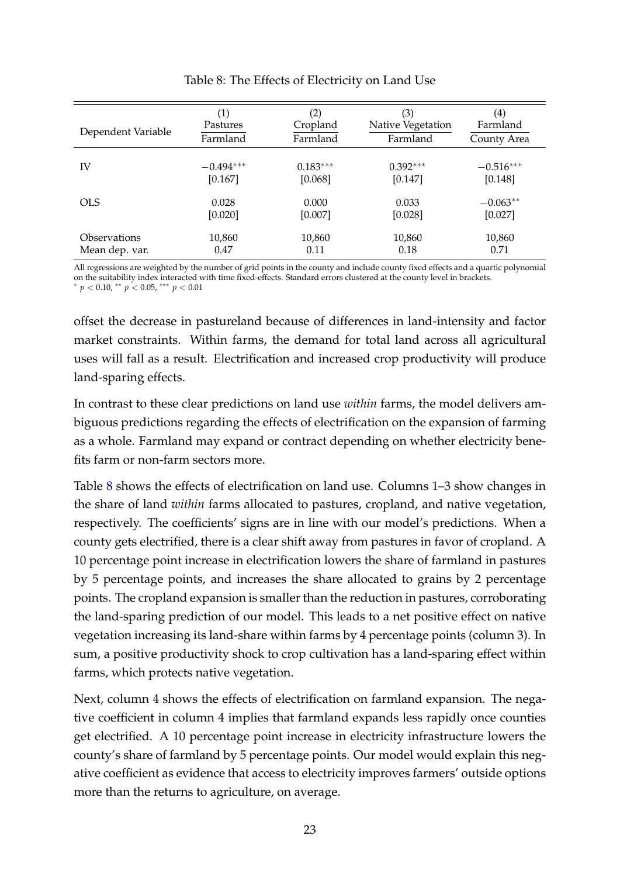<span id="page-23-0"></span>

| Dependent Variable | (1)         | $\left( 2\right)$ | (3)               | $\scriptstyle{(4)}$ |
|--------------------|-------------|-------------------|-------------------|---------------------|
|                    | Pastures    | Cropland          | Native Vegetation | Farmland            |
|                    | Farmland    | Farmland          | Farmland          | County Area         |
| IV                 | $-0.494***$ | $0.183***$        | $0.392***$        | $-0.516***$         |
|                    | [0.167]     | [0.068]           | [0.147]           | [0.148]             |
| <b>OLS</b>         | 0.028       | 0.000             | 0.033             | $-0.063**$          |
|                    | [0.020]     | [0.007]           | [0.028]           | [0.027]             |
| Observations       | 10,860      | 10,860            | 10,860            | 10,860              |
| Mean dep. var.     | 0.47        | 0.11              | 0.18              | 0.71                |

#### Table 8: The Effects of Electricity on Land Use

All regressions are weighted by the number of grid points in the county and include county fixed effects and a quartic polynomial on the suitability index interacted with time fixed-effects. Standard errors clustered at the county level in brackets. <sup>∗</sup> *p* < 0.10, ∗∗ *p* < 0.05, ∗∗∗ *p* < 0.01

offset the decrease in pastureland because of differences in land-intensity and factor market constraints. Within farms, the demand for total land across all agricultural uses will fall as a result. Electrification and increased crop productivity will produce land-sparing effects.

In contrast to these clear predictions on land use *within* farms, the model delivers ambiguous predictions regarding the effects of electrification on the expansion of farming as a whole. Farmland may expand or contract depending on whether electricity benefits farm or non-farm sectors more.

Table [8](#page-23-0) shows the effects of electrification on land use. Columns 1–3 show changes in the share of land *within* farms allocated to pastures, cropland, and native vegetation, respectively. The coefficients' signs are in line with our model's predictions. When a county gets electrified, there is a clear shift away from pastures in favor of cropland. A 10 percentage point increase in electrification lowers the share of farmland in pastures by 5 percentage points, and increases the share allocated to grains by 2 percentage points. The cropland expansion is smaller than the reduction in pastures, corroborating the land-sparing prediction of our model. This leads to a net positive effect on native vegetation increasing its land-share within farms by 4 percentage points (column 3). In sum, a positive productivity shock to crop cultivation has a land-sparing effect within farms, which protects native vegetation.

Next, column 4 shows the effects of electrification on farmland expansion. The negative coefficient in column 4 implies that farmland expands less rapidly once counties get electrified. A 10 percentage point increase in electricity infrastructure lowers the county's share of farmland by 5 percentage points. Our model would explain this negative coefficient as evidence that access to electricity improves farmers' outside options more than the returns to agriculture, on average.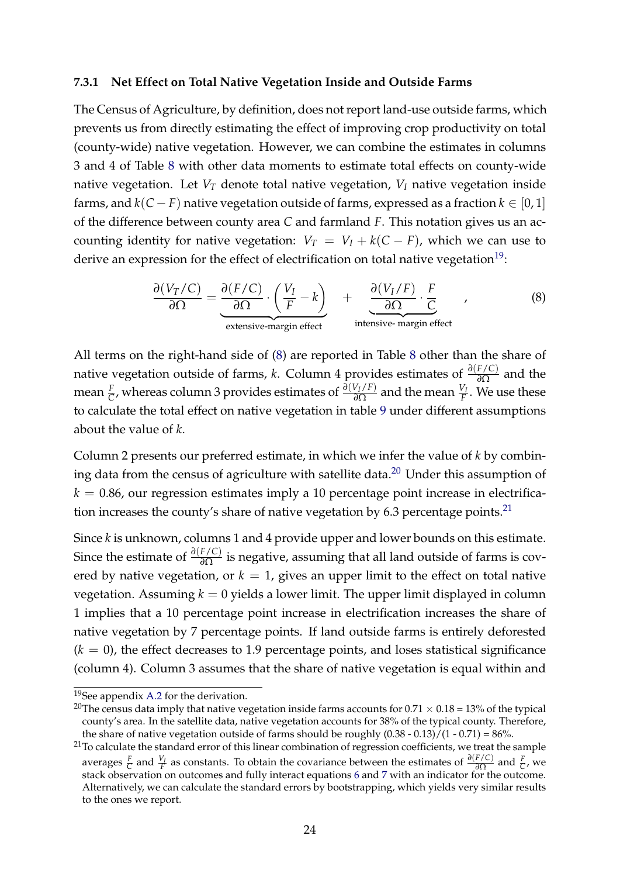#### **7.3.1 Net Effect on Total Native Vegetation Inside and Outside Farms**

The Census of Agriculture, by definition, does not report land-use outside farms, which prevents us from directly estimating the effect of improving crop productivity on total (county-wide) native vegetation. However, we can combine the estimates in columns 3 and 4 of Table [8](#page-23-0) with other data moments to estimate total effects on county-wide native vegetation. Let  $V_T$  denote total native vegetation,  $V_I$  native vegetation inside farms, and  $k(C - F)$  native vegetation outside of farms, expressed as a fraction  $k \in [0, 1]$ of the difference between county area *C* and farmland *F*. This notation gives us an accounting identity for native vegetation:  $V_T = V_I + k(C - F)$ , which we can use to derive an expression for the effect of electrification on total native vegetation<sup>[19](#page-0-0)</sup>:

<span id="page-24-0"></span>
$$
\frac{\partial (V_T/C)}{\partial \Omega} = \underbrace{\frac{\partial (F/C)}{\partial \Omega} \cdot \left(\frac{V_I}{F} - k\right)}_{\text{extensive-margin effect}} + \underbrace{\frac{\partial (V_I/F)}{\partial \Omega} \cdot \frac{F}{C}}_{\text{intensive-margin effect}} ,\qquad (8)
$$

All terms on the right-hand side of [\(8\)](#page-24-0) are reported in Table [8](#page-23-0) other than the share of native vegetation outside of farms, *k*. Column 4 provides estimates of *<sup>∂</sup>*(*F*/*C*) *∂*Ω and the mean  $\frac{F}{C}$ , whereas column 3 provides estimates of  $\frac{\partial (V_I/F)}{\partial \Omega}$  and the mean  $\frac{V_I}{F}$ . We use these to calculate the total effect on native vegetation in table [9](#page-25-0) under different assumptions about the value of *k*.

Column 2 presents our preferred estimate, in which we infer the value of *k* by combin-ing data from the census of agriculture with satellite data.<sup>[20](#page-0-0)</sup> Under this assumption of  $k = 0.86$ , our regression estimates imply a 10 percentage point increase in electrifica-tion increases the county's share of native vegetation by 6.3 percentage points.<sup>[21](#page-0-0)</sup>

Since *k* is unknown, columns 1 and 4 provide upper and lower bounds on this estimate. Since the estimate of *<sup>∂</sup>*(*F*/*C*) *∂*Ω is negative, assuming that all land outside of farms is covered by native vegetation, or  $k = 1$ , gives an upper limit to the effect on total native vegetation. Assuming  $k = 0$  yields a lower limit. The upper limit displayed in column 1 implies that a 10 percentage point increase in electrification increases the share of native vegetation by 7 percentage points. If land outside farms is entirely deforested  $(k = 0)$ , the effect decreases to 1.9 percentage points, and loses statistical significance (column 4). Column 3 assumes that the share of native vegetation is equal within and

<sup>&</sup>lt;sup>19</sup>See appendix [A.2](#page-39-0) for the derivation.

<sup>&</sup>lt;sup>20</sup>The census data imply that native vegetation inside farms accounts for  $0.71 \times 0.18 = 13\%$  of the typical county's area. In the satellite data, native vegetation accounts for 38% of the typical county. Therefore, the share of native vegetation outside of farms should be roughly  $(0.38 - 0.13)/(1 - 0.71) = 86\%$ .

<sup>&</sup>lt;sup>21</sup>To calculate the standard error of this linear combination of regression coefficients, we treat the sample averages  $\frac{F}{C}$  and  $\frac{V_I}{F}$  as constants. To obtain the covariance between the estimates of  $\frac{\partial (F/C)}{\partial \Omega}$  and  $\frac{F}{C}$ , we stack observation on outcomes and fully interact equations [6](#page-15-0) and [7](#page-15-1) with an indicator for the outcome. Alternatively, we can calculate the standard errors by bootstrapping, which yields very similar results to the ones we report.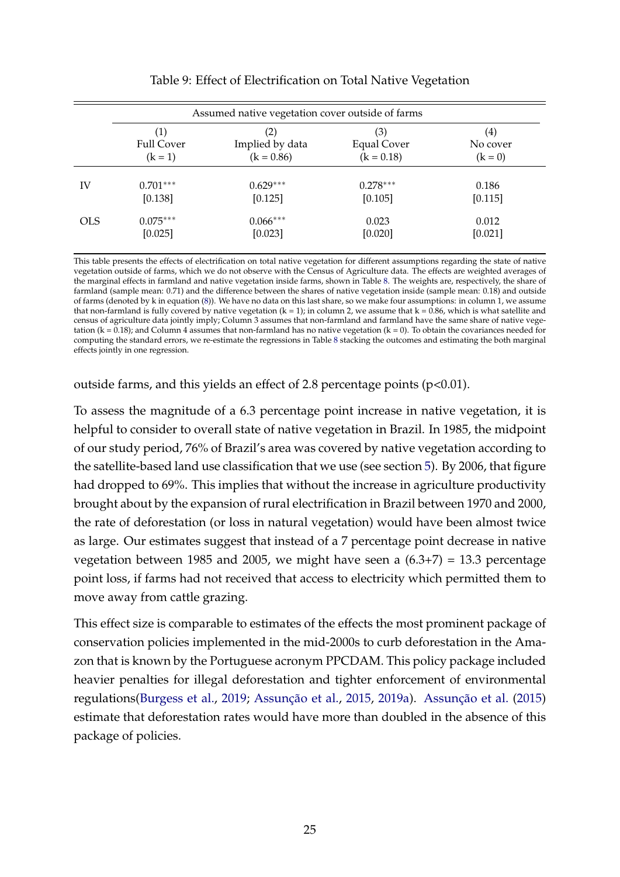<span id="page-25-0"></span>

|            |                                | Assumed native vegetation cover outside of farms |                                           |                                            |
|------------|--------------------------------|--------------------------------------------------|-------------------------------------------|--------------------------------------------|
|            | <b>Full Cover</b><br>$(k = 1)$ | (2)<br>Implied by data<br>$(k = 0.86)$           | (3)<br><b>Equal Cover</b><br>$(k = 0.18)$ | $\left( 4\right)$<br>No cover<br>$(k = 0)$ |
| IV         | $0.701***$                     | $0.629***$                                       | $0.278***$                                | 0.186                                      |
|            | [0.138]                        | [0.125]                                          | [0.105]                                   | [0.115]                                    |
| <b>OLS</b> | $0.075***$                     | $0.066***$                                       | 0.023                                     | 0.012                                      |
|            | [0.025]                        | [0.023]                                          | [0.020]                                   | [0.021]                                    |

| Table 9: Effect of Electrification on Total Native Vegetation |  |  |
|---------------------------------------------------------------|--|--|
|---------------------------------------------------------------|--|--|

This table presents the effects of electrification on total native vegetation for different assumptions regarding the state of native vegetation outside of farms, which we do not observe with the Census of Agriculture data. The effects are weighted averages of the marginal effects in farmland and native vegetation inside farms, shown in Table [8.](#page-23-0) The weights are, respectively, the share of farmland (sample mean: 0.71) and the difference between the shares of native vegetation inside (sample mean: 0.18) and outside of farms (denoted by k in equation [\(8\)](#page-24-0)). We have no data on this last share, so we make four assumptions: in column 1, we assume that non-farmland is fully covered by native vegetation  $(k = 1)$ ; in column 2, we assume that  $k = 0.86$ , which is what satellite and census of agriculture data jointly imply; Column 3 assumes that non-farmland and farmland have the same share of native vegetation ( $k = 0.18$ ); and Column 4 assumes that non-farmland has no native vegetation ( $k = 0$ ). To obtain the covariances needed for computing the standard errors, we re-estimate the regressions in Table [8](#page-23-0) stacking the outcomes and estimating the both marginal effects jointly in one regression.

outside farms, and this yields an effect of 2.8 percentage points (p<0.01).

To assess the magnitude of a 6.3 percentage point increase in native vegetation, it is helpful to consider to overall state of native vegetation in Brazil. In 1985, the midpoint of our study period, 76% of Brazil's area was covered by native vegetation according to the satellite-based land use classification that we use (see section [5\)](#page-10-0). By 2006, that figure had dropped to 69%. This implies that without the increase in agriculture productivity brought about by the expansion of rural electrification in Brazil between 1970 and 2000, the rate of deforestation (or loss in natural vegetation) would have been almost twice as large. Our estimates suggest that instead of a 7 percentage point decrease in native vegetation between 1985 and 2005, we might have seen a (6.3+7) = 13.3 percentage point loss, if farms had not received that access to electricity which permitted them to move away from cattle grazing.

This effect size is comparable to estimates of the effects the most prominent package of conservation policies implemented in the mid-2000s to curb deforestation in the Amazon that is known by the Portuguese acronym PPCDAM. This policy package included heavier penalties for illegal deforestation and tighter enforcement of environmental regulations[\(Burgess et al.,](#page-33-5) [2019;](#page-33-5) [Assunção et al.,](#page-33-6) [2015,](#page-33-6) [2019a\)](#page-33-9). [Assunção et al.](#page-33-6) [\(2015\)](#page-33-6) estimate that deforestation rates would have more than doubled in the absence of this package of policies.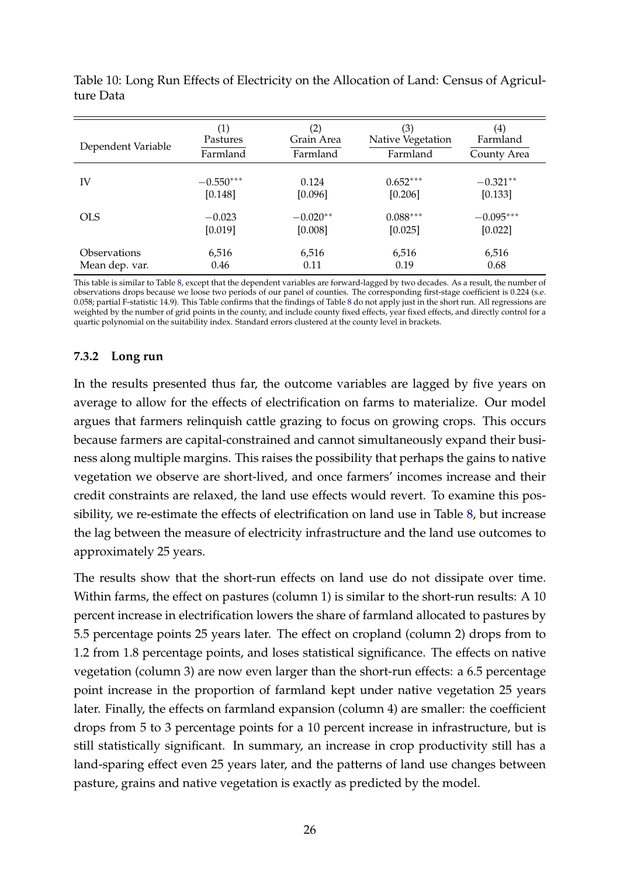<span id="page-26-0"></span>

| Dependent Variable | (1)         | $\left( 2\right)$ | (3)               | $\scriptstyle{(4)}$ |
|--------------------|-------------|-------------------|-------------------|---------------------|
|                    | Pastures    | Grain Area        | Native Vegetation | Farmland            |
|                    | Farmland    | Farmland          | Farmland          | County Area         |
| IV                 | $-0.550***$ | 0.124             | $0.652***$        | $-0.321**$          |
|                    | [0.148]     | [0.096]           | [0.206]           | [0.133]             |
| <b>OLS</b>         | $-0.023$    | $-0.020**$        | $0.088***$        | $-0.095***$         |
|                    | [0.019]     | [0.008]           | [0.025]           | [0.022]             |
| Observations       | 6,516       | 6,516             | 6,516             | 6,516               |
| Mean dep. var.     | 0.46        | 0.11              | 0.19              | 0.68                |

Table 10: Long Run Effects of Electricity on the Allocation of Land: Census of Agriculture Data

This table is similar to Table [8,](#page-23-0) except that the dependent variables are forward-lagged by two decades. As a result, the number of observations drops because we loose two periods of our panel of counties. The corresponding first-stage coefficient is 0.224 (s.e. 0.058; partial F-statistic 14.9). This Table confirms that the findings of Table [8](#page-23-0) do not apply just in the short run. All regressions are weighted by the number of grid points in the county, and include county fixed effects, year fixed effects, and directly control for a quartic polynomial on the suitability index. Standard errors clustered at the county level in brackets.

#### **7.3.2 Long run**

In the results presented thus far, the outcome variables are lagged by five years on average to allow for the effects of electrification on farms to materialize. Our model argues that farmers relinquish cattle grazing to focus on growing crops. This occurs because farmers are capital-constrained and cannot simultaneously expand their business along multiple margins. This raises the possibility that perhaps the gains to native vegetation we observe are short-lived, and once farmers' incomes increase and their credit constraints are relaxed, the land use effects would revert. To examine this possibility, we re-estimate the effects of electrification on land use in Table [8,](#page-23-0) but increase the lag between the measure of electricity infrastructure and the land use outcomes to approximately 25 years.

The results show that the short-run effects on land use do not dissipate over time. Within farms, the effect on pastures (column 1) is similar to the short-run results: A 10 percent increase in electrification lowers the share of farmland allocated to pastures by 5.5 percentage points 25 years later. The effect on cropland (column 2) drops from to 1.2 from 1.8 percentage points, and loses statistical significance. The effects on native vegetation (column 3) are now even larger than the short-run effects: a 6.5 percentage point increase in the proportion of farmland kept under native vegetation 25 years later. Finally, the effects on farmland expansion (column 4) are smaller: the coefficient drops from 5 to 3 percentage points for a 10 percent increase in infrastructure, but is still statistically significant. In summary, an increase in crop productivity still has a land-sparing effect even 25 years later, and the patterns of land use changes between pasture, grains and native vegetation is exactly as predicted by the model.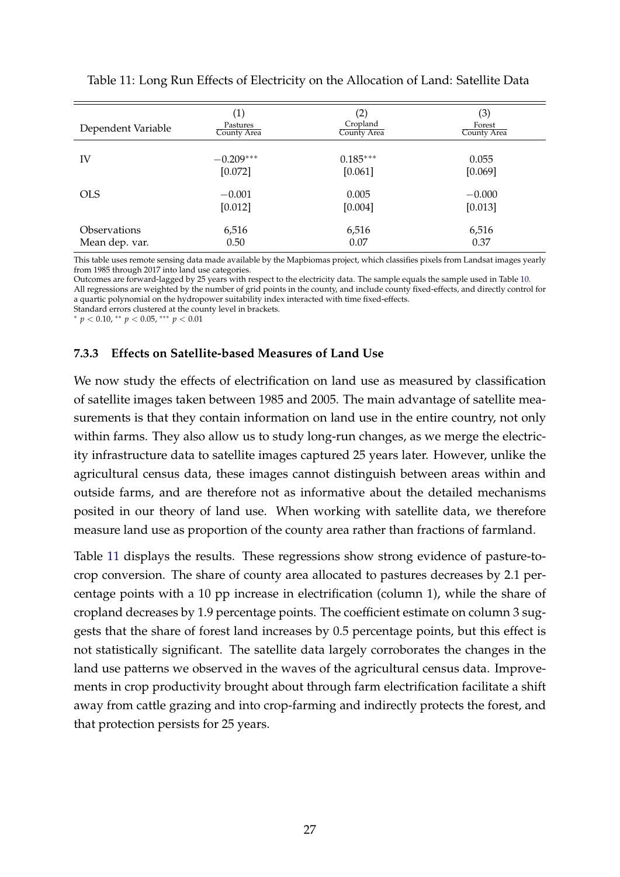<span id="page-27-0"></span>

| Dependent Variable         | $\left( 1\right)$ | (2)         | (3)         |
|----------------------------|-------------------|-------------|-------------|
|                            | Pastures          | Cropland    | Forest      |
|                            | County Area       | County Area | County Area |
| IV                         | $-0.209***$       | $0.185***$  | 0.055       |
|                            | [0.072]           | [0.061]     | [0.069]     |
| <b>OLS</b>                 | $-0.001$          | 0.005       | $-0.000$    |
|                            | [0.012]           | [0.004]     | [0.013]     |
| <i><b>Observations</b></i> | 6,516             | 6,516       | 6,516       |
| Mean dep. var.             | 0.50              | 0.07        | 0.37        |

Table 11: Long Run Effects of Electricity on the Allocation of Land: Satellite Data

This table uses remote sensing data made available by the Mapbiomas project, which classifies pixels from Landsat images yearly from 1985 through 2017 into land use categories.

Outcomes are forward-lagged by 25 years with respect to the electricity data. The sample equals the sample used in Table [10.](#page-26-0) All regressions are weighted by the number of grid points in the county, and include county fixed-effects, and directly control for a quartic polynomial on the hydropower suitability index interacted with time fixed-effects.

Standard errors clustered at the county level in brackets.

<sup>∗</sup> *p* < 0.10, ∗∗ *p* < 0.05, ∗∗∗ *p* < 0.01

#### **7.3.3 Effects on Satellite-based Measures of Land Use**

We now study the effects of electrification on land use as measured by classification of satellite images taken between 1985 and 2005. The main advantage of satellite measurements is that they contain information on land use in the entire country, not only within farms. They also allow us to study long-run changes, as we merge the electricity infrastructure data to satellite images captured 25 years later. However, unlike the agricultural census data, these images cannot distinguish between areas within and outside farms, and are therefore not as informative about the detailed mechanisms posited in our theory of land use. When working with satellite data, we therefore measure land use as proportion of the county area rather than fractions of farmland.

Table [11](#page-27-0) displays the results. These regressions show strong evidence of pasture-tocrop conversion. The share of county area allocated to pastures decreases by 2.1 percentage points with a 10 pp increase in electrification (column 1), while the share of cropland decreases by 1.9 percentage points. The coefficient estimate on column 3 suggests that the share of forest land increases by 0.5 percentage points, but this effect is not statistically significant. The satellite data largely corroborates the changes in the land use patterns we observed in the waves of the agricultural census data. Improvements in crop productivity brought about through farm electrification facilitate a shift away from cattle grazing and into crop-farming and indirectly protects the forest, and that protection persists for 25 years.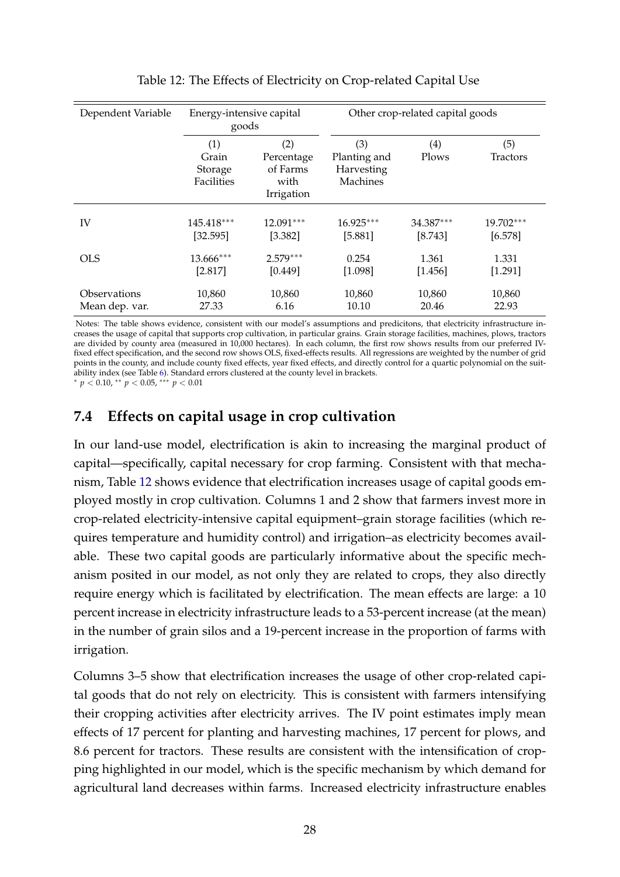<span id="page-28-0"></span>

| Dependent Variable | Energy-intensive capital<br>goods     |                                                     |                                               |                                              | Other crop-related capital goods |  |  |  |
|--------------------|---------------------------------------|-----------------------------------------------------|-----------------------------------------------|----------------------------------------------|----------------------------------|--|--|--|
|                    | (1)<br>Grain<br>Storage<br>Facilities | (2)<br>Percentage<br>of Farms<br>with<br>Irrigation | (3)<br>Planting and<br>Harvesting<br>Machines | $\left(4\right)$<br>Plows<br><b>Tractors</b> |                                  |  |  |  |
| IV                 | 145.418***                            | 12.091***                                           | 16.925***                                     | 34.387***                                    | 19.702***                        |  |  |  |
|                    | [32.595]                              | [3.382]                                             | [5.881]                                       | [8.743]                                      | [6.578]                          |  |  |  |
| <b>OLS</b>         | 13.666***                             | $2.579***$                                          | 0.254                                         | 1.361                                        | 1.331                            |  |  |  |
|                    | [2.817]                               | [0.449]                                             | [1.098]                                       | [1.456]                                      | [1.291]                          |  |  |  |
| Observations       | 10,860                                | 10,860                                              | 10,860                                        | 10,860                                       | 10,860                           |  |  |  |
| Mean dep. var.     | 27.33                                 | 6.16                                                | 10.10                                         | 20.46                                        | 22.93                            |  |  |  |

#### Table 12: The Effects of Electricity on Crop-related Capital Use

Notes: The table shows evidence, consistent with our model's assumptions and predicitons, that electricity infrastructure increases the usage of capital that supports crop cultivation, in particular grains. Grain storage facilities, machines, plows, tractors are divided by county area (measured in 10,000 hectares). In each column, the first row shows results from our preferred IVfixed effect specification, and the second row shows OLS, fixed-effects results. All regressions are weighted by the number of grid points in the county, and include county fixed effects, year fixed effects, and directly control for a quartic polynomial on the suitability index (see Table [6\)](#page-21-0). Standard errors clustered at the county level in brackets.

<sup>∗</sup> *p* < 0.10, ∗∗ *p* < 0.05, ∗∗∗ *p* < 0.01

## **7.4 Effects on capital usage in crop cultivation**

In our land-use model, electrification is akin to increasing the marginal product of capital—specifically, capital necessary for crop farming. Consistent with that mechanism, Table [12](#page-28-0) shows evidence that electrification increases usage of capital goods employed mostly in crop cultivation. Columns 1 and 2 show that farmers invest more in crop-related electricity-intensive capital equipment–grain storage facilities (which requires temperature and humidity control) and irrigation–as electricity becomes available. These two capital goods are particularly informative about the specific mechanism posited in our model, as not only they are related to crops, they also directly require energy which is facilitated by electrification. The mean effects are large: a 10 percent increase in electricity infrastructure leads to a 53-percent increase (at the mean) in the number of grain silos and a 19-percent increase in the proportion of farms with irrigation.

Columns 3–5 show that electrification increases the usage of other crop-related capital goods that do not rely on electricity. This is consistent with farmers intensifying their cropping activities after electricity arrives. The IV point estimates imply mean effects of 17 percent for planting and harvesting machines, 17 percent for plows, and 8.6 percent for tractors. These results are consistent with the intensification of cropping highlighted in our model, which is the specific mechanism by which demand for agricultural land decreases within farms. Increased electricity infrastructure enables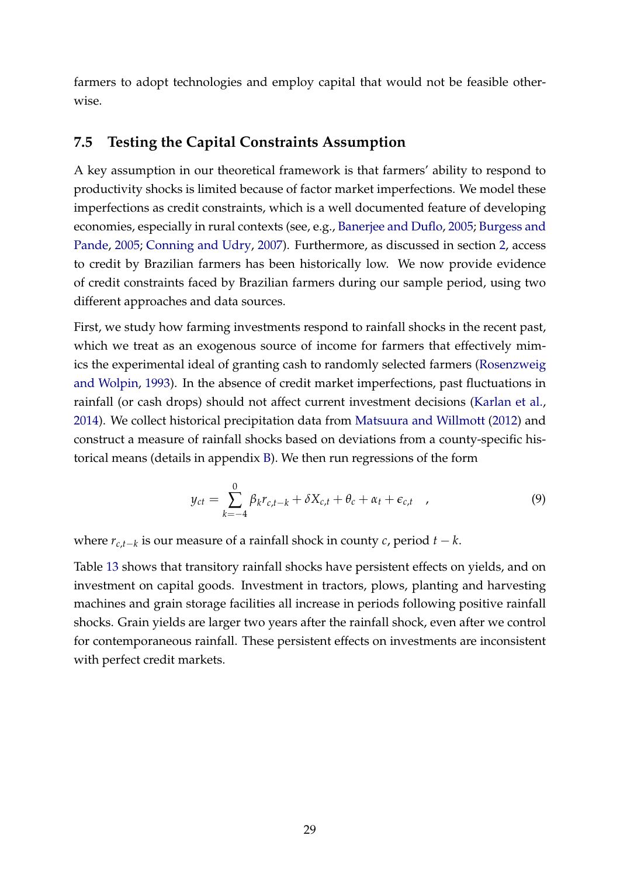farmers to adopt technologies and employ capital that would not be feasible otherwise.

## <span id="page-29-0"></span>**7.5 Testing the Capital Constraints Assumption**

A key assumption in our theoretical framework is that farmers' ability to respond to productivity shocks is limited because of factor market imperfections. We model these imperfections as credit constraints, which is a well documented feature of developing economies, especially in rural contexts (see, e.g., [Banerjee and Duflo,](#page-33-10) [2005;](#page-33-10) [Burgess and](#page-34-12) [Pande,](#page-34-12) [2005;](#page-34-12) [Conning and Udry,](#page-34-8) [2007\)](#page-34-8). Furthermore, as discussed in section [2,](#page-5-1) access to credit by Brazilian farmers has been historically low. We now provide evidence of credit constraints faced by Brazilian farmers during our sample period, using two different approaches and data sources.

First, we study how farming investments respond to rainfall shocks in the recent past, which we treat as an exogenous source of income for farmers that effectively mimics the experimental ideal of granting cash to randomly selected farmers [\(Rosenzweig](#page-36-9) [and Wolpin,](#page-36-9) [1993\)](#page-36-9). In the absence of credit market imperfections, past fluctuations in rainfall (or cash drops) should not affect current investment decisions [\(Karlan et al.,](#page-35-13) [2014\)](#page-35-13). We collect historical precipitation data from [Matsuura and Willmott](#page-36-10) [\(2012\)](#page-36-10) and construct a measure of rainfall shocks based on deviations from a county-specific historical means (details in appendix [B\)](#page-40-0). We then run regressions of the form

$$
y_{ct} = \sum_{k=-4}^{0} \beta_k r_{c,t-k} + \delta X_{c,t} + \theta_c + \alpha_t + \epsilon_{c,t} \quad , \tag{9}
$$

where *rc*,*t*−*<sup>k</sup>* is our measure of a rainfall shock in county *c*, period *t* − *k*.

Table [13](#page-30-0) shows that transitory rainfall shocks have persistent effects on yields, and on investment on capital goods. Investment in tractors, plows, planting and harvesting machines and grain storage facilities all increase in periods following positive rainfall shocks. Grain yields are larger two years after the rainfall shock, even after we control for contemporaneous rainfall. These persistent effects on investments are inconsistent with perfect credit markets.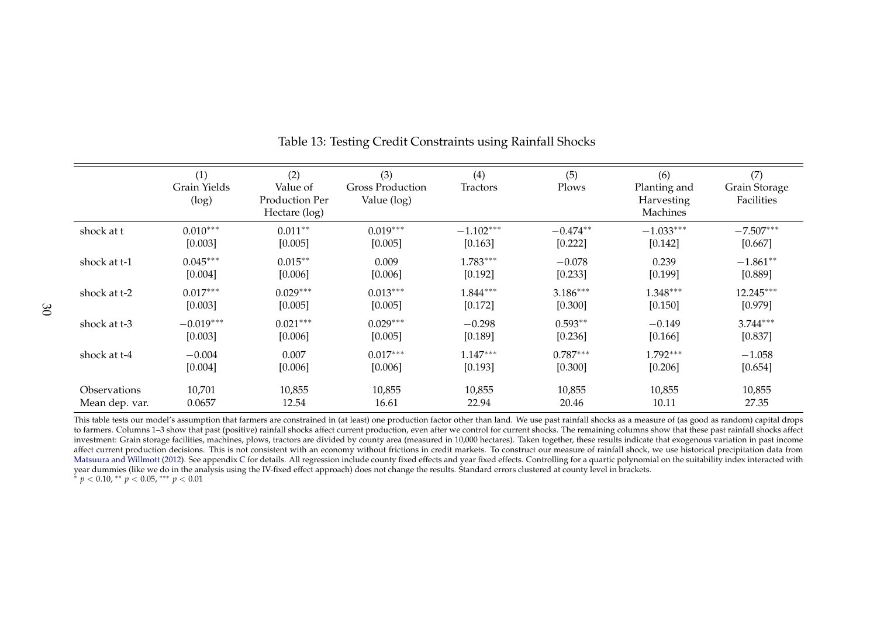|                     | (1)<br>Grain Yields<br>(log) | (2)<br>Value of<br>Production Per<br>Hectare (log) | (3)<br><b>Gross Production</b><br>Value (log) | (4)<br>Tractors | (5)<br>Plows | (6)<br>Planting and<br>Harvesting<br>Machines | (7)<br>Grain Storage<br>Facilities |
|---------------------|------------------------------|----------------------------------------------------|-----------------------------------------------|-----------------|--------------|-----------------------------------------------|------------------------------------|
| shock at t          | $0.010***$                   | $0.011**$                                          | $0.019***$                                    | $-1.102***$     | $-0.474**$   | $-1.033***$                                   | $-7.507***$                        |
|                     | [0.003]                      | [0.005]                                            | [0.005]                                       | [0.163]         | [0.222]      | [0.142]                                       | [0.667]                            |
| shock at t-1        | $0.045***$                   | $0.015**$                                          | 0.009                                         | $1.783***$      | $-0.078$     | 0.239                                         | $-1.861**$                         |
|                     | [0.004]                      | [0.006]                                            | [0.006]                                       | [0.192]         | [0.233]      | [0.199]                                       | [0.889]                            |
| shock at t-2        | $0.017***$                   | $0.029***$                                         | $0.013***$                                    | $1.844***$      | $3.186***$   | $1.348***$                                    | 12.245***                          |
|                     | [0.003]                      | [0.005]                                            | [0.005]                                       | [0.172]         | [0.300]      | [0.150]                                       | [0.979]                            |
| shock at t-3        | $-0.019***$                  | $0.021***$                                         | $0.029***$                                    | $-0.298$        | $0.593**$    | $-0.149$                                      | $3.744***$                         |
|                     | [0.003]                      | [0.006]                                            | [0.005]                                       | [0.189]         | [0.236]      | [0.166]                                       | [0.837]                            |
| shock at t-4        | $-0.004$                     | 0.007                                              | $0.017***$                                    | $1.147***$      | $0.787***$   | $1.792***$                                    | $-1.058$                           |
|                     | [0.004]                      | [0.006]                                            | [0.006]                                       | [0.193]         | [0.300]      | [0.206]                                       | [0.654]                            |
| <b>Observations</b> | 10,701                       | 10,855                                             | 10,855                                        | 10,855          | 10,855       | 10,855                                        | 10,855                             |
| Mean dep. var.      | 0.0657                       | 12.54                                              | 16.61                                         | 22.94           | 20.46        | 10.11                                         | 27.35                              |

<span id="page-30-0"></span>Table 13: Testing Credit Constraints using Rainfall Shocks

This table tests our model's assumption that farmers are constrained in (at least) one production factor other than land. We use past rainfall shocks as a measure of (as good as random) capital drops to farmers. Columns 1–3 show that past (positive) rainfall shocks affect current production, even after we control for current shocks. The remaining columns show that these past rainfall shocks affect investment: Grain storage facilities, machines, plows, tractors are divided by county area (measured in 10,000 hectares). Taken together, these results indicate that exogenous variation in pas<sup>t</sup> incomeaffect current production decisions. This is not consistent with an economy without frictions in credit markets. To construct our measure of rainfall shock, we use historical precipitation data from [Matsuura](#page-36-11) and Willmott [\(2012\)](#page-36-11). See appendix [C](#page-40-2) for details. All regression include county fixed effects and year fixed effects. Controlling for a quartic polynomial on the suitability index interacted with year dummies (like we do in the analysis using the IV-fixed effect approach) does not change the results. Standard errors clustered at county level in brackets. ∗ *p* <sup>&</sup>lt; 0.10, ∗∗ *<sup>p</sup>* <sup>&</sup>lt; 0.05, ∗∗∗ *<sup>p</sup>* <sup>&</sup>lt; 0.01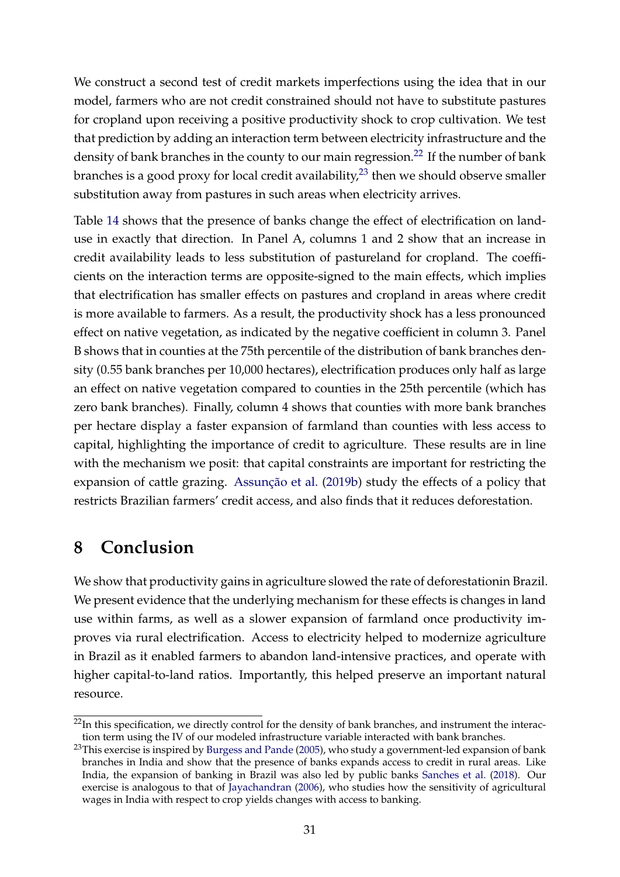We construct a second test of credit markets imperfections using the idea that in our model, farmers who are not credit constrained should not have to substitute pastures for cropland upon receiving a positive productivity shock to crop cultivation. We test that prediction by adding an interaction term between electricity infrastructure and the density of bank branches in the county to our main regression.<sup>[22](#page-0-0)</sup> If the number of bank branches is a good proxy for local credit availability, $2<sup>3</sup>$  then we should observe smaller substitution away from pastures in such areas when electricity arrives.

Table [14](#page-32-0) shows that the presence of banks change the effect of electrification on landuse in exactly that direction. In Panel A, columns 1 and 2 show that an increase in credit availability leads to less substitution of pastureland for cropland. The coefficients on the interaction terms are opposite-signed to the main effects, which implies that electrification has smaller effects on pastures and cropland in areas where credit is more available to farmers. As a result, the productivity shock has a less pronounced effect on native vegetation, as indicated by the negative coefficient in column 3. Panel B shows that in counties at the 75th percentile of the distribution of bank branches density (0.55 bank branches per 10,000 hectares), electrification produces only half as large an effect on native vegetation compared to counties in the 25th percentile (which has zero bank branches). Finally, column 4 shows that counties with more bank branches per hectare display a faster expansion of farmland than counties with less access to capital, highlighting the importance of credit to agriculture. These results are in line with the mechanism we posit: that capital constraints are important for restricting the expansion of cattle grazing. [Assunção et al.](#page-33-11) [\(2019b\)](#page-33-11) study the effects of a policy that restricts Brazilian farmers' credit access, and also finds that it reduces deforestation.

# **8 Conclusion**

We show that productivity gains in agriculture slowed the rate of deforestationin Brazil. We present evidence that the underlying mechanism for these effects is changes in land use within farms, as well as a slower expansion of farmland once productivity improves via rural electrification. Access to electricity helped to modernize agriculture in Brazil as it enabled farmers to abandon land-intensive practices, and operate with higher capital-to-land ratios. Importantly, this helped preserve an important natural resource.

<sup>&</sup>lt;sup>22</sup>In this specification, we directly control for the density of bank branches, and instrument the interaction term using the IV of our modeled infrastructure variable interacted with bank branches.

<sup>&</sup>lt;sup>23</sup>This exercise is inspired by [Burgess and Pande](#page-34-12) [\(2005\)](#page-34-12), who study a government-led expansion of bank branches in India and show that the presence of banks expands access to credit in rural areas. Like India, the expansion of banking in Brazil was also led by public banks [Sanches et al.](#page-36-12) [\(2018\)](#page-36-12). Our exercise is analogous to that of [Jayachandran](#page-35-14) [\(2006\)](#page-35-14), who studies how the sensitivity of agricultural wages in India with respect to crop yields changes with access to banking.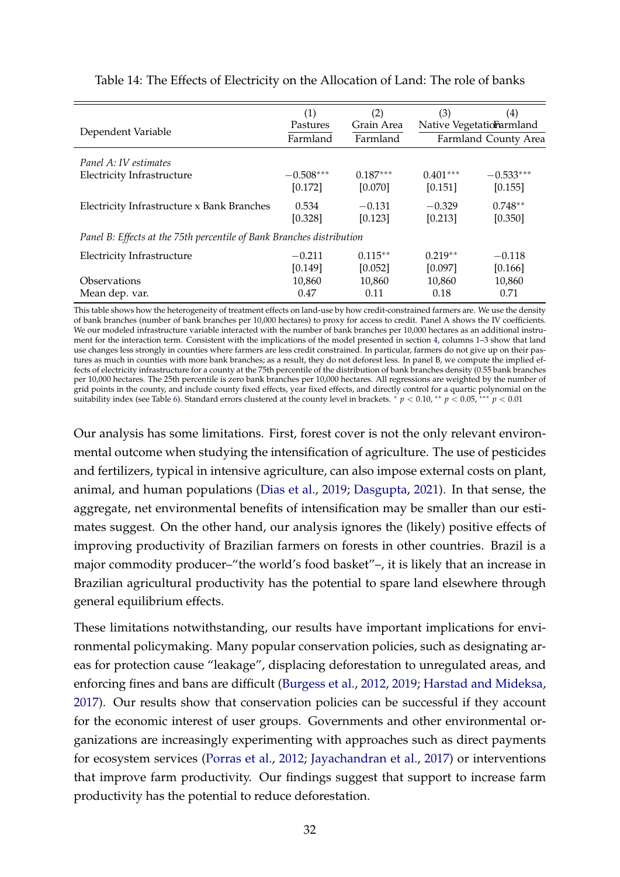<span id="page-32-0"></span>

| Dependent Variable                                                    | (1)<br>Pastures | (2)<br>Grain Area | (3)<br>(4)<br>Native Vegetatiorarmland |             |  |
|-----------------------------------------------------------------------|-----------------|-------------------|----------------------------------------|-------------|--|
|                                                                       | Farmland        | Farmland          | Farmland County Area                   |             |  |
| Panel A: IV estimates                                                 |                 |                   |                                        |             |  |
| <b>Electricity Infrastructure</b>                                     | $-0.508***$     | $0.187***$        | $0.401***$                             | $-0.533***$ |  |
|                                                                       | [0.172]         | [0.070]           | [0.151]                                | [0.155]     |  |
| Electricity Infrastructure x Bank Branches                            | 0.534           | $-0.131$          | $-0.329$                               | $0.748**$   |  |
|                                                                       | [0.328]         | [0.123]           | [0.213]                                | [0.350]     |  |
| Panel B: Effects at the 75th percentile of Bank Branches distribution |                 |                   |                                        |             |  |
| <b>Electricity Infrastructure</b>                                     | $-0.211$        | $0.115**$         | $0.219**$                              | $-0.118$    |  |
|                                                                       | [0.149]         | [0.052]           | [0.097]                                | [0.166]     |  |
| Observations                                                          | 10,860          | 10,860            | 10,860                                 | 10,860      |  |
| Mean dep. var.                                                        | 0.47            | 0.11              | 0.18                                   | 0.71        |  |

#### Table 14: The Effects of Electricity on the Allocation of Land: The role of banks

This table shows how the heterogeneity of treatment effects on land-use by how credit-constrained farmers are. We use the density of bank branches (number of bank branches per 10,000 hectares) to proxy for access to credit. Panel A shows the IV coefficients. We our modeled infrastructure variable interacted with the number of bank branches per 10,000 hectares as an additional instrument for the interaction term. Consistent with the implications of the model presented in section [4,](#page-8-0) columns 1–3 show that land use changes less strongly in counties where farmers are less credit constrained. In particular, farmers do not give up on their pastures as much in counties with more bank branches; as a result, they do not deforest less. In panel B, we compute the implied effects of electricity infrastructure for a county at the 75th percentile of the distribution of bank branches density (0.55 bank branches per 10,000 hectares. The 25th percentile is zero bank branches per 10,000 hectares. All regressions are weighted by the number of grid points in the county, and include county fixed effects, year fixed effects, and directly control for a quartic polynomial on the suitability index (see Table [6\)](#page-21-0). Standard errors clustered at the county level in brackets. <sup>∗</sup> *p* < 0.10, ∗∗ *p* < 0.05, ∗∗∗ *p* < 0.01

Our analysis has some limitations. First, forest cover is not the only relevant environmental outcome when studying the intensification of agriculture. The use of pesticides and fertilizers, typical in intensive agriculture, can also impose external costs on plant, animal, and human populations [\(Dias et al.,](#page-34-13) [2019;](#page-34-13) [Dasgupta,](#page-34-0) [2021\)](#page-34-0). In that sense, the aggregate, net environmental benefits of intensification may be smaller than our estimates suggest. On the other hand, our analysis ignores the (likely) positive effects of improving productivity of Brazilian farmers on forests in other countries. Brazil is a major commodity producer–"the world's food basket"–, it is likely that an increase in Brazilian agricultural productivity has the potential to spare land elsewhere through general equilibrium effects.

These limitations notwithstanding, our results have important implications for environmental policymaking. Many popular conservation policies, such as designating areas for protection cause "leakage", displacing deforestation to unregulated areas, and enforcing fines and bans are difficult [\(Burgess et al.,](#page-33-4) [2012,](#page-33-4) [2019;](#page-33-5) [Harstad and Mideksa,](#page-35-1) [2017\)](#page-35-1). Our results show that conservation policies can be successful if they account for the economic interest of user groups. Governments and other environmental organizations are increasingly experimenting with approaches such as direct payments for ecosystem services [\(Porras et al.,](#page-36-3) [2012;](#page-36-3) [Jayachandran et al.,](#page-35-6) [2017\)](#page-35-6) or interventions that improve farm productivity. Our findings suggest that support to increase farm productivity has the potential to reduce deforestation.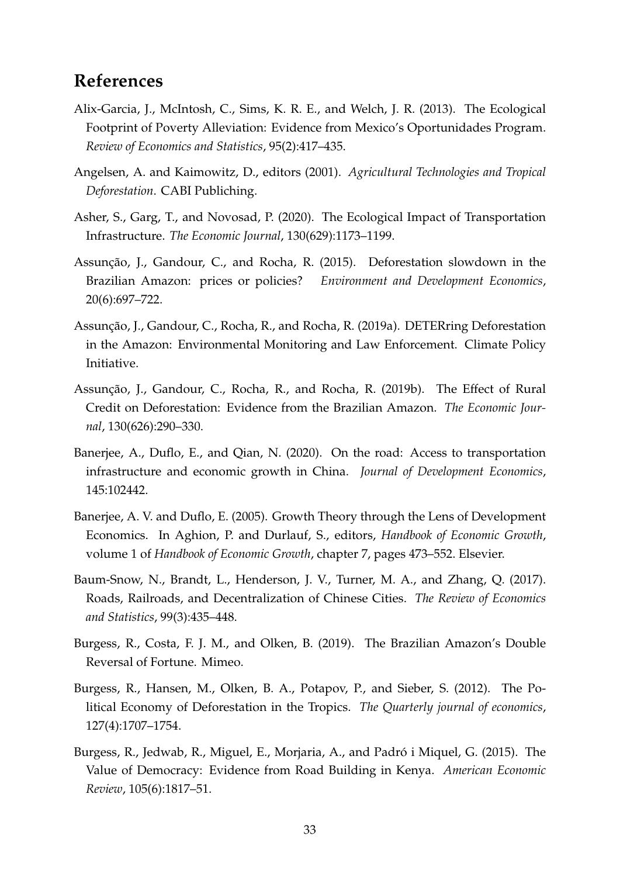# **References**

- <span id="page-33-8"></span>Alix-Garcia, J., McIntosh, C., Sims, K. R. E., and Welch, J. R. (2013). The Ecological Footprint of Poverty Alleviation: Evidence from Mexico's Oportunidades Program. *Review of Economics and Statistics*, 95(2):417–435.
- <span id="page-33-3"></span>Angelsen, A. and Kaimowitz, D., editors (2001). *Agricultural Technologies and Tropical Deforestation*. CABI Publiching.
- <span id="page-33-7"></span>Asher, S., Garg, T., and Novosad, P. (2020). The Ecological Impact of Transportation Infrastructure. *The Economic Journal*, 130(629):1173–1199.
- <span id="page-33-6"></span>Assunção, J., Gandour, C., and Rocha, R. (2015). Deforestation slowdown in the Brazilian Amazon: prices or policies? *Environment and Development Economics*, 20(6):697–722.
- <span id="page-33-9"></span>Assunção, J., Gandour, C., Rocha, R., and Rocha, R. (2019a). DETERring Deforestation in the Amazon: Environmental Monitoring and Law Enforcement. Climate Policy Initiative.
- <span id="page-33-11"></span>Assunção, J., Gandour, C., Rocha, R., and Rocha, R. (2019b). The Effect of Rural Credit on Deforestation: Evidence from the Brazilian Amazon. *The Economic Journal*, 130(626):290–330.
- <span id="page-33-2"></span>Banerjee, A., Duflo, E., and Qian, N. (2020). On the road: Access to transportation infrastructure and economic growth in China. *Journal of Development Economics*, 145:102442.
- <span id="page-33-10"></span>Banerjee, A. V. and Duflo, E. (2005). Growth Theory through the Lens of Development Economics. In Aghion, P. and Durlauf, S., editors, *Handbook of Economic Growth*, volume 1 of *Handbook of Economic Growth*, chapter 7, pages 473–552. Elsevier.
- <span id="page-33-1"></span>Baum-Snow, N., Brandt, L., Henderson, J. V., Turner, M. A., and Zhang, Q. (2017). Roads, Railroads, and Decentralization of Chinese Cities. *The Review of Economics and Statistics*, 99(3):435–448.
- <span id="page-33-5"></span>Burgess, R., Costa, F. J. M., and Olken, B. (2019). The Brazilian Amazon's Double Reversal of Fortune. Mimeo.
- <span id="page-33-4"></span>Burgess, R., Hansen, M., Olken, B. A., Potapov, P., and Sieber, S. (2012). The Political Economy of Deforestation in the Tropics. *The Quarterly journal of economics*, 127(4):1707–1754.
- <span id="page-33-0"></span>Burgess, R., Jedwab, R., Miguel, E., Morjaria, A., and Padró i Miquel, G. (2015). The Value of Democracy: Evidence from Road Building in Kenya. *American Economic Review*, 105(6):1817–51.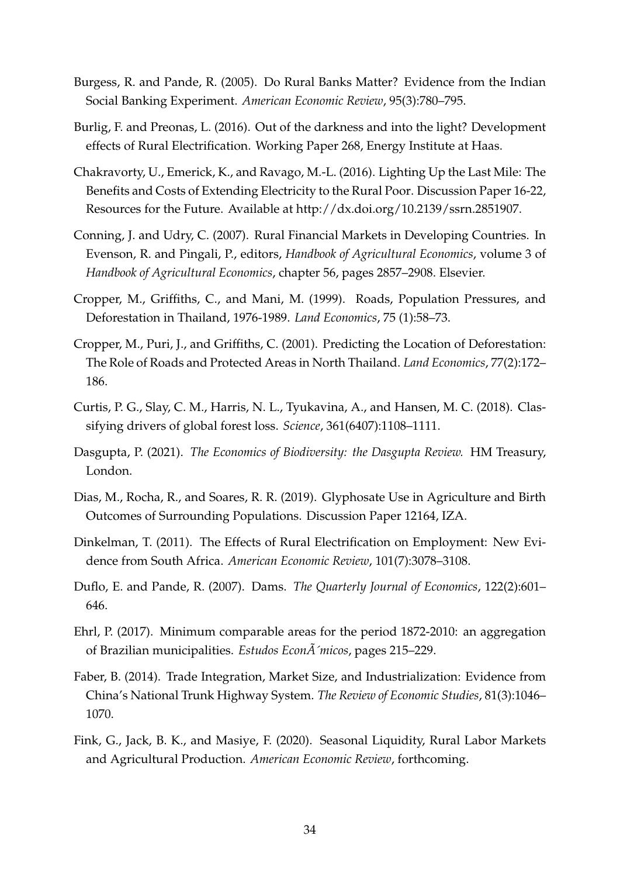- <span id="page-34-12"></span>Burgess, R. and Pande, R. (2005). Do Rural Banks Matter? Evidence from the Indian Social Banking Experiment. *American Economic Review*, 95(3):780–795.
- <span id="page-34-7"></span>Burlig, F. and Preonas, L. (2016). Out of the darkness and into the light? Development effects of Rural Electrification. Working Paper 268, Energy Institute at Haas.
- <span id="page-34-5"></span>Chakravorty, U., Emerick, K., and Ravago, M.-L. (2016). Lighting Up the Last Mile: The Benefits and Costs of Extending Electricity to the Rural Poor. Discussion Paper 16-22, Resources for the Future. Available at http://dx.doi.org/10.2139/ssrn.2851907.
- <span id="page-34-8"></span>Conning, J. and Udry, C. (2007). Rural Financial Markets in Developing Countries. In Evenson, R. and Pingali, P., editors, *Handbook of Agricultural Economics*, volume 3 of *Handbook of Agricultural Economics*, chapter 56, pages 2857–2908. Elsevier.
- <span id="page-34-3"></span>Cropper, M., Griffiths, C., and Mani, M. (1999). Roads, Population Pressures, and Deforestation in Thailand, 1976-1989. *Land Economics*, 75 (1):58–73.
- <span id="page-34-4"></span>Cropper, M., Puri, J., and Griffiths, C. (2001). Predicting the Location of Deforestation: The Role of Roads and Protected Areas in North Thailand. *Land Economics*, 77(2):172– 186.
- <span id="page-34-1"></span>Curtis, P. G., Slay, C. M., Harris, N. L., Tyukavina, A., and Hansen, M. C. (2018). Classifying drivers of global forest loss. *Science*, 361(6407):1108–1111.
- <span id="page-34-0"></span>Dasgupta, P. (2021). *The Economics of Biodiversity: the Dasgupta Review.* HM Treasury, London.
- <span id="page-34-13"></span>Dias, M., Rocha, R., and Soares, R. R. (2019). Glyphosate Use in Agriculture and Birth Outcomes of Surrounding Populations. Discussion Paper 12164, IZA.
- <span id="page-34-6"></span>Dinkelman, T. (2011). The Effects of Rural Electrification on Employment: New Evidence from South Africa. *American Economic Review*, 101(7):3078–3108.
- <span id="page-34-11"></span>Duflo, E. and Pande, R. (2007). Dams. *The Quarterly Journal of Economics*, 122(2):601– 646.
- <span id="page-34-10"></span>Ehrl, P. (2017). Minimum comparable areas for the period 1872-2010: an aggregation of Brazilian municipalities. *Estudos Econ* $\tilde{A}$ 'micos, pages 215–229.
- <span id="page-34-2"></span>Faber, B. (2014). Trade Integration, Market Size, and Industrialization: Evidence from China's National Trunk Highway System. *The Review of Economic Studies*, 81(3):1046– 1070.
- <span id="page-34-9"></span>Fink, G., Jack, B. K., and Masiye, F. (2020). Seasonal Liquidity, Rural Labor Markets and Agricultural Production. *American Economic Review*, forthcoming.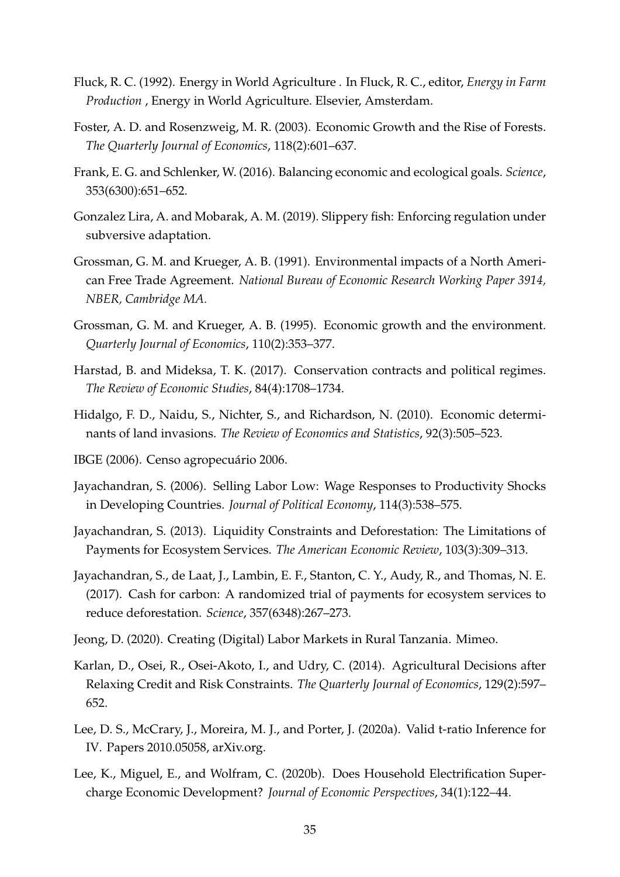- <span id="page-35-9"></span>Fluck, R. C. (1992). Energy in World Agriculture . In Fluck, R. C., editor, *Energy in Farm Production* , Energy in World Agriculture. Elsevier, Amsterdam.
- <span id="page-35-3"></span>Foster, A. D. and Rosenzweig, M. R. (2003). Economic Growth and the Rise of Forests. *The Quarterly Journal of Economics*, 118(2):601–637.
- <span id="page-35-0"></span>Frank, E. G. and Schlenker, W. (2016). Balancing economic and ecological goals. *Science*, 353(6300):651–652.
- <span id="page-35-2"></span>Gonzalez Lira, A. and Mobarak, A. M. (2019). Slippery fish: Enforcing regulation under subversive adaptation.
- <span id="page-35-4"></span>Grossman, G. M. and Krueger, A. B. (1991). Environmental impacts of a North American Free Trade Agreement. *National Bureau of Economic Research Working Paper 3914, NBER, Cambridge MA.*
- <span id="page-35-5"></span>Grossman, G. M. and Krueger, A. B. (1995). Economic growth and the environment. *Quarterly Journal of Economics*, 110(2):353–377.
- <span id="page-35-1"></span>Harstad, B. and Mideksa, T. K. (2017). Conservation contracts and political regimes. *The Review of Economic Studies*, 84(4):1708–1734.
- <span id="page-35-15"></span>Hidalgo, F. D., Naidu, S., Nichter, S., and Richardson, N. (2010). Economic determinants of land invasions. *The Review of Economics and Statistics*, 92(3):505–523.
- <span id="page-35-10"></span>IBGE (2006). Censo agropecuário 2006.
- <span id="page-35-14"></span>Jayachandran, S. (2006). Selling Labor Low: Wage Responses to Productivity Shocks in Developing Countries. *Journal of Political Economy*, 114(3):538–575.
- <span id="page-35-7"></span>Jayachandran, S. (2013). Liquidity Constraints and Deforestation: The Limitations of Payments for Ecosystem Services. *The American Economic Review*, 103(3):309–313.
- <span id="page-35-6"></span>Jayachandran, S., de Laat, J., Lambin, E. F., Stanton, C. Y., Audy, R., and Thomas, N. E. (2017). Cash for carbon: A randomized trial of payments for ecosystem services to reduce deforestation. *Science*, 357(6348):267–273.
- <span id="page-35-11"></span>Jeong, D. (2020). Creating (Digital) Labor Markets in Rural Tanzania. Mimeo.
- <span id="page-35-13"></span>Karlan, D., Osei, R., Osei-Akoto, I., and Udry, C. (2014). Agricultural Decisions after Relaxing Credit and Risk Constraints. *The Quarterly Journal of Economics*, 129(2):597– 652.
- <span id="page-35-12"></span>Lee, D. S., McCrary, J., Moreira, M. J., and Porter, J. (2020a). Valid t-ratio Inference for IV. Papers 2010.05058, arXiv.org.
- <span id="page-35-8"></span>Lee, K., Miguel, E., and Wolfram, C. (2020b). Does Household Electrification Supercharge Economic Development? *Journal of Economic Perspectives*, 34(1):122–44.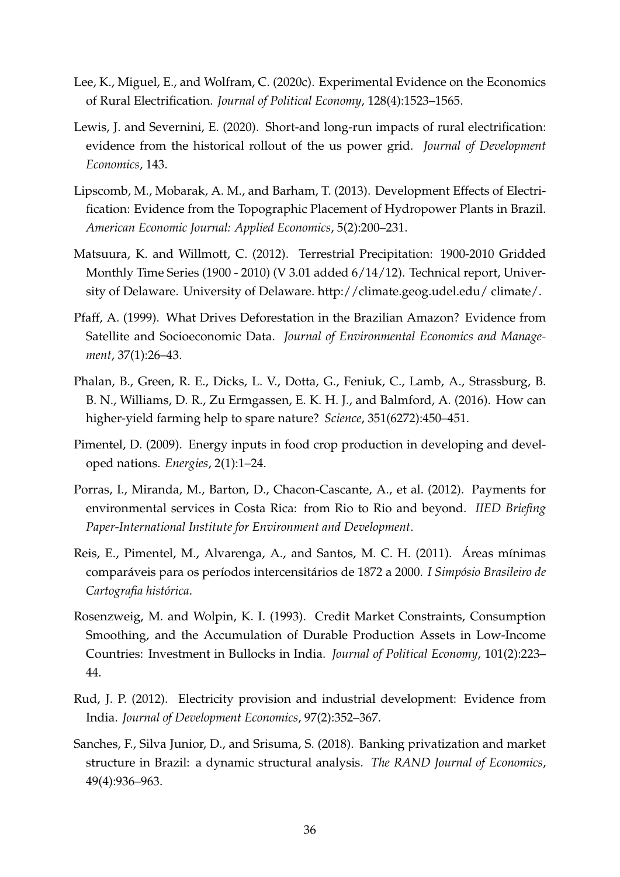- <span id="page-36-11"></span><span id="page-36-5"></span>Lee, K., Miguel, E., and Wolfram, C. (2020c). Experimental Evidence on the Economics of Rural Electrification. *Journal of Political Economy*, 128(4):1523–1565.
- <span id="page-36-4"></span>Lewis, J. and Severnini, E. (2020). Short-and long-run impacts of rural electrification: evidence from the historical rollout of the us power grid. *Journal of Development Economics*, 143.
- <span id="page-36-0"></span>Lipscomb, M., Mobarak, A. M., and Barham, T. (2013). Development Effects of Electrification: Evidence from the Topographic Placement of Hydropower Plants in Brazil. *American Economic Journal: Applied Economics*, 5(2):200–231.
- <span id="page-36-10"></span>Matsuura, K. and Willmott, C. (2012). Terrestrial Precipitation: 1900-2010 Gridded Monthly Time Series (1900 - 2010) (V 3.01 added 6/14/12). Technical report, University of Delaware. University of Delaware. http://climate.geog.udel.edu/ climate/.
- <span id="page-36-2"></span>Pfaff, A. (1999). What Drives Deforestation in the Brazilian Amazon? Evidence from Satellite and Socioeconomic Data. *Journal of Environmental Economics and Management*, 37(1):26–43.
- <span id="page-36-1"></span>Phalan, B., Green, R. E., Dicks, L. V., Dotta, G., Feniuk, C., Lamb, A., Strassburg, B. B. N., Williams, D. R., Zu Ermgassen, E. K. H. J., and Balmford, A. (2016). How can higher-yield farming help to spare nature? *Science*, 351(6272):450–451.
- <span id="page-36-6"></span>Pimentel, D. (2009). Energy inputs in food crop production in developing and developed nations. *Energies*, 2(1):1–24.
- <span id="page-36-3"></span>Porras, I., Miranda, M., Barton, D., Chacon-Cascante, A., et al. (2012). Payments for environmental services in Costa Rica: from Rio to Rio and beyond. *IIED Briefing Paper-International Institute for Environment and Development*.
- <span id="page-36-8"></span>Reis, E., Pimentel, M., Alvarenga, A., and Santos, M. C. H. (2011). Áreas mínimas comparáveis para os períodos intercensitários de 1872 a 2000. *I Simpósio Brasileiro de Cartografia histórica*.
- <span id="page-36-9"></span>Rosenzweig, M. and Wolpin, K. I. (1993). Credit Market Constraints, Consumption Smoothing, and the Accumulation of Durable Production Assets in Low-Income Countries: Investment in Bullocks in India. *Journal of Political Economy*, 101(2):223– 44.
- <span id="page-36-7"></span>Rud, J. P. (2012). Electricity provision and industrial development: Evidence from India. *Journal of Development Economics*, 97(2):352–367.
- <span id="page-36-12"></span>Sanches, F., Silva Junior, D., and Srisuma, S. (2018). Banking privatization and market structure in Brazil: a dynamic structural analysis. *The RAND Journal of Economics*, 49(4):936–963.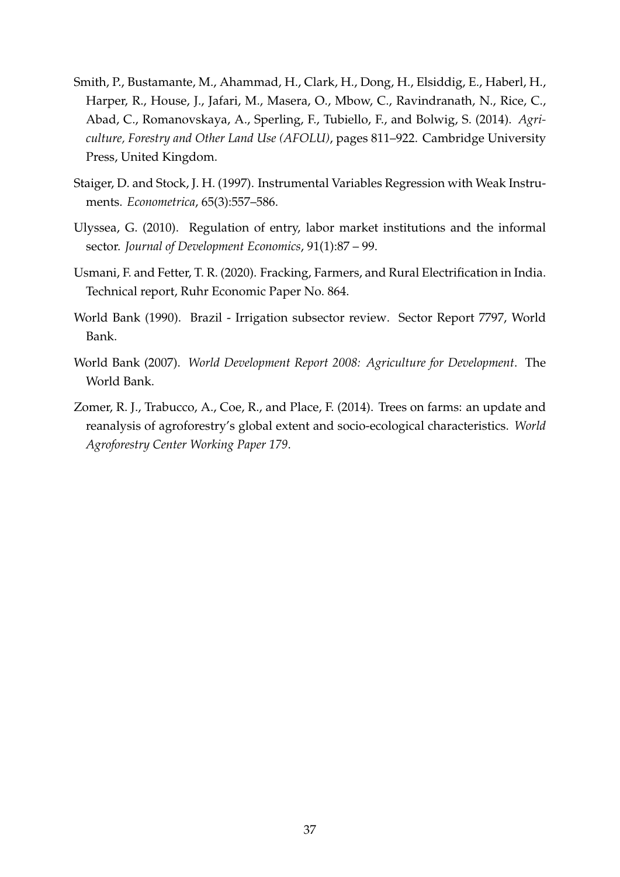- <span id="page-37-0"></span>Smith, P., Bustamante, M., Ahammad, H., Clark, H., Dong, H., Elsiddig, E., Haberl, H., Harper, R., House, J., Jafari, M., Masera, O., Mbow, C., Ravindranath, N., Rice, C., Abad, C., Romanovskaya, A., Sperling, F., Tubiello, F., and Bolwig, S. (2014). *Agriculture, Forestry and Other Land Use (AFOLU)*, pages 811–922. Cambridge University Press, United Kingdom.
- <span id="page-37-6"></span>Staiger, D. and Stock, J. H. (1997). Instrumental Variables Regression with Weak Instruments. *Econometrica*, 65(3):557–586.
- <span id="page-37-4"></span>Ulyssea, G. (2010). Regulation of entry, labor market institutions and the informal sector. *Journal of Development Economics*, 91(1):87 – 99.
- <span id="page-37-2"></span>Usmani, F. and Fetter, T. R. (2020). Fracking, Farmers, and Rural Electrification in India. Technical report, Ruhr Economic Paper No. 864.
- <span id="page-37-5"></span>World Bank (1990). Brazil - Irrigation subsector review. Sector Report 7797, World Bank.
- <span id="page-37-1"></span>World Bank (2007). *World Development Report 2008: Agriculture for Development*. The World Bank.
- <span id="page-37-3"></span>Zomer, R. J., Trabucco, A., Coe, R., and Place, F. (2014). Trees on farms: an update and reanalysis of agroforestry's global extent and socio-ecological characteristics. *World Agroforestry Center Working Paper 179*.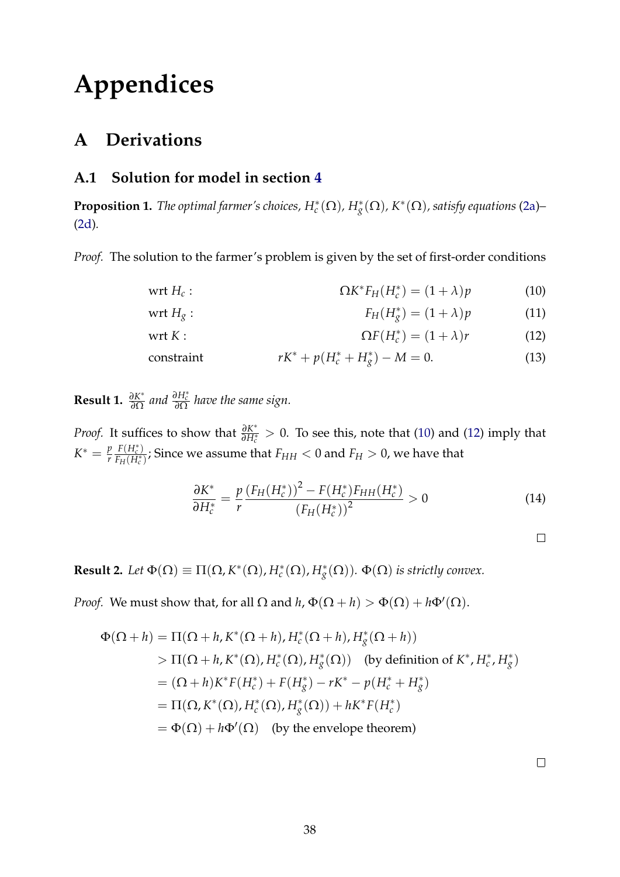# **Appendices**

# **A Derivations**

## **A.1 Solution for model in section [4](#page-8-0)**

**Proposition 1.** *The optimal farmer's choices,*  $H_c^*(\Omega)$ ,  $H_g^*(\Omega)$ ,  $K^*(\Omega)$ , satisfy equations [\(2a\)](#page-9-2)– [\(2d\)](#page-9-3)*.*

*Proof.* The solution to the farmer's problem is given by the set of first-order conditions

$$
\text{wrt } H_c: \qquad \qquad \Omega K^* F_H(H_c^*) = (1 + \lambda)p \qquad \qquad (10)
$$

$$
\text{wrt } H_g: \qquad F_H(H_g^*) = (1 + \lambda)p \qquad (11)
$$

$$
\text{wrt } K: \qquad \Omega F(H_c^*) = (1 + \lambda)r \qquad (12)
$$

$$
rK^* + p(H_c^* + H_g^*) - M = 0.
$$
 (13)

<span id="page-38-2"></span>**Result 1.**  $\frac{\partial K^*}{\partial \Omega}$ *∂*Ω *and <sup>∂</sup>H*<sup>∗</sup> *c ∂*Ω *have the same sign.*

*Proof.* It suffices to show that  $\frac{\partial K^*}{\partial H^*}$  $\frac{\partial K^*}{\partial H^*_{c}} > 0$ . To see this, note that [\(10\)](#page-38-0) and [\(12\)](#page-38-1) imply that  $K^* = \frac{p}{r}$ *r*  $F(H_c^*)$  $\frac{F(H_c)}{F_H(H_c^*)}$ ; Since we assume that  $F_{HH} < 0$  and  $F_H > 0$ , we have that

$$
\frac{\partial K^*}{\partial H_c^*} = \frac{p}{r} \frac{\left(F_H(H_c^*)^2 - F(H_c^*)F_{HH}(H_c^*)\right)}{\left(F_H(H_c^*)\right)^2} > 0 \tag{14}
$$

<span id="page-38-3"></span><span id="page-38-1"></span><span id="page-38-0"></span>

**Result 2.** *Let*  $\Phi(\Omega) \equiv \Pi(\Omega, K^*(\Omega), H_c^*(\Omega), H_g^*(\Omega))$ .  $\Phi(\Omega)$  is strictly convex.

*Proof.* We must show that, for all  $\Omega$  and  $h$ ,  $\Phi(\Omega + h) > \Phi(\Omega) + h\Phi'(\Omega)$ .

$$
\Phi(\Omega + h) = \Pi(\Omega + h, K^*(\Omega + h), H_c^*(\Omega + h), H_g^*(\Omega + h))
$$
  
>  $\Pi(\Omega + h, K^*(\Omega), H_c^*(\Omega), H_g^*(\Omega))$  (by definition of  $K^*, H_c^*, H_g^*$ )  
=  $(\Omega + h)K^*F(H_c^*) + F(H_g^*) - rK^* - p(H_c^* + H_g^*)$   
=  $\Pi(\Omega, K^*(\Omega), H_c^*(\Omega), H_g^*(\Omega)) + hK^*F(H_c^*)$   
=  $\Phi(\Omega) + h\Phi'(\Omega)$  (by the envelope theorem)

 $\Box$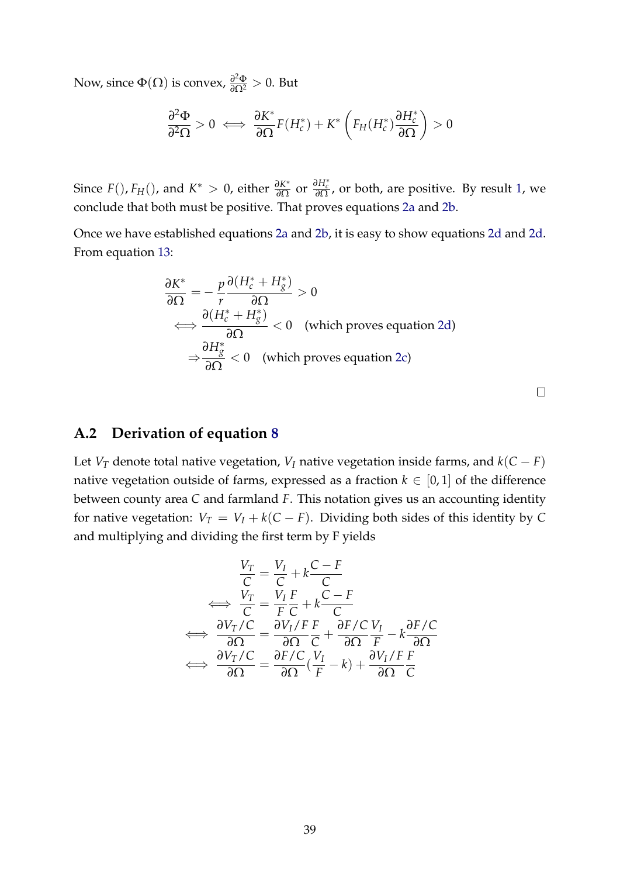Now, since  $\Phi(\Omega)$  is convex,  $\frac{\partial^2 \Phi}{\partial \Omega^2} > 0$ . But

$$
\frac{\partial^2 \Phi}{\partial^2 \Omega} > 0 \iff \frac{\partial K^*}{\partial \Omega} F(H_c^*) + K^* \left( F_H(H_c^*) \frac{\partial H_c^*}{\partial \Omega} \right) > 0
$$

Since  $F($ ),  $F<sub>H</sub>()$ , and  $K^* > 0$ , either  $\frac{\partial K^*}{\partial \Omega}$ *∂*<sub>*∂Ω*</sub> or *∂H*<sub>*c*</sub><sup> $\frac{\partial H_c^*}{\partial \Omega}$ , or both, are positive. By result [1,](#page-38-2) we</sup> conclude that both must be positive. That proves equations [2a](#page-9-2) and [2b.](#page-9-4)

Once we have established equations [2a](#page-9-2) and [2b,](#page-9-4) it is easy to show equations [2d](#page-9-3) and [2d.](#page-9-3) From equation [13:](#page-38-3)

$$
\frac{\partial K^*}{\partial \Omega} = -\frac{p}{r} \frac{\partial (H_c^* + H_g^*)}{\partial \Omega} > 0
$$
  
\n
$$
\iff \frac{\partial (H_c^* + H_g^*)}{\partial \Omega} < 0 \quad \text{(which proves equation 2d)}
$$
  
\n
$$
\Rightarrow \frac{\partial H_g^*}{\partial \Omega} < 0 \quad \text{(which proves equation 2c)}
$$

 $\Box$ 

## <span id="page-39-0"></span>**A.2 Derivation of equation [8](#page-24-0)**

Let *V*<sub>*T*</sub> denote total native vegetation, *V*<sub>*I*</sub> native vegetation inside farms, and  $k(C - F)$ native vegetation outside of farms, expressed as a fraction  $k \in [0,1]$  of the difference between county area *C* and farmland *F*. This notation gives us an accounting identity for native vegetation:  $V_T = V_I + k(C - F)$ . Dividing both sides of this identity by C and multiplying and dividing the first term by F yields

$$
\frac{V_T}{C} = \frac{V_I}{C} + k \frac{C - F}{C}
$$
  
\n
$$
\iff \frac{V_T}{C} = \frac{V_I F}{F C} + k \frac{C - F}{C}
$$
  
\n
$$
\iff \frac{\partial V_T / C}{\partial \Omega} = \frac{\partial V_I / F}{\partial \Omega} \frac{F}{C} + \frac{\partial F / C}{\partial \Omega} \frac{V_I}{F} - k \frac{\partial F / C}{\partial \Omega}
$$
  
\n
$$
\iff \frac{\partial V_T / C}{\partial \Omega} = \frac{\partial F / C}{\partial \Omega} (\frac{V_I}{F} - k) + \frac{\partial V_I / F}{\partial \Omega} \frac{F}{C}
$$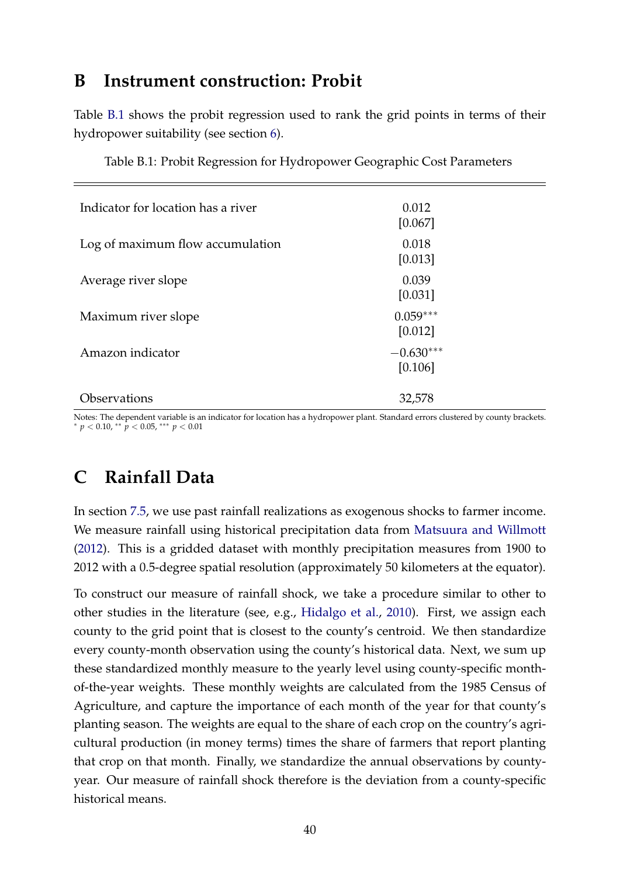# <span id="page-40-0"></span>**B Instrument construction: Probit**

Table [B.1](#page-40-1) shows the probit regression used to rank the grid points in terms of their hydropower suitability (see section [6\)](#page-14-0).

<span id="page-40-1"></span>

| Indicator for location has a river | 0.012<br>[0.067]       |
|------------------------------------|------------------------|
| Log of maximum flow accumulation   | 0.018<br>[0.013]       |
| Average river slope                | 0.039<br>[0.031]       |
| Maximum river slope                | $0.059***$<br>[0.012]  |
| Amazon indicator                   | $-0.630***$<br>[0.106] |
| Observations                       | 32,578                 |

<span id="page-40-2"></span>Table B.1: Probit Regression for Hydropower Geographic Cost Parameters

Notes: The dependent variable is an indicator for location has a hydropower plant. Standard errors clustered by county brackets. <sup>∗</sup> *p* < 0.10, ∗∗ *p* < 0.05, ∗∗∗ *p* < 0.01

# **C Rainfall Data**

In section [7.5,](#page-29-0) we use past rainfall realizations as exogenous shocks to farmer income. We measure rainfall using historical precipitation data from [Matsuura and Willmott](#page-36-10) [\(2012\)](#page-36-10). This is a gridded dataset with monthly precipitation measures from 1900 to 2012 with a 0.5-degree spatial resolution (approximately 50 kilometers at the equator).

To construct our measure of rainfall shock, we take a procedure similar to other to other studies in the literature (see, e.g., [Hidalgo et al.,](#page-35-15) [2010\)](#page-35-15). First, we assign each county to the grid point that is closest to the county's centroid. We then standardize every county-month observation using the county's historical data. Next, we sum up these standardized monthly measure to the yearly level using county-specific monthof-the-year weights. These monthly weights are calculated from the 1985 Census of Agriculture, and capture the importance of each month of the year for that county's planting season. The weights are equal to the share of each crop on the country's agricultural production (in money terms) times the share of farmers that report planting that crop on that month. Finally, we standardize the annual observations by countyyear. Our measure of rainfall shock therefore is the deviation from a county-specific historical means.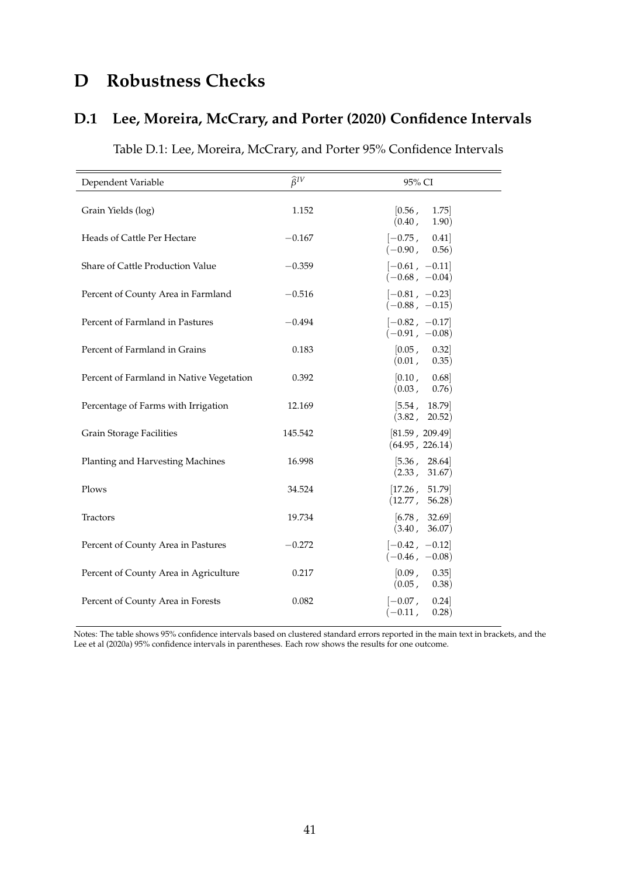# **D Robustness Checks**

# **D.1 Lee, Moreira, McCrary, and Porter (2020) Confidence Intervals**

<span id="page-41-0"></span>

| Dependent Variable                       | $\widehat{\beta}^{IV}$ | 95% CI                                  |
|------------------------------------------|------------------------|-----------------------------------------|
| Grain Yields (log)                       | 1.152                  | [0.56,<br>1.75<br>(0.40,<br>(1.90)      |
| Heads of Cattle Per Hectare              | $-0.167$               | $[-0.75,$<br>0.41<br>$(-0.90, 0.56)$    |
| Share of Cattle Production Value         | $-0.359$               | $[-0.61, -0.11]$<br>$(-0.68, -0.04)$    |
| Percent of County Area in Farmland       | $-0.516$               | $[-0.81, -0.23]$<br>$(-0.88, -0.15)$    |
| Percent of Farmland in Pastures          | $-0.494$               | $[-0.82, -0.17]$<br>$(-0.91, -0.08)$    |
| Percent of Farmland in Grains            | 0.183                  | [0.05, 0.32]<br>(0.01,<br>0.35)         |
| Percent of Farmland in Native Vegetation | 0.392                  | [0.10, 0.68]<br>(0.03, 0.76)            |
| Percentage of Farms with Irrigation      | 12.169                 | [5.54]<br>18.79<br>(3.82,<br>20.52)     |
| <b>Grain Storage Facilities</b>          | 145.542                | [81.59, 209.49]<br>(64.95, 226.14)      |
| Planting and Harvesting Machines         | 16.998                 | [5.36, 28.64]<br>(2.33, 31.67)          |
| Plows                                    | 34.524                 | [17.26, 51.79]<br>(12.77, 56.28)        |
| <b>Tractors</b>                          | 19.734                 | [6.78, 32.69]<br>(3.40, 36.07)          |
| Percent of County Area in Pastures       | $-0.272$               | $[-0.42, -0.12]$<br>$(-0.46, -0.08)$    |
| Percent of County Area in Agriculture    | 0.217                  | [0.09, 0.35]<br>(0.05,<br>(0.38)        |
| Percent of County Area in Forests        | 0.082                  | $[-0.07]$<br>0.24<br>$(-0.11,$<br>0.28) |

Table D.1: Lee, Moreira, McCrary, and Porter 95% Confidence Intervals

Notes: The table shows 95% confidence intervals based on clustered standard errors reported in the main text in brackets, and the Lee et al (2020a) 95% confidence intervals in parentheses. Each row shows the results for one outcome.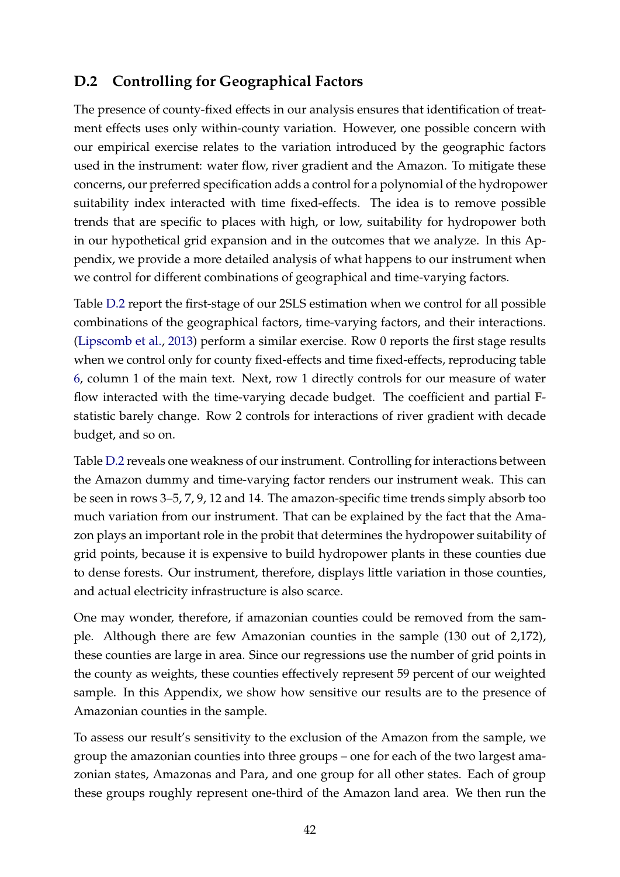## <span id="page-42-0"></span>**D.2 Controlling for Geographical Factors**

The presence of county-fixed effects in our analysis ensures that identification of treatment effects uses only within-county variation. However, one possible concern with our empirical exercise relates to the variation introduced by the geographic factors used in the instrument: water flow, river gradient and the Amazon. To mitigate these concerns, our preferred specification adds a control for a polynomial of the hydropower suitability index interacted with time fixed-effects. The idea is to remove possible trends that are specific to places with high, or low, suitability for hydropower both in our hypothetical grid expansion and in the outcomes that we analyze. In this Appendix, we provide a more detailed analysis of what happens to our instrument when we control for different combinations of geographical and time-varying factors.

Table [D.2](#page-43-0) report the first-stage of our 2SLS estimation when we control for all possible combinations of the geographical factors, time-varying factors, and their interactions. [\(Lipscomb et al.,](#page-36-0) [2013\)](#page-36-0) perform a similar exercise. Row 0 reports the first stage results when we control only for county fixed-effects and time fixed-effects, reproducing table [6,](#page-21-0) column 1 of the main text. Next, row 1 directly controls for our measure of water flow interacted with the time-varying decade budget. The coefficient and partial Fstatistic barely change. Row 2 controls for interactions of river gradient with decade budget, and so on.

Table [D.2](#page-43-0) reveals one weakness of our instrument. Controlling for interactions between the Amazon dummy and time-varying factor renders our instrument weak. This can be seen in rows 3–5, 7, 9, 12 and 14. The amazon-specific time trends simply absorb too much variation from our instrument. That can be explained by the fact that the Amazon plays an important role in the probit that determines the hydropower suitability of grid points, because it is expensive to build hydropower plants in these counties due to dense forests. Our instrument, therefore, displays little variation in those counties, and actual electricity infrastructure is also scarce.

One may wonder, therefore, if amazonian counties could be removed from the sample. Although there are few Amazonian counties in the sample (130 out of 2,172), these counties are large in area. Since our regressions use the number of grid points in the county as weights, these counties effectively represent 59 percent of our weighted sample. In this Appendix, we show how sensitive our results are to the presence of Amazonian counties in the sample.

To assess our result's sensitivity to the exclusion of the Amazon from the sample, we group the amazonian counties into three groups – one for each of the two largest amazonian states, Amazonas and Para, and one group for all other states. Each of group these groups roughly represent one-third of the Amazon land area. We then run the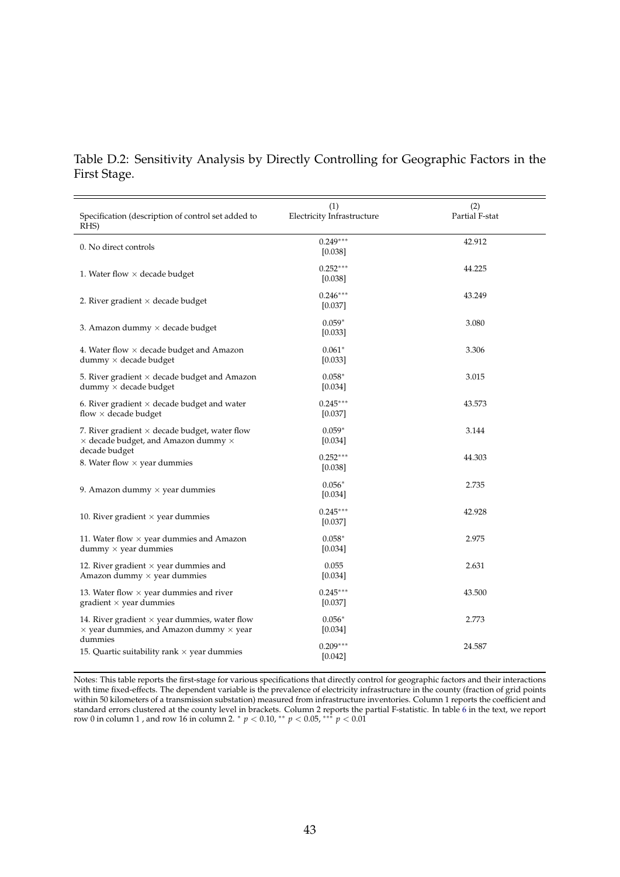### Table D.2: Sensitivity Analysis by Directly Controlling for Geographic Factors in the First Stage.

<span id="page-43-0"></span>

| Specification (description of control set added to<br>RHS)                                                    | (1)<br>Electricity Infrastructure | (2)<br>Partial F-stat |
|---------------------------------------------------------------------------------------------------------------|-----------------------------------|-----------------------|
| 0. No direct controls                                                                                         | $0.249***$<br>[0.038]             | 42.912                |
| 1. Water flow $\times$ decade budget                                                                          | $0.252***$<br>[0.038]             | 44.225                |
| 2. River gradient $\times$ decade budget                                                                      | $0.246***$<br>[0.037]             | 43.249                |
| 3. Amazon dummy $\times$ decade budget                                                                        | $0.059*$<br>[0.033]               | 3.080                 |
| 4. Water flow $\times$ decade budget and Amazon<br>$dummy \times decade$ budget                               | $0.061*$<br>[0.033]               | 3.306                 |
| 5. River gradient $\times$ decade budget and Amazon<br>$dummy \times decade$ budget                           | $0.058*$<br>[0.034]               | 3.015                 |
| 6. River gradient $\times$ decade budget and water<br>flow $\times$ decade budget                             | $0.245***$<br>[0.037]             | 43.573                |
| 7. River gradient $\times$ decade budget, water flow<br>$\times$ decade budget, and Amazon dummy $\times$     | $0.059*$<br>[0.034]               | 3.144                 |
| decade budget<br>8. Water flow $\times$ year dummies                                                          | $0.252***$<br>[0.038]             | 44.303                |
| 9. Amazon dummy $\times$ year dummies                                                                         | $0.056*$<br>[0.034]               | 2.735                 |
| 10. River gradient $\times$ year dummies                                                                      | $0.245***$<br>[0.037]             | 42.928                |
| 11. Water flow $\times$ year dummies and Amazon<br>$d$ ummy $\times$ year dummies                             | $0.058*$<br>[0.034]               | 2.975                 |
| 12. River gradient $\times$ year dummies and<br>Amazon dummy $\times$ year dummies                            | 0.055<br>[0.034]                  | 2.631                 |
| 13. Water flow $\times$ year dummies and river<br>gradient $\times$ year dummies                              | $0.245***$<br>[0.037]             | 43.500                |
| 14. River gradient $\times$ year dummies, water flow<br>$\times$ year dummies, and Amazon dummy $\times$ year | $0.056*$<br>[0.034]               | 2.773                 |
| dummies<br>15. Quartic suitability rank $\times$ year dummies                                                 | $0.209***$<br>[0.042]             | 24.587                |

Notes: This table reports the first-stage for various specifications that directly control for geographic factors and their interactions with time fixed-effects. The dependent variable is the prevalence of electricity infrastructure in the county (fraction of grid points within 50 kilometers of a transmission substation) measured from infrastructure inventories. Column 1 reports the coefficient and standard errors clustered at the county level in brackets. Column 2 reports the partial F-statistic. In table [6](#page-21-0) in the text, we report<br>row 0 in column 1 , and row 16 in column 2. \*  $p < 0.01$ , \*\*  $p < 0.05$ , \*\*\*  $p < 0.01$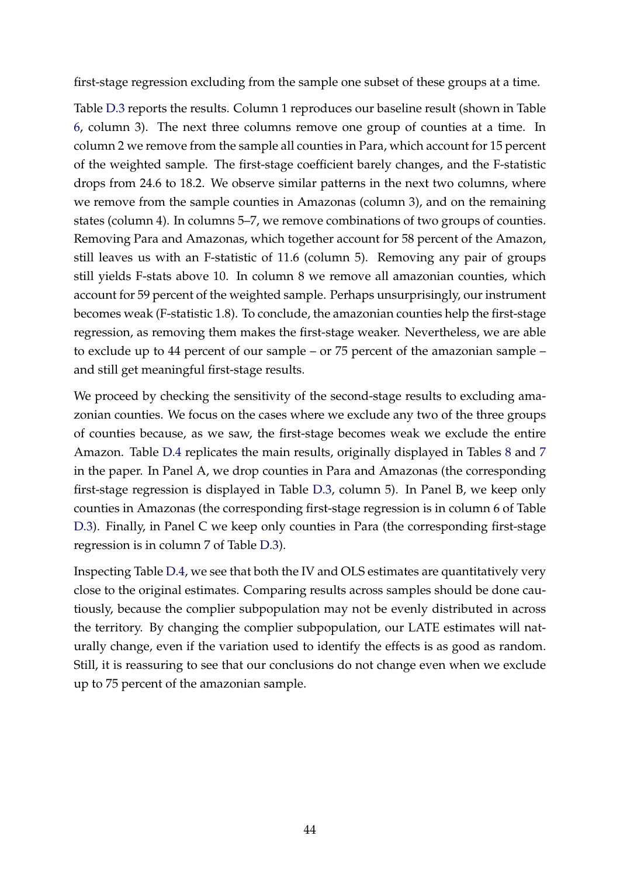first-stage regression excluding from the sample one subset of these groups at a time.

Table [D.3](#page-45-0) reports the results. Column 1 reproduces our baseline result (shown in Table [6,](#page-21-0) column 3). The next three columns remove one group of counties at a time. In column 2 we remove from the sample all counties in Para, which account for 15 percent of the weighted sample. The first-stage coefficient barely changes, and the F-statistic drops from 24.6 to 18.2. We observe similar patterns in the next two columns, where we remove from the sample counties in Amazonas (column 3), and on the remaining states (column 4). In columns 5–7, we remove combinations of two groups of counties. Removing Para and Amazonas, which together account for 58 percent of the Amazon, still leaves us with an F-statistic of 11.6 (column 5). Removing any pair of groups still yields F-stats above 10. In column 8 we remove all amazonian counties, which account for 59 percent of the weighted sample. Perhaps unsurprisingly, our instrument becomes weak (F-statistic 1.8). To conclude, the amazonian counties help the first-stage regression, as removing them makes the first-stage weaker. Nevertheless, we are able to exclude up to 44 percent of our sample – or 75 percent of the amazonian sample – and still get meaningful first-stage results.

We proceed by checking the sensitivity of the second-stage results to excluding amazonian counties. We focus on the cases where we exclude any two of the three groups of counties because, as we saw, the first-stage becomes weak we exclude the entire Amazon. Table [D.4](#page-46-0) replicates the main results, originally displayed in Tables [8](#page-23-0) and [7](#page-22-0) in the paper. In Panel A, we drop counties in Para and Amazonas (the corresponding first-stage regression is displayed in Table [D.3,](#page-45-0) column 5). In Panel B, we keep only counties in Amazonas (the corresponding first-stage regression is in column 6 of Table [D.3\)](#page-45-0). Finally, in Panel C we keep only counties in Para (the corresponding first-stage regression is in column 7 of Table [D.3\)](#page-45-0).

Inspecting Table [D.4,](#page-46-0) we see that both the IV and OLS estimates are quantitatively very close to the original estimates. Comparing results across samples should be done cautiously, because the complier subpopulation may not be evenly distributed in across the territory. By changing the complier subpopulation, our LATE estimates will naturally change, even if the variation used to identify the effects is as good as random. Still, it is reassuring to see that our conclusions do not change even when we exclude up to 75 percent of the amazonian sample.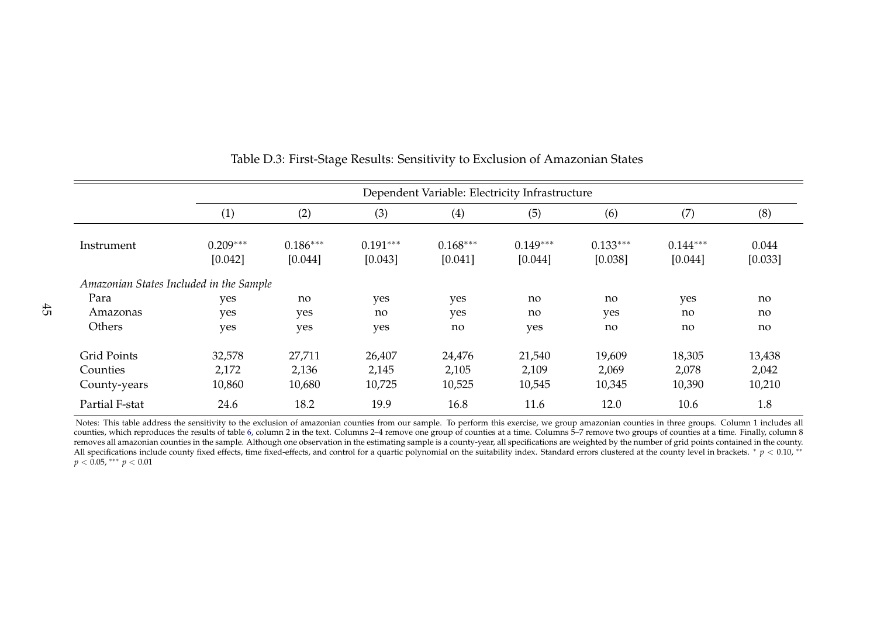|                                         |                       | Dependent Variable: Electricity Infrastructure |                       |                       |                       |                       |                       |                  |
|-----------------------------------------|-----------------------|------------------------------------------------|-----------------------|-----------------------|-----------------------|-----------------------|-----------------------|------------------|
|                                         | (1)                   | (2)                                            | (3)                   | (4)                   | (5)                   | (6)                   | (7)                   | (8)              |
| Instrument                              | $0.209***$<br>[0.042] | $0.186***$<br>[0.044]                          | $0.191***$<br>[0.043] | $0.168***$<br>[0.041] | $0.149***$<br>[0.044] | $0.133***$<br>[0.038] | $0.144***$<br>[0.044] | 0.044<br>[0.033] |
| Amazonian States Included in the Sample |                       |                                                |                       |                       |                       |                       |                       |                  |
| Para                                    | yes                   | no                                             | yes                   | yes                   | no                    | no                    | yes                   | no               |
| Amazonas                                | yes                   | yes                                            | no                    | yes                   | no                    | yes                   | no                    | no               |
| Others                                  | yes                   | yes                                            | yes                   | no                    | yes                   | no                    | no                    | no               |
| <b>Grid Points</b>                      | 32,578                | 27,711                                         | 26,407                | 24,476                | 21,540                | 19,609                | 18,305                | 13,438           |
| Counties                                | 2,172                 | 2,136                                          | 2,145                 | 2,105                 | 2,109                 | 2,069                 | 2,078                 | 2,042            |
| County-years                            | 10,860                | 10,680                                         | 10,725                | 10,525                | 10,545                | 10,345                | 10,390                | 10,210           |
| Partial F-stat                          | 24.6                  | 18.2                                           | 19.9                  | 16.8                  | 11.6                  | 12.0                  | 10.6                  | 1.8              |

#### <span id="page-45-1"></span>Table D.3: First-Stage Results: Sensitivity to Exclusion of Amazonian States

<span id="page-45-0"></span>Notes: This table address the sensitivity to the exclusion of amazonian counties from our sample. To perform this exercise, we group amazonian counties in three groups. Column 1 includes all counties, which reproduces the results of table [6,](#page-21-1) column <sup>2</sup> in the text. Columns 2–4 remove one group of counties at <sup>a</sup> time. Columns 5–7 remove two groups of counties at <sup>a</sup> time. Finally, column <sup>8</sup>removes all amazonian counties in the sample. Although one observation in the estimating sample is a county-year, all specifications are weighted by the number of grid points contained in the county. All specifications include county fixed effects, time fixed-effects, and control for a quartic polynomial on the suitability index. Standard errors clustered at the county level in brackets. \* *p* < 0.10, \*\* *p* <sup>&</sup>lt; 0.05, ∗∗∗ *<sup>p</sup>* <sup>&</sup>lt; 0.01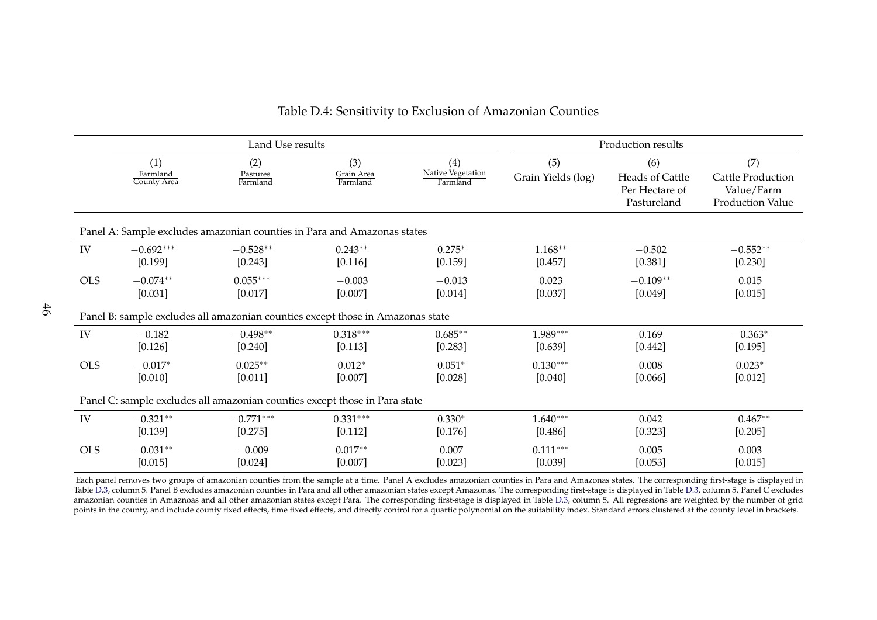|            |                         | Land Use results                                                               |                        |                               |                    | Production results |                   |
|------------|-------------------------|--------------------------------------------------------------------------------|------------------------|-------------------------------|--------------------|--------------------|-------------------|
|            | (1)                     | (2)                                                                            | (3)                    | (4)                           | (5)                | (6)                | (7)               |
|            | Farmland<br>County Area | Pastures<br>Farmland                                                           | Grain Area<br>Farmland | Native Vegetation<br>Farmland | Grain Yields (log) | Heads of Cattle    | Cattle Production |
|            |                         |                                                                                |                        |                               |                    | Per Hectare of     | Value/Farm        |
|            |                         |                                                                                |                        |                               |                    | Pastureland        | Production Value  |
|            |                         | Panel A: Sample excludes amazonian counties in Para and Amazonas states        |                        |                               |                    |                    |                   |
| IV         | $-0.692***$             | $-0.528**$                                                                     | $0.243**$              | $0.275*$                      | $1.168**$          | $-0.502$           | $-0.552**$        |
|            | [0.199]                 | [0.243]                                                                        | [0.116]                | [0.159]                       | [0.457]            | [0.381]            | [0.230]           |
| <b>OLS</b> | $-0.074**$              | $0.055***$                                                                     | $-0.003$               | $-0.013$                      | 0.023              | $-0.109**$         | 0.015             |
|            | [0.031]                 | [0.017]                                                                        | [0.007]                | [0.014]                       | [0.037]            | [0.049]            | [0.015]           |
|            |                         | Panel B: sample excludes all amazonian counties except those in Amazonas state |                        |                               |                    |                    |                   |
| IV         | $-0.182$                | $-0.498**$                                                                     | $0.318***$             | $0.685**$                     | 1.989***           | 0.169              | $-0.363*$         |
|            | [0.126]                 | [0.240]                                                                        | [0.113]                | [0.283]                       | [0.639]            | [0.442]            | [0.195]           |
| <b>OLS</b> | $-0.017*$               | $0.025**$                                                                      | $0.012*$               | $0.051*$                      | $0.130***$         | 0.008              | $0.023*$          |
|            | [0.010]                 | [0.011]                                                                        | [0.007]                | [0.028]                       | [0.040]            | [0.066]            | [0.012]           |
|            |                         | Panel C: sample excludes all amazonian counties except those in Para state     |                        |                               |                    |                    |                   |
| IV         | $-0.321**$              | $-0.771***$                                                                    | $0.331***$             | $0.330*$                      | $1.640***$         | 0.042              | $-0.467**$        |
|            | [0.139]                 | [0.275]                                                                        | [0.112]                | [0.176]                       | [0.486]            | [0.323]            | [0.205]           |
| <b>OLS</b> | $-0.031**$              | $-0.009$                                                                       | $0.017**$              | 0.007                         | $0.111***$         | 0.005              | 0.003             |
|            | [0.015]                 | [0.024]                                                                        | [0.007]                | [0.023]                       | [0.039]            | [0.053]            | [0.015]           |

#### Table D.4: Sensitivity to Exclusion of Amazonian Counties

<span id="page-46-0"></span>Each panel removes two groups of amazonian counties from the sample at a time. Panel A excludes amazonian counties in Para and Amazonas states. The corresponding first-stage is displayed in Table [D.3,](#page-45-1) column 5. Panel <sup>B</sup> excludes amazonian counties in Para and all other amazonian states excep<sup>t</sup> Amazonas. The corresponding first-stage is displayed in Table [D.3,](#page-45-1) column 5. Panel <sup>C</sup> excludes amazonian counties in Amaznoas and all other amazonian states excep<sup>t</sup> Para. The corresponding first-stage is displayed in Table [D.3,](#page-45-1) column 5. All regressions are weighted by the number of gridpoints in the county, and include county fixed effects, time fixed effects, and directly control for a quartic polynomial on the suitability index. Standard errors clustered at the county level in brackets.